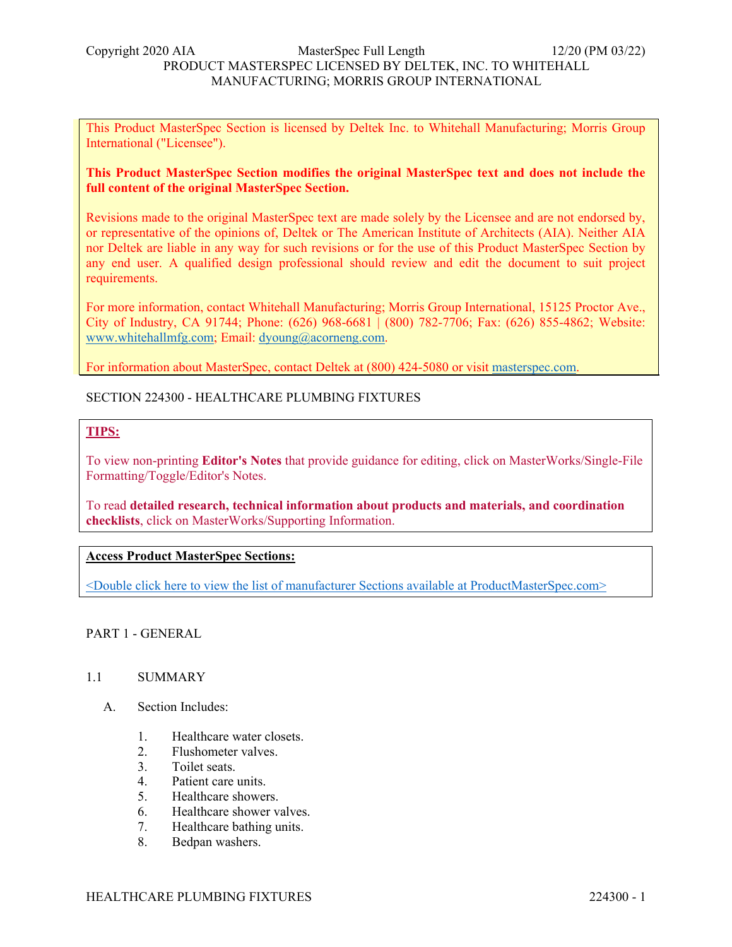This Product MasterSpec Section is licensed by Deltek Inc. to Whitehall Manufacturing; Morris Group International ("Licensee").

### **This Product MasterSpec Section modifies the original MasterSpec text and does not include the full content of the original MasterSpec Section.**

Revisions made to the original MasterSpec text are made solely by the Licensee and are not endorsed by, or representative of the opinions of, Deltek or The American Institute of Architects (AIA). Neither AIA nor Deltek are liable in any way for such revisions or for the use of this Product MasterSpec Section by any end user. A qualified design professional should review and edit the document to suit project requirements.

For more information, contact Whitehall Manufacturing; Morris Group International, 15125 Proctor Ave., City of Industry, CA 91744; Phone: (626) 968-6681 | (800) 782-7706; Fax: (626) 855-4862; Website: www.whitehallmfg.com; Email: dyoung@acorneng.com.

For information about MasterSpec, contact Deltek at (800) 424-5080 or visit masterspec.com.

# SECTION 224300 - HEALTHCARE PLUMBING FIXTURES

# **TIPS:**

To view non-printing **Editor's Notes** that provide guidance for editing, click on MasterWorks/Single-File Formatting/Toggle/Editor's Notes.

To read **detailed research, technical information about products and materials, and coordination checklists**, click on MasterWorks/Supporting Information.

### **Access Product MasterSpec Sections:**

<Double click here to view the list of manufacturer Sections available at ProductMasterSpec.com>

PART 1 - GENERAL

### 1.1 SUMMARY

- A. Section Includes:
	- 1. Healthcare water closets.
	- 2. Flushometer valves.
	- 3. Toilet seats.
	- 4. Patient care units.
	- 5. Healthcare showers.
	- 6. Healthcare shower valves.
	- 7. Healthcare bathing units.
	- 8. Bedpan washers.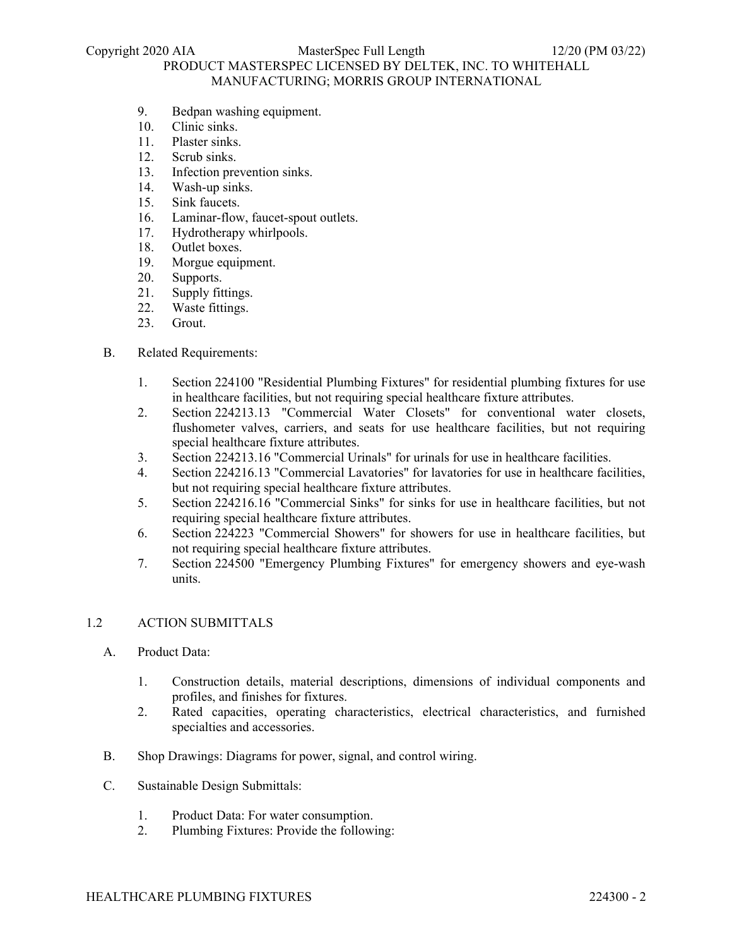# PRODUCT MASTERSPEC LICENSED BY DELTEK, INC. TO WHITEHALL MANUFACTURING; MORRIS GROUP INTERNATIONAL

- 9. Bedpan washing equipment.
- 10. Clinic sinks.
- 11. Plaster sinks.
- 12. Scrub sinks.
- 13. Infection prevention sinks.
- 14. Wash-up sinks.
- 15. Sink faucets.
- 16. Laminar-flow, faucet-spout outlets.
- 17. Hydrotherapy whirlpools.
- 18. Outlet boxes.
- 19. Morgue equipment.
- 20. Supports.
- 21. Supply fittings.
- 22. Waste fittings.
- 23. Grout.

### B. Related Requirements:

- 1. Section 224100 "Residential Plumbing Fixtures" for residential plumbing fixtures for use in healthcare facilities, but not requiring special healthcare fixture attributes.
- 2. Section 224213.13 "Commercial Water Closets" for conventional water closets, flushometer valves, carriers, and seats for use healthcare facilities, but not requiring special healthcare fixture attributes.
- 3. Section 224213.16 "Commercial Urinals" for urinals for use in healthcare facilities.
- 4. Section 224216.13 "Commercial Lavatories" for lavatories for use in healthcare facilities, but not requiring special healthcare fixture attributes.
- 5. Section 224216.16 "Commercial Sinks" for sinks for use in healthcare facilities, but not requiring special healthcare fixture attributes.
- 6. Section 224223 "Commercial Showers" for showers for use in healthcare facilities, but not requiring special healthcare fixture attributes.
- 7. Section 224500 "Emergency Plumbing Fixtures" for emergency showers and eye-wash units.

### 1.2 ACTION SUBMITTALS

- A. Product Data:
	- 1. Construction details, material descriptions, dimensions of individual components and profiles, and finishes for fixtures.
	- 2. Rated capacities, operating characteristics, electrical characteristics, and furnished specialties and accessories.
- B. Shop Drawings: Diagrams for power, signal, and control wiring.
- C. Sustainable Design Submittals:
	- 1. Product Data: For water consumption.
	- 2. Plumbing Fixtures: Provide the following: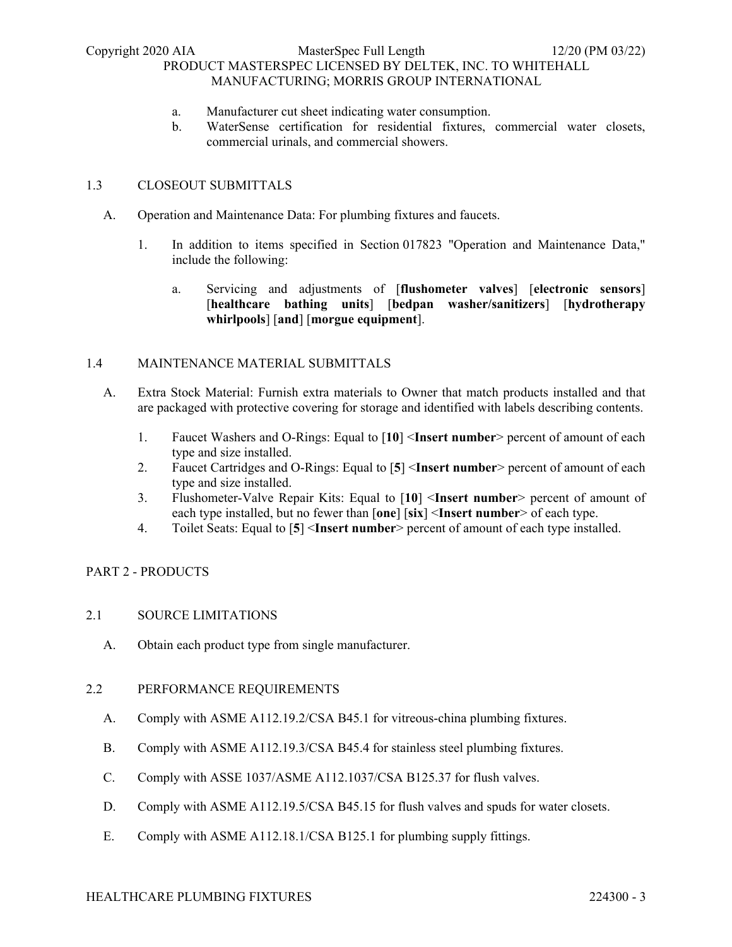- a. Manufacturer cut sheet indicating water consumption.
- b. WaterSense certification for residential fixtures, commercial water closets, commercial urinals, and commercial showers.

# 1.3 CLOSEOUT SUBMITTALS

- A. Operation and Maintenance Data: For plumbing fixtures and faucets.
	- 1. In addition to items specified in Section 017823 "Operation and Maintenance Data," include the following:
		- a. Servicing and adjustments of [**flushometer valves**] [**electronic sensors**] [**healthcare bathing units**] [**bedpan washer/sanitizers**] [**hydrotherapy whirlpools**] [**and**] [**morgue equipment**].

### 1.4 MAINTENANCE MATERIAL SUBMITTALS

- A. Extra Stock Material: Furnish extra materials to Owner that match products installed and that are packaged with protective covering for storage and identified with labels describing contents.
	- 1. Faucet Washers and O-Rings: Equal to [**10**] <**Insert number**> percent of amount of each type and size installed.
	- 2. Faucet Cartridges and O-Rings: Equal to [**5**] <**Insert number**> percent of amount of each type and size installed.
	- 3. Flushometer-Valve Repair Kits: Equal to [**10**] <**Insert number**> percent of amount of each type installed, but no fewer than [**one**] [**six**] <**Insert number**> of each type.
	- 4. Toilet Seats: Equal to [**5**] <**Insert number**> percent of amount of each type installed.

# PART 2 - PRODUCTS

# 2.1 SOURCE LIMITATIONS

A. Obtain each product type from single manufacturer.

### 2.2 PERFORMANCE REQUIREMENTS

- A. Comply with ASME A112.19.2/CSA B45.1 for vitreous-china plumbing fixtures.
- B. Comply with ASME A112.19.3/CSA B45.4 for stainless steel plumbing fixtures.
- C. Comply with ASSE 1037/ASME A112.1037/CSA B125.37 for flush valves.
- D. Comply with ASME A112.19.5/CSA B45.15 for flush valves and spuds for water closets.
- E. Comply with ASME A112.18.1/CSA B125.1 for plumbing supply fittings.

### HEALTHCARE PLUMBING FIXTURES 224300 - 3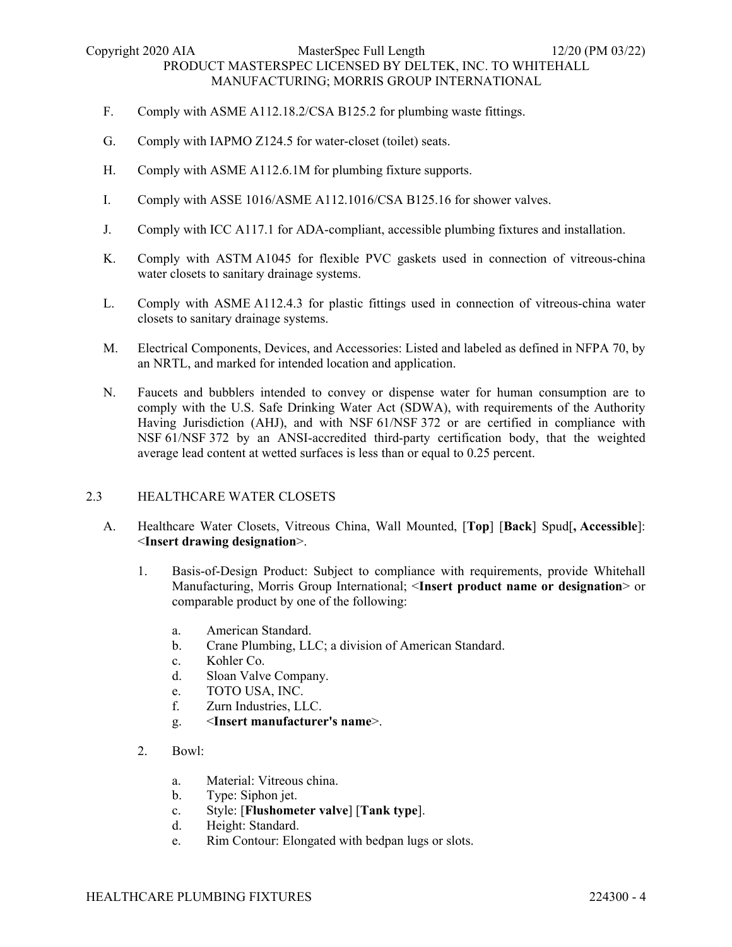- F. Comply with ASME A112.18.2/CSA B125.2 for plumbing waste fittings.
- G. Comply with IAPMO Z124.5 for water-closet (toilet) seats.
- H. Comply with ASME A112.6.1M for plumbing fixture supports.
- I. Comply with ASSE 1016/ASME A112.1016/CSA B125.16 for shower valves.
- J. Comply with ICC A117.1 for ADA-compliant, accessible plumbing fixtures and installation.
- K. Comply with ASTM A1045 for flexible PVC gaskets used in connection of vitreous-china water closets to sanitary drainage systems.
- L. Comply with ASME A112.4.3 for plastic fittings used in connection of vitreous-china water closets to sanitary drainage systems.
- M. Electrical Components, Devices, and Accessories: Listed and labeled as defined in NFPA 70, by an NRTL, and marked for intended location and application.
- N. Faucets and bubblers intended to convey or dispense water for human consumption are to comply with the U.S. Safe Drinking Water Act (SDWA), with requirements of the Authority Having Jurisdiction (AHJ), and with NSF 61/NSF 372 or are certified in compliance with NSF 61/NSF 372 by an ANSI-accredited third-party certification body, that the weighted average lead content at wetted surfaces is less than or equal to 0.25 percent.

### 2.3 HEALTHCARE WATER CLOSETS

- A. Healthcare Water Closets, Vitreous China, Wall Mounted, [**Top**] [**Back**] Spud[**, Accessible**]: <**Insert drawing designation**>.
	- 1. Basis-of-Design Product: Subject to compliance with requirements, provide Whitehall Manufacturing, Morris Group International; <**Insert product name or designation**> or comparable product by one of the following:
		- a. American Standard.
		- b. Crane Plumbing, LLC; a division of American Standard.
		- c. Kohler Co.
		- d. Sloan Valve Company.
		- e. TOTO USA, INC.
		- f. Zurn Industries, LLC.
		- g. <**Insert manufacturer's name**>.
	- 2. Bowl:
		- a. Material: Vitreous china.
		- b. Type: Siphon jet.
		- c. Style: [**Flushometer valve**] [**Tank type**].
		- d. Height: Standard.
		- e. Rim Contour: Elongated with bedpan lugs or slots.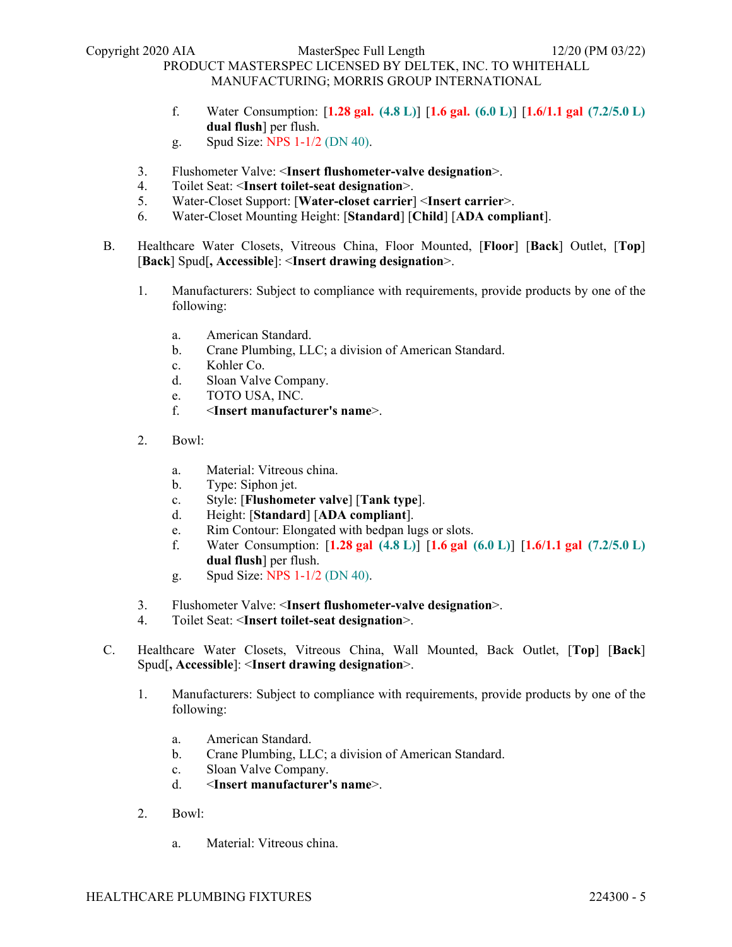- f. Water Consumption: [**1.28 gal. (4.8 L)**] [**1.6 gal. (6.0 L)**] [**1.6/1.1 gal (7.2/5.0 L) dual flush**] per flush.
- g. Spud Size: NPS 1-1/2 (DN 40).
- 3. Flushometer Valve: <**Insert flushometer-valve designation**>.
- 4. Toilet Seat: <**Insert toilet-seat designation**>.
- 5. Water-Closet Support: [**Water-closet carrier**] <**Insert carrier**>.
- 6. Water-Closet Mounting Height: [**Standard**] [**Child**] [**ADA compliant**].
- B. Healthcare Water Closets, Vitreous China, Floor Mounted, [**Floor**] [**Back**] Outlet, [**Top**] [**Back**] Spud[**, Accessible**]: <**Insert drawing designation**>.
	- 1. Manufacturers: Subject to compliance with requirements, provide products by one of the following:
		- a. American Standard.
		- b. Crane Plumbing, LLC; a division of American Standard.
		- c. Kohler Co.
		- d. Sloan Valve Company.
		- e. TOTO USA, INC.
		- f. <**Insert manufacturer's name**>.
	- 2. Bowl:
		- a. Material: Vitreous china.
		- b. Type: Siphon jet.
		- c. Style: [**Flushometer valve**] [**Tank type**].
		- d. Height: [**Standard**] [**ADA compliant**].
		- e. Rim Contour: Elongated with bedpan lugs or slots.
		- f. Water Consumption: [**1.28 gal (4.8 L)**] [**1.6 gal (6.0 L)**] [**1.6/1.1 gal (7.2/5.0 L) dual flush**] per flush.
		- g. Spud Size: NPS 1-1/2 (DN 40).
	- 3. Flushometer Valve: <**Insert flushometer-valve designation**>.
	- 4. Toilet Seat: <**Insert toilet-seat designation**>.
- C. Healthcare Water Closets, Vitreous China, Wall Mounted, Back Outlet, [**Top**] [**Back**] Spud[**, Accessible**]: <**Insert drawing designation**>.
	- 1. Manufacturers: Subject to compliance with requirements, provide products by one of the following:
		- a. American Standard.
		- b. Crane Plumbing, LLC; a division of American Standard.
		- c. Sloan Valve Company.
		- d. <**Insert manufacturer's name**>.
	- 2. Bowl:
		- a. Material: Vitreous china.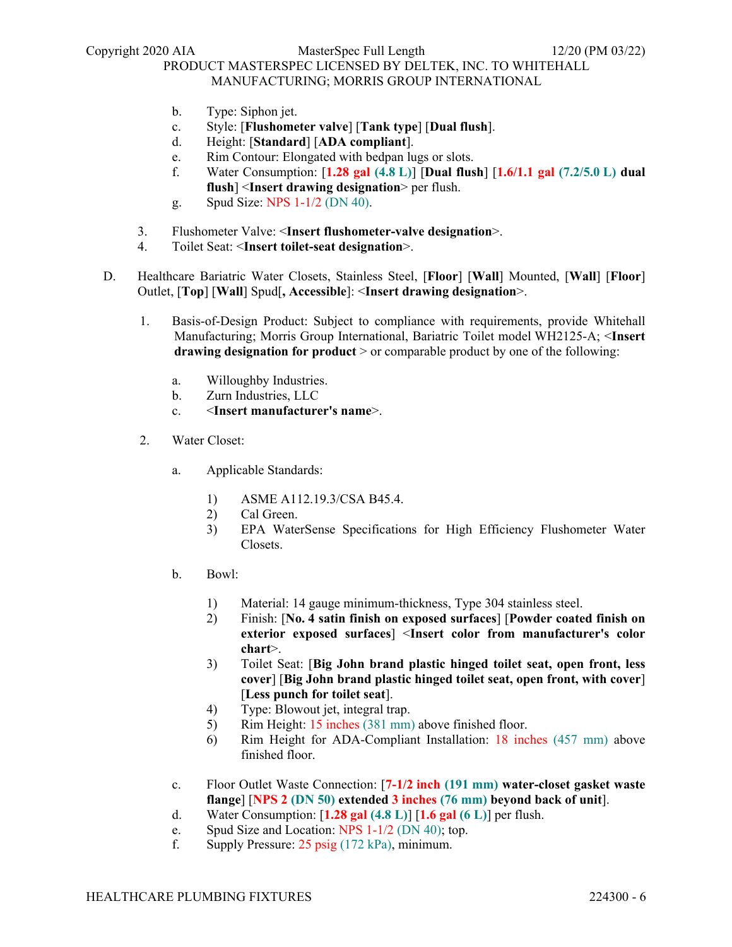- b. Type: Siphon jet.
- c. Style: [**Flushometer valve**] [**Tank type**] [**Dual flush**].
- d. Height: [**Standard**] [**ADA compliant**].
- e. Rim Contour: Elongated with bedpan lugs or slots.
- f. Water Consumption: [**1.28 gal (4.8 L)**] [**Dual flush**] [**1.6/1.1 gal (7.2/5.0 L) dual flush**] <**Insert drawing designation**> per flush.
- g. Spud Size: NPS 1-1/2 (DN 40).
- 3. Flushometer Valve: <**Insert flushometer-valve designation**>.
- 4. Toilet Seat: <**Insert toilet-seat designation**>.
- D. Healthcare Bariatric Water Closets, Stainless Steel, [**Floor**] [**Wall**] Mounted, [**Wall**] [**Floor**] Outlet, [**Top**] [**Wall**] Spud[**, Accessible**]: <**Insert drawing designation**>.
	- 1. Basis-of-Design Product: Subject to compliance with requirements, provide Whitehall Manufacturing; Morris Group International, Bariatric Toilet model WH2125-A; <**Insert drawing designation for product** > or comparable product by one of the following:
		- a. Willoughby Industries.
		- b. Zurn Industries, LLC
		- c. <**Insert manufacturer's name**>.
	- 2. Water Closet:
		- a. Applicable Standards:
			- 1) ASME A112.19.3/CSA B45.4.
			- 2) Cal Green.
			- 3) EPA WaterSense Specifications for High Efficiency Flushometer Water Closets.
		- b. Bowl:
			- 1) Material: 14 gauge minimum-thickness, Type 304 stainless steel.
			- 2) Finish: [**No. 4 satin finish on exposed surfaces**] [**Powder coated finish on exterior exposed surfaces**] <**Insert color from manufacturer's color chart**>.
			- 3) Toilet Seat: [**Big John brand plastic hinged toilet seat, open front, less cover**] [**Big John brand plastic hinged toilet seat, open front, with cover**] [**Less punch for toilet seat**].
			- 4) Type: Blowout jet, integral trap.
			- 5) Rim Height: 15 inches (381 mm) above finished floor.
			- 6) Rim Height for ADA-Compliant Installation: 18 inches (457 mm) above finished floor.
		- c. Floor Outlet Waste Connection: [**7-1/2 inch (191 mm) water-closet gasket waste flange**] [**NPS 2 (DN 50) extended 3 inches (76 mm) beyond back of unit**].
		- d. Water Consumption: [**1.28 gal (4.8 L)**] [**1.6 gal (6 L)**] per flush.
		- e. Spud Size and Location: NPS 1-1/2 (DN 40); top.
		- f. Supply Pressure: 25 psig (172 kPa), minimum.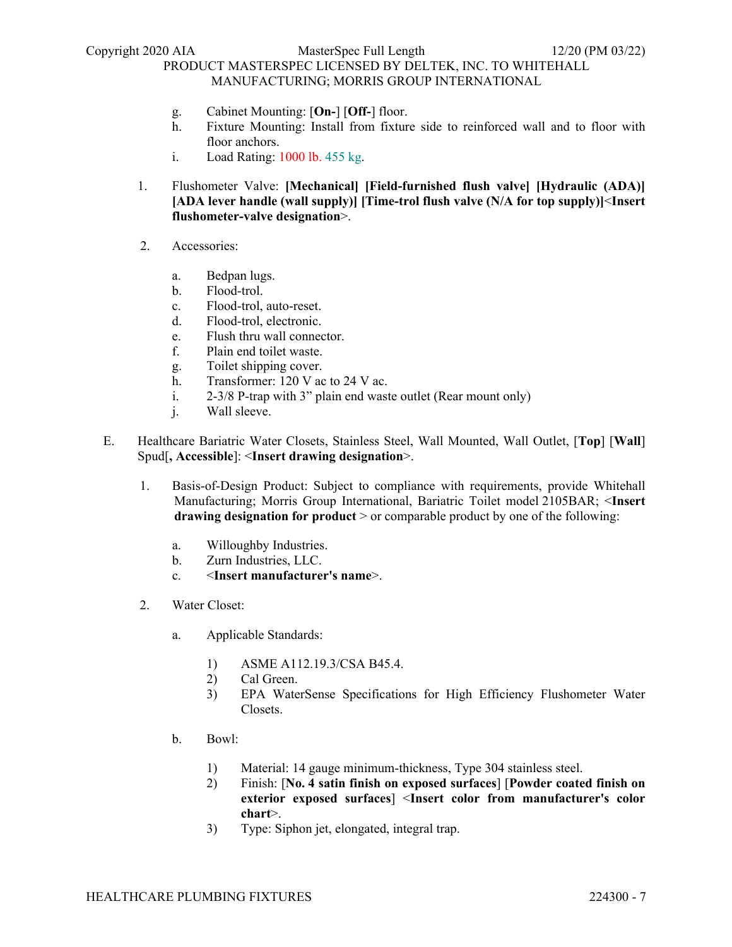- g. Cabinet Mounting: [**On-**] [**Off-**] floor.
- h. Fixture Mounting: Install from fixture side to reinforced wall and to floor with floor anchors.
- i. Load Rating: 1000 lb. 455 kg.
- 1. Flushometer Valve: **[Mechanical] [Field-furnished flush valve] [Hydraulic (ADA)] [ADA lever handle (wall supply)] [Time-trol flush valve (N/A for top supply)]**<**Insert flushometer-valve designation**>.
- 2. Accessories:
	- a. Bedpan lugs.
	- b. Flood-trol.
	- c. Flood-trol, auto-reset.
	- d. Flood-trol, electronic.
	- e. Flush thru wall connector.
	- f. Plain end toilet waste.
	- g. Toilet shipping cover.
	- h. Transformer: 120 V ac to 24 V ac.
	- i. 2-3/8 P-trap with 3" plain end waste outlet (Rear mount only)
	- j. Wall sleeve.
- E. Healthcare Bariatric Water Closets, Stainless Steel, Wall Mounted, Wall Outlet, [**Top**] [**Wall**] Spud[**, Accessible**]: <**Insert drawing designation**>.
	- 1. Basis-of-Design Product: Subject to compliance with requirements, provide Whitehall Manufacturing; Morris Group International, Bariatric Toilet model 2105BAR; <**Insert drawing designation for product** > or comparable product by one of the following:
		- a. Willoughby Industries.
		- b. Zurn Industries, LLC.
		- c. <**Insert manufacturer's name**>.
	- 2. Water Closet:
		- a. Applicable Standards:
			- 1) ASME A112.19.3/CSA B45.4.
			- 2) Cal Green.
			- 3) EPA WaterSense Specifications for High Efficiency Flushometer Water Closets.
		- b. Bowl:
			- 1) Material: 14 gauge minimum-thickness, Type 304 stainless steel.
			- 2) Finish: [**No. 4 satin finish on exposed surfaces**] [**Powder coated finish on exterior exposed surfaces**] <**Insert color from manufacturer's color chart**>.
			- 3) Type: Siphon jet, elongated, integral trap.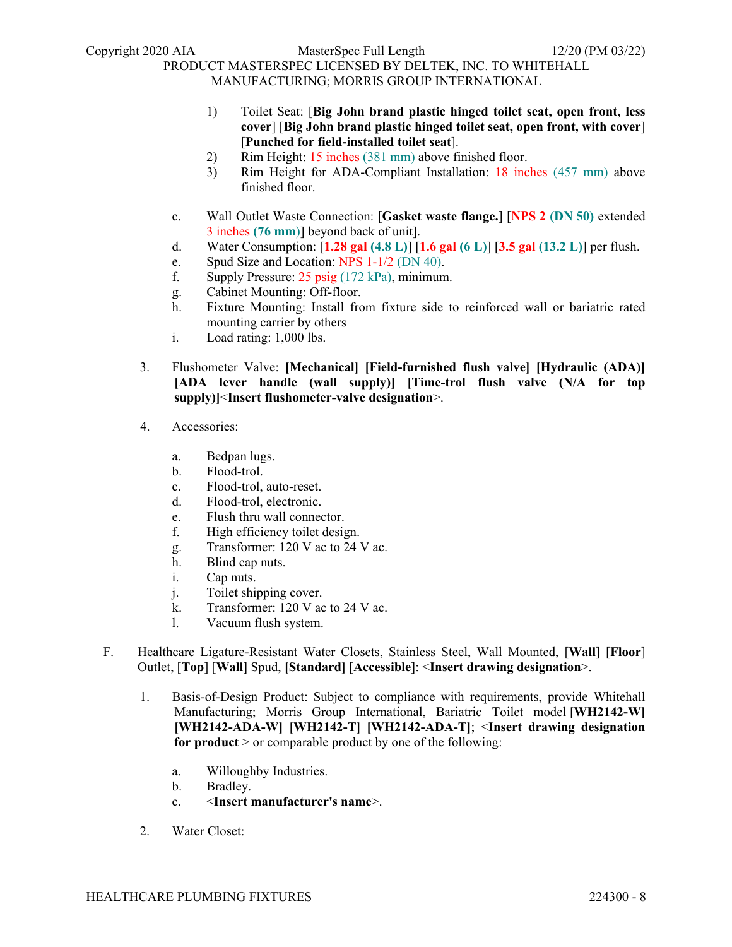Copyright 2020 AIA MasterSpec Full Length 12/20 (PM 03/22)

# PRODUCT MASTERSPEC LICENSED BY DELTEK, INC. TO WHITEHALL

MANUFACTURING; MORRIS GROUP INTERNATIONAL

- 1) Toilet Seat: [**Big John brand plastic hinged toilet seat, open front, less cover**] [**Big John brand plastic hinged toilet seat, open front, with cover**] [**Punched for field-installed toilet seat**].
- 2) Rim Height: 15 inches (381 mm) above finished floor.
- 3) Rim Height for ADA-Compliant Installation: 18 inches (457 mm) above finished floor.
- c. Wall Outlet Waste Connection: [**Gasket waste flange.**] [**NPS 2 (DN 50)** extended 3 inches **(76 mm**)] beyond back of unit].
- d. Water Consumption: [**1.28 gal (4.8 L)**] [**1.6 gal (6 L)**] [**3.5 gal (13.2 L)**] per flush.
- e. Spud Size and Location: NPS 1-1/2 (DN 40).
- f. Supply Pressure: 25 psig (172 kPa), minimum.
- g. Cabinet Mounting: Off-floor.
- h. Fixture Mounting: Install from fixture side to reinforced wall or bariatric rated mounting carrier by others
- i. Load rating: 1,000 lbs.
- 3. Flushometer Valve: **[Mechanical] [Field-furnished flush valve] [Hydraulic (ADA)] [ADA lever handle (wall supply)] [Time-trol flush valve (N/A for top supply)]**<**Insert flushometer-valve designation**>.
- 4. Accessories:
	- a. Bedpan lugs.
	- b. Flood-trol.
	- c. Flood-trol, auto-reset.
	- d. Flood-trol, electronic.
	- e. Flush thru wall connector.
	- f. High efficiency toilet design.
	- g. Transformer: 120 V ac to 24 V ac.
	- h. Blind cap nuts.
	- i. Cap nuts.
	- j. Toilet shipping cover.
	- k. Transformer: 120 V ac to 24 V ac.
	- l. Vacuum flush system.
- F. Healthcare Ligature-Resistant Water Closets, Stainless Steel, Wall Mounted, [**Wall**] [**Floor**] Outlet, [**Top**] [**Wall**] Spud, **[Standard]** [**Accessible**]: <**Insert drawing designation**>.
	- 1. Basis-of-Design Product: Subject to compliance with requirements, provide Whitehall Manufacturing; Morris Group International, Bariatric Toilet model **[WH2142-W] [WH2142-ADA-W] [WH2142-T] [WH2142-ADA-T]**; <**Insert drawing designation for product** > or comparable product by one of the following:
		- a. Willoughby Industries.
		- b. Bradley.
		- c. <**Insert manufacturer's name**>.
	- 2. Water Closet: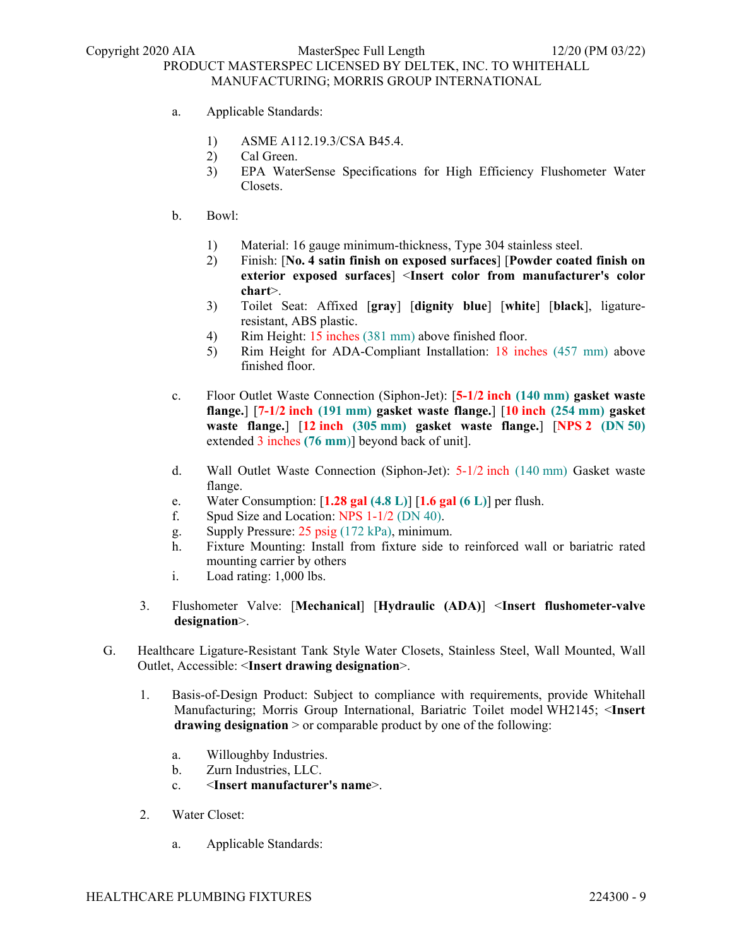- a. Applicable Standards:
	- 1) ASME A112.19.3/CSA B45.4.
	- 2) Cal Green.
	- 3) EPA WaterSense Specifications for High Efficiency Flushometer Water Closets.
- b. Bowl:
	- 1) Material: 16 gauge minimum-thickness, Type 304 stainless steel.
	- 2) Finish: [**No. 4 satin finish on exposed surfaces**] [**Powder coated finish on exterior exposed surfaces**] <**Insert color from manufacturer's color chart**>.
	- 3) Toilet Seat: Affixed [**gray**] [**dignity blue**] [**white**] [**black**], ligatureresistant, ABS plastic.
	- 4) Rim Height: 15 inches (381 mm) above finished floor.
	- 5) Rim Height for ADA-Compliant Installation: 18 inches (457 mm) above finished floor.
- c. Floor Outlet Waste Connection (Siphon-Jet): [**5-1/2 inch (140 mm) gasket waste flange.**] [**7-1/2 inch (191 mm) gasket waste flange.**] [**10 inch (254 mm) gasket waste flange.**] [**12 inch (305 mm) gasket waste flange.**] [**NPS 2 (DN 50)**  extended 3 inches **(76 mm**)] beyond back of unit].
- d. Wall Outlet Waste Connection (Siphon-Jet): 5-1/2 inch (140 mm) Gasket waste flange.
- e. Water Consumption: [**1.28 gal (4.8 L)**] [**1.6 gal (6 L)**] per flush.
- f. Spud Size and Location: NPS 1-1/2 (DN 40).
- g. Supply Pressure: 25 psig (172 kPa), minimum.
- h. Fixture Mounting: Install from fixture side to reinforced wall or bariatric rated mounting carrier by others
- i. Load rating: 1,000 lbs.
- 3. Flushometer Valve: [**Mechanical**] [**Hydraulic (ADA)**] <**Insert flushometer-valve designation**>.
- G. Healthcare Ligature-Resistant Tank Style Water Closets, Stainless Steel, Wall Mounted, Wall Outlet, Accessible: <**Insert drawing designation**>.
	- 1. Basis-of-Design Product: Subject to compliance with requirements, provide Whitehall Manufacturing; Morris Group International, Bariatric Toilet model WH2145; <**Insert drawing designation** > or comparable product by one of the following:
		- a. Willoughby Industries.
		- b. Zurn Industries, LLC.
		- c. <**Insert manufacturer's name**>.
	- 2. Water Closet:
		- a. Applicable Standards: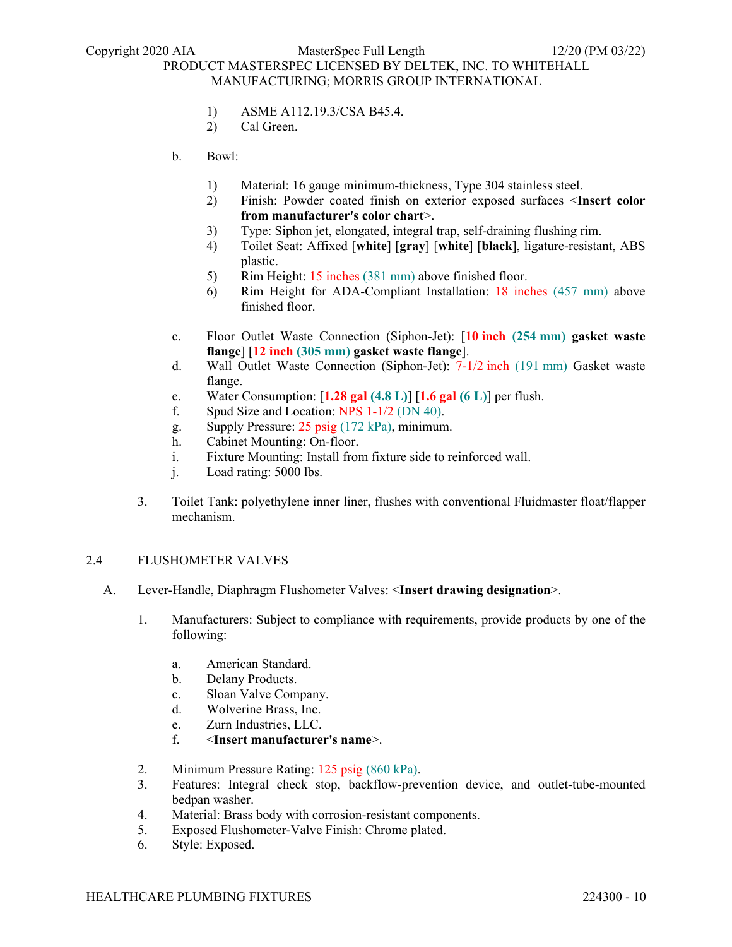- 1) ASME A112.19.3/CSA B45.4.
- 2) Cal Green.
- b. Bowl:
	- 1) Material: 16 gauge minimum-thickness, Type 304 stainless steel.
	- 2) Finish: Powder coated finish on exterior exposed surfaces <**Insert color from manufacturer's color chart**>.
	- 3) Type: Siphon jet, elongated, integral trap, self-draining flushing rim.
	- 4) Toilet Seat: Affixed [**white**] [**gray**] [**white**] [**black**], ligature-resistant, ABS plastic.
	- 5) Rim Height: 15 inches (381 mm) above finished floor.
	- 6) Rim Height for ADA-Compliant Installation: 18 inches (457 mm) above finished floor.
- c. Floor Outlet Waste Connection (Siphon-Jet): [**10 inch (254 mm) gasket waste flange**] [**12 inch (305 mm) gasket waste flange**].
- d. Wall Outlet Waste Connection (Siphon-Jet): 7-1/2 inch (191 mm) Gasket waste flange.
- e. Water Consumption: [**1.28 gal (4.8 L)**] [**1.6 gal (6 L)**] per flush.
- f. Spud Size and Location: NPS 1-1/2 (DN 40).
- g. Supply Pressure: 25 psig (172 kPa), minimum.
- h. Cabinet Mounting: On-floor.
- i. Fixture Mounting: Install from fixture side to reinforced wall.
- j. Load rating: 5000 lbs.
- 3. Toilet Tank: polyethylene inner liner, flushes with conventional Fluidmaster float/flapper mechanism.

### 2.4 FLUSHOMETER VALVES

- A. Lever-Handle, Diaphragm Flushometer Valves: <**Insert drawing designation**>.
	- 1. Manufacturers: Subject to compliance with requirements, provide products by one of the following:
		- a. American Standard.
		- b. Delany Products.
		- c. Sloan Valve Company.
		- d. Wolverine Brass, Inc.
		- e. Zurn Industries, LLC.
		- f. <**Insert manufacturer's name**>.
	- 2. Minimum Pressure Rating: 125 psig (860 kPa).
	- 3. Features: Integral check stop, backflow-prevention device, and outlet-tube-mounted bedpan washer.
	- 4. Material: Brass body with corrosion-resistant components.
	- 5. Exposed Flushometer-Valve Finish: Chrome plated.
	- 6. Style: Exposed.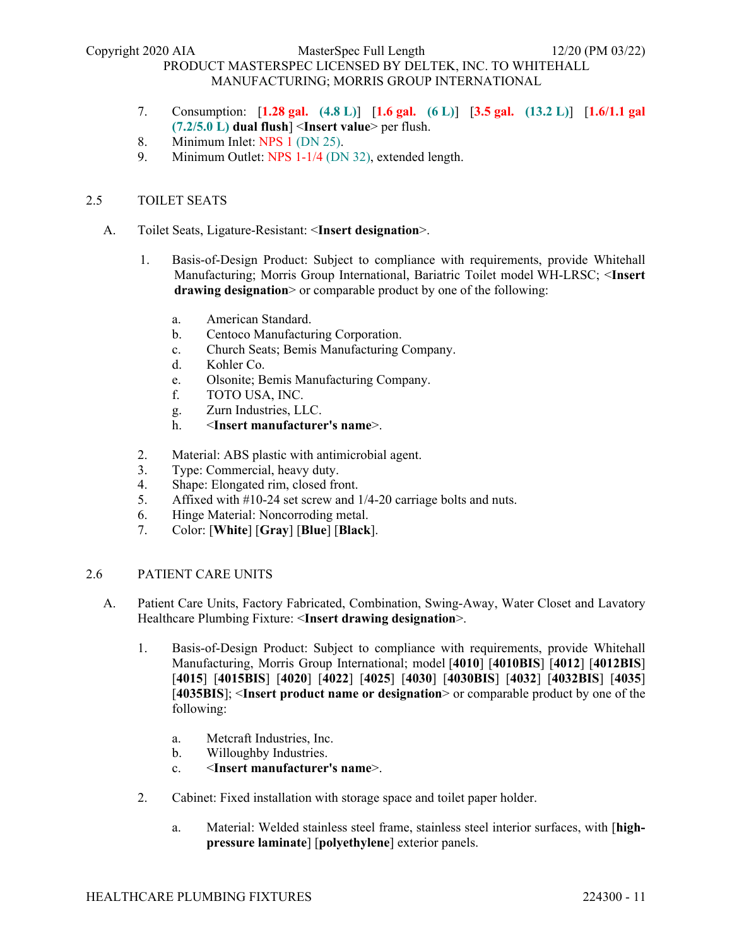- 7. Consumption: [**1.28 gal. (4.8 L)**] [**1.6 gal. (6 L)**] [**3.5 gal. (13.2 L)**] [**1.6/1.1 gal (7.2/5.0 L) dual flush**] <**Insert value**> per flush.
- 8. Minimum Inlet: NPS 1 (DN 25).
- 9. Minimum Outlet: NPS 1-1/4 (DN 32), extended length.

# 2.5 TOILET SEATS

- A. Toilet Seats, Ligature-Resistant: <**Insert designation**>.
	- 1. Basis-of-Design Product: Subject to compliance with requirements, provide Whitehall Manufacturing; Morris Group International, Bariatric Toilet model WH-LRSC; <**Insert drawing designation**> or comparable product by one of the following:
		- a. American Standard.
		- b. Centoco Manufacturing Corporation.
		- c. Church Seats; Bemis Manufacturing Company.
		- d. Kohler Co.
		- e. Olsonite; Bemis Manufacturing Company.
		- f. TOTO USA, INC.
		- g. Zurn Industries, LLC.
		- h. <**Insert manufacturer's name**>.
	- 2. Material: ABS plastic with antimicrobial agent.
	- 3. Type: Commercial, heavy duty.
	- 4. Shape: Elongated rim, closed front.
	- 5. Affixed with #10-24 set screw and 1/4-20 carriage bolts and nuts.
	- 6. Hinge Material: Noncorroding metal.
	- 7. Color: [**White**] [**Gray**] [**Blue**] [**Black**].

#### 2.6 PATIENT CARE UNITS

- A. Patient Care Units, Factory Fabricated, Combination, Swing-Away, Water Closet and Lavatory Healthcare Plumbing Fixture: <**Insert drawing designation**>.
	- 1. Basis-of-Design Product: Subject to compliance with requirements, provide Whitehall Manufacturing, Morris Group International; model [**4010**] [**4010BIS**] [**4012**] [**4012BIS**] [**4015**] [**4015BIS**] [**4020**] [**4022**] [**4025**] [**4030**] [**4030BIS**] [**4032**] [**4032BIS**] [**4035**] [**4035BIS**]; <**Insert product name or designation**> or comparable product by one of the following:
		- a. Metcraft Industries, Inc.
		- b. Willoughby Industries.
		- c. <**Insert manufacturer's name**>.
	- 2. Cabinet: Fixed installation with storage space and toilet paper holder.
		- a. Material: Welded stainless steel frame, stainless steel interior surfaces, with [**highpressure laminate**] [**polyethylene**] exterior panels.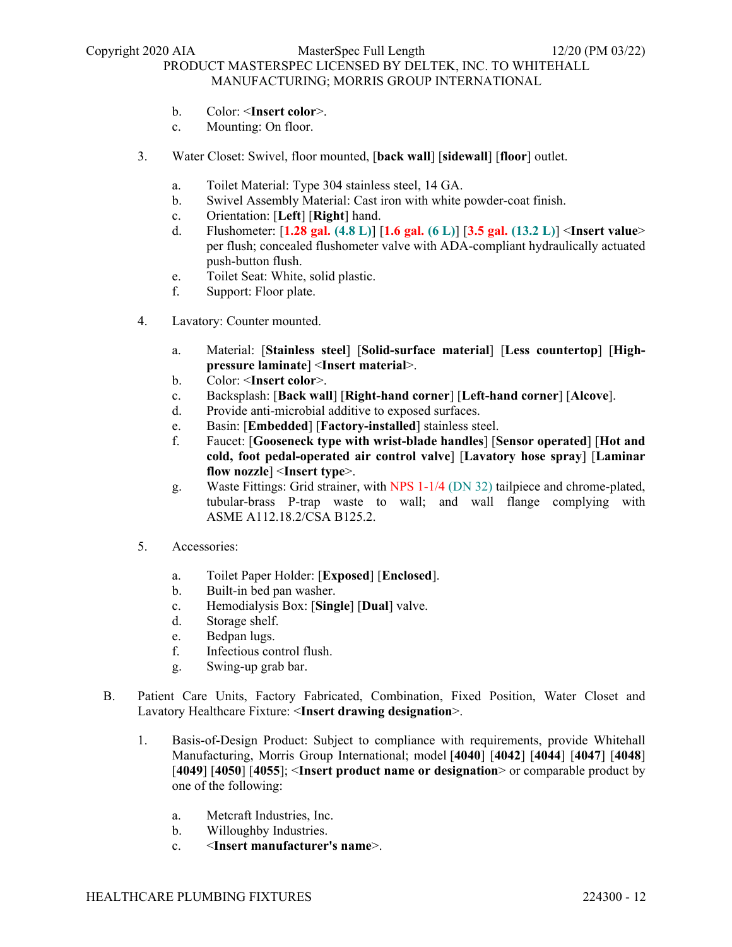- b. Color: <**Insert color**>.
- c. Mounting: On floor.
- 3. Water Closet: Swivel, floor mounted, [**back wall**] [**sidewall**] [**floor**] outlet.
	- a. Toilet Material: Type 304 stainless steel, 14 GA.
	- b. Swivel Assembly Material: Cast iron with white powder-coat finish.
	- c. Orientation: [**Left**] [**Right**] hand.
	- d. Flushometer: [**1.28 gal. (4.8 L)**] [**1.6 gal. (6 L)**] [**3.5 gal. (13.2 L)**] <**Insert value**> per flush; concealed flushometer valve with ADA-compliant hydraulically actuated push-button flush.
	- e. Toilet Seat: White, solid plastic.
	- f. Support: Floor plate.
- 4. Lavatory: Counter mounted.
	- a. Material: [**Stainless steel**] [**Solid-surface material**] [**Less countertop**] [**Highpressure laminate**] <**Insert material**>.
	- b. Color: <**Insert color**>.
	- c. Backsplash: [**Back wall**] [**Right-hand corner**] [**Left-hand corner**] [**Alcove**].
	- d. Provide anti-microbial additive to exposed surfaces.
	- e. Basin: [**Embedded**] [**Factory-installed**] stainless steel.
	- f. Faucet: [**Gooseneck type with wrist-blade handles**] [**Sensor operated**] [**Hot and cold, foot pedal-operated air control valve**] [**Lavatory hose spray**] [**Laminar flow nozzle**] <**Insert type**>.
	- g. Waste Fittings: Grid strainer, with NPS 1-1/4 (DN 32) tailpiece and chrome-plated, tubular-brass P-trap waste to wall; and wall flange complying with ASME A112.18.2/CSA B125.2.
- 5. Accessories:
	- a. Toilet Paper Holder: [**Exposed**] [**Enclosed**].
	- b. Built-in bed pan washer.
	- c. Hemodialysis Box: [**Single**] [**Dual**] valve.
	- d. Storage shelf.
	- e. Bedpan lugs.
	- f. Infectious control flush.
	- g. Swing-up grab bar.
- B. Patient Care Units, Factory Fabricated, Combination, Fixed Position, Water Closet and Lavatory Healthcare Fixture: <**Insert drawing designation**>.
	- 1. Basis-of-Design Product: Subject to compliance with requirements, provide Whitehall Manufacturing, Morris Group International; model [**4040**] [**4042**] [**4044**] [**4047**] [**4048**] [**4049**] [**4050**] [**4055**]; <**Insert product name or designation**> or comparable product by one of the following:
		- a. Metcraft Industries, Inc.
		- b. Willoughby Industries.
		- c. <**Insert manufacturer's name**>.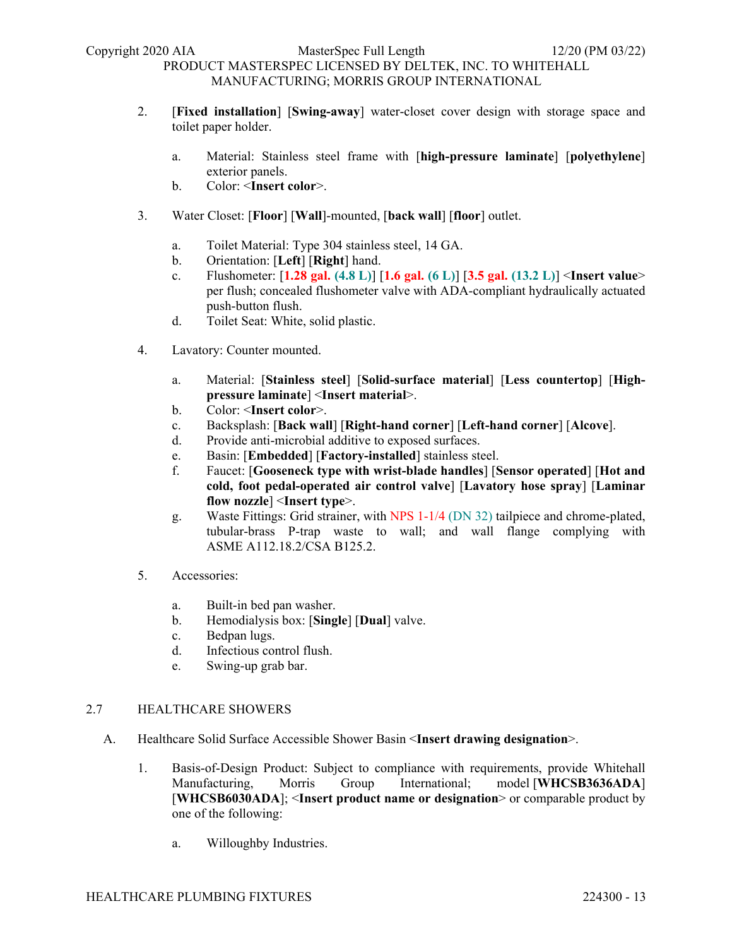- 2. [**Fixed installation**] [**Swing-away**] water-closet cover design with storage space and toilet paper holder.
	- a. Material: Stainless steel frame with [**high-pressure laminate**] [**polyethylene**] exterior panels.
	- b. Color: <**Insert color**>.
- 3. Water Closet: [**Floor**] [**Wall**]-mounted, [**back wall**] [**floor**] outlet.
	- a. Toilet Material: Type 304 stainless steel, 14 GA.
	- b. Orientation: [**Left**] [**Right**] hand.
	- c. Flushometer: [**1.28 gal. (4.8 L)**] [**1.6 gal. (6 L)**] [**3.5 gal. (13.2 L)**] <**Insert value**> per flush; concealed flushometer valve with ADA-compliant hydraulically actuated push-button flush.
	- d. Toilet Seat: White, solid plastic.
- 4. Lavatory: Counter mounted.
	- a. Material: [**Stainless steel**] [**Solid-surface material**] [**Less countertop**] [**Highpressure laminate**] <**Insert material**>.
	- b. Color: <**Insert color**>.
	- c. Backsplash: [**Back wall**] [**Right-hand corner**] [**Left-hand corner**] [**Alcove**].
	- d. Provide anti-microbial additive to exposed surfaces.
	- e. Basin: [**Embedded**] [**Factory-installed**] stainless steel.
	- f. Faucet: [**Gooseneck type with wrist-blade handles**] [**Sensor operated**] [**Hot and cold, foot pedal-operated air control valve**] [**Lavatory hose spray**] [**Laminar flow nozzle**] <**Insert type**>.
	- g. Waste Fittings: Grid strainer, with NPS 1-1/4 (DN 32) tailpiece and chrome-plated, tubular-brass P-trap waste to wall; and wall flange complying with ASME A112.18.2/CSA B125.2.
- 5. Accessories:
	- a. Built-in bed pan washer.
	- b. Hemodialysis box: [**Single**] [**Dual**] valve.
	- c. Bedpan lugs.
	- d. Infectious control flush.
	- e. Swing-up grab bar.

## 2.7 HEALTHCARE SHOWERS

- A. Healthcare Solid Surface Accessible Shower Basin <**Insert drawing designation**>.
	- 1. Basis-of-Design Product: Subject to compliance with requirements, provide Whitehall Manufacturing, Morris Group International; model [**WHCSB3636ADA**] [**WHCSB6030ADA**]; <**Insert product name or designation**> or comparable product by one of the following:
		- a. Willoughby Industries.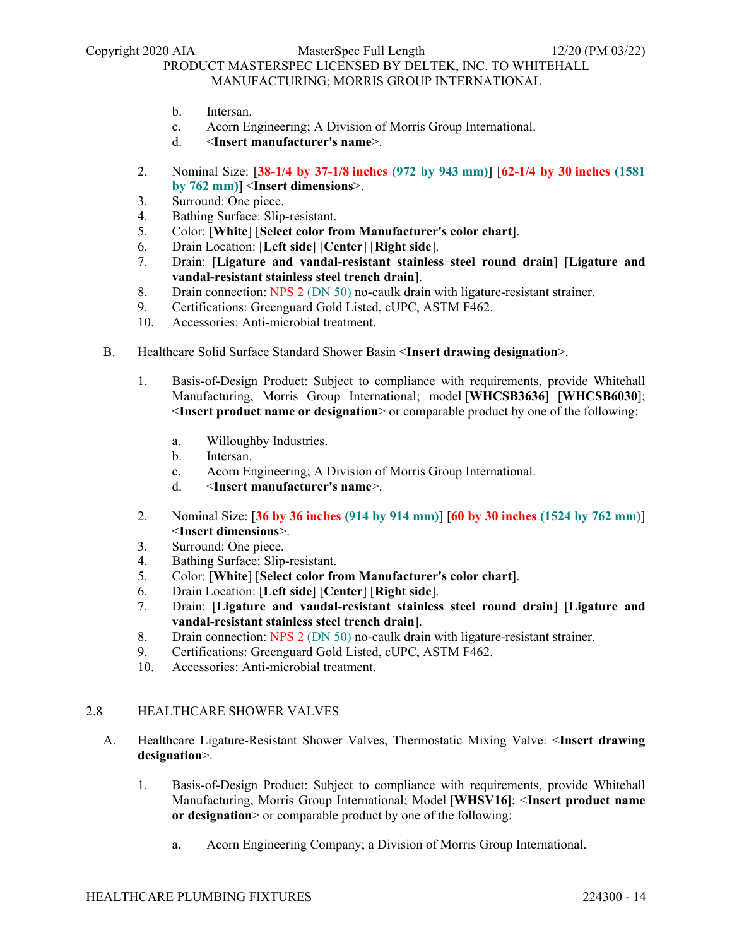- b. Intersan.
- c. Acorn Engineering; A Division of Morris Group International.
- d. <**Insert manufacturer's name**>.
- 2. Nominal Size: [**38-1/4 by 37-1/8 inches (972 by 943 mm)**] [**62-1/4 by 30 inches (1581 by 762 mm)**] <**Insert dimensions**>.
- 3. Surround: One piece.
- 4. Bathing Surface: Slip-resistant.
- 5. Color: [**White**] [**Select color from Manufacturer's color chart**].
- 6. Drain Location: [**Left side**] [**Center**] [**Right side**].
- 7. Drain: [**Ligature and vandal-resistant stainless steel round drain**] [**Ligature and vandal-resistant stainless steel trench drain**].
- 8. Drain connection: NPS 2 (DN 50) no-caulk drain with ligature-resistant strainer.
- 9. Certifications: Greenguard Gold Listed, cUPC, ASTM F462.
- 10. Accessories: Anti-microbial treatment.
- B. Healthcare Solid Surface Standard Shower Basin <**Insert drawing designation**>.
	- 1. Basis-of-Design Product: Subject to compliance with requirements, provide Whitehall Manufacturing, Morris Group International; model [**WHCSB3636**] [**WHCSB6030**]; <**Insert product name or designation**> or comparable product by one of the following:
		- a. Willoughby Industries.
		- b. Intersan.
		- c. Acorn Engineering; A Division of Morris Group International.
		- d. <**Insert manufacturer's name**>.
	- 2. Nominal Size: [**36 by 36 inches (914 by 914 mm)**] [**60 by 30 inches (1524 by 762 mm)**] <**Insert dimensions**>.
	- 3. Surround: One piece.
	- 4. Bathing Surface: Slip-resistant.
	- 5. Color: [**White**] [**Select color from Manufacturer's color chart**].
	- 6. Drain Location: [**Left side**] [**Center**] [**Right side**].
	- 7. Drain: [**Ligature and vandal-resistant stainless steel round drain**] [**Ligature and vandal-resistant stainless steel trench drain**].
	- 8. Drain connection: NPS 2 (DN 50) no-caulk drain with ligature-resistant strainer.
	- 9. Certifications: Greenguard Gold Listed, cUPC, ASTM F462.
	- 10. Accessories: Anti-microbial treatment.

### 2.8 HEALTHCARE SHOWER VALVES

- A. Healthcare Ligature-Resistant Shower Valves, Thermostatic Mixing Valve: <**Insert drawing designation**>.
	- 1. Basis-of-Design Product: Subject to compliance with requirements, provide Whitehall Manufacturing, Morris Group International; Model **[WHSV16]**; <**Insert product name or designation**> or comparable product by one of the following:
		- a. Acorn Engineering Company; a Division of Morris Group International.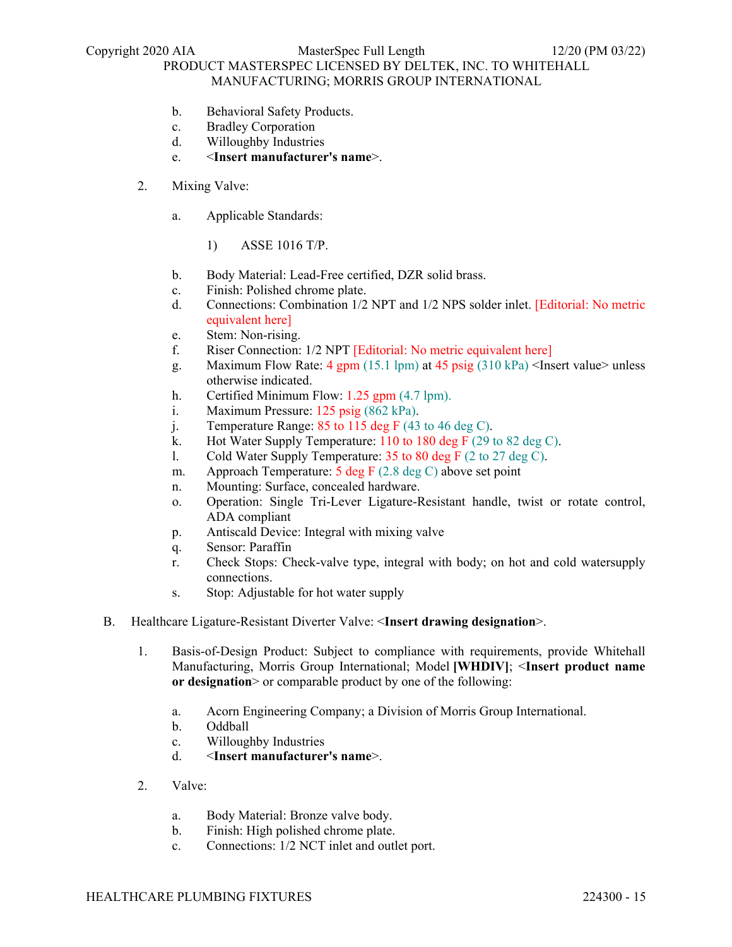- b. Behavioral Safety Products.
- c. Bradley Corporation
- d. Willoughby Industries
- e. <**Insert manufacturer's name**>.
- 2. Mixing Valve:
	- a. Applicable Standards:
		- 1) ASSE 1016 T/P.
	- b. Body Material: Lead-Free certified, DZR solid brass.
	- c. Finish: Polished chrome plate.
	- d. Connections: Combination 1/2 NPT and 1/2 NPS solder inlet. [Editorial: No metric equivalent here]
	- e. Stem: Non-rising.
	- f. Riser Connection: 1/2 NPT [Editorial: No metric equivalent here]
	- g. Maximum Flow Rate:  $4 \text{ gpm}$  (15.1 lpm) at  $45 \text{ psig}$  (310 kPa) <Insert value> unless otherwise indicated.
	- h. Certified Minimum Flow: 1.25 gpm (4.7 lpm).
	- i. Maximum Pressure: 125 psig (862 kPa).
	- j. Temperature Range:  $85$  to 115 deg F (43 to 46 deg C).
	- k. Hot Water Supply Temperature: 110 to 180 deg F (29 to 82 deg C).
	- l. Cold Water Supply Temperature: 35 to 80 deg F (2 to 27 deg C).
	- m. Approach Temperature: 5 deg F (2.8 deg C) above set point
	- n. Mounting: Surface, concealed hardware.
	- o. Operation: Single Tri-Lever Ligature-Resistant handle, twist or rotate control, ADA compliant
	- p. Antiscald Device: Integral with mixing valve
	- q. Sensor: Paraffin
	- r. Check Stops: Check-valve type, integral with body; on hot and cold watersupply connections.
	- s. Stop: Adjustable for hot water supply
- B. Healthcare Ligature-Resistant Diverter Valve: <**Insert drawing designation**>.
	- 1. Basis-of-Design Product: Subject to compliance with requirements, provide Whitehall Manufacturing, Morris Group International; Model **[WHDIV]**; <**Insert product name or designation**> or comparable product by one of the following:
		- a. Acorn Engineering Company; a Division of Morris Group International.
		- b. Oddball
		- c. Willoughby Industries
		- d. <**Insert manufacturer's name**>.
	- 2. Valve:
		- a. Body Material: Bronze valve body.
		- b. Finish: High polished chrome plate.
		- c. Connections: 1/2 NCT inlet and outlet port.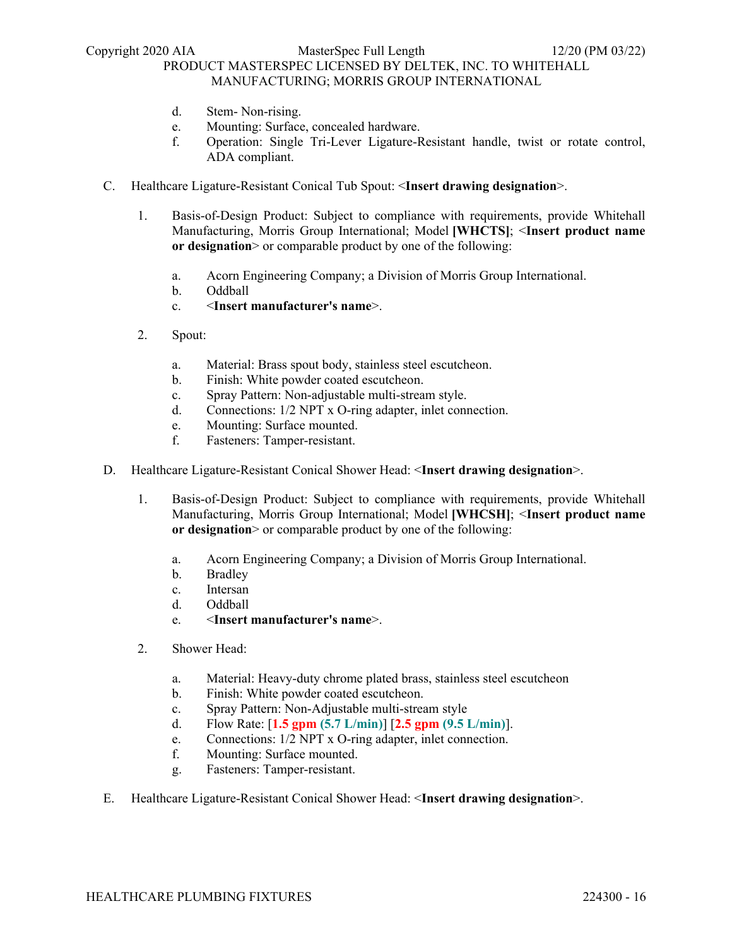- d. Stem- Non-rising.
- e. Mounting: Surface, concealed hardware.
- f. Operation: Single Tri-Lever Ligature-Resistant handle, twist or rotate control, ADA compliant.
- C. Healthcare Ligature-Resistant Conical Tub Spout: <**Insert drawing designation**>.
	- 1. Basis-of-Design Product: Subject to compliance with requirements, provide Whitehall Manufacturing, Morris Group International; Model **[WHCTS]**; <**Insert product name or designation**> or comparable product by one of the following:
		- a. Acorn Engineering Company; a Division of Morris Group International.
		- b. Oddball
		- c. <**Insert manufacturer's name**>.
	- 2. Spout:
		- a. Material: Brass spout body, stainless steel escutcheon.
		- b. Finish: White powder coated escutcheon.
		- c. Spray Pattern: Non-adjustable multi-stream style.
		- d. Connections: 1/2 NPT x O-ring adapter, inlet connection.
		- e. Mounting: Surface mounted.
		- f. Fasteners: Tamper-resistant.
- D. Healthcare Ligature-Resistant Conical Shower Head: <**Insert drawing designation**>.
	- 1. Basis-of-Design Product: Subject to compliance with requirements, provide Whitehall Manufacturing, Morris Group International; Model **[WHCSH]**; <**Insert product name or designation** or comparable product by one of the following:
		- a. Acorn Engineering Company; a Division of Morris Group International.
		- b. Bradley
		- c. Intersan
		- d. Oddball
		- e. <**Insert manufacturer's name**>.
	- 2. Shower Head:
		- a. Material: Heavy-duty chrome plated brass, stainless steel escutcheon
		- b. Finish: White powder coated escutcheon.
		- c. Spray Pattern: Non-Adjustable multi-stream style
		- d. Flow Rate: [**1.5 gpm (5.7 L/min)**] [**2.5 gpm (9.5 L/min)**].
		- e. Connections: 1/2 NPT x O-ring adapter, inlet connection.
		- f. Mounting: Surface mounted.
		- g. Fasteners: Tamper-resistant.
- E. Healthcare Ligature-Resistant Conical Shower Head: <**Insert drawing designation**>.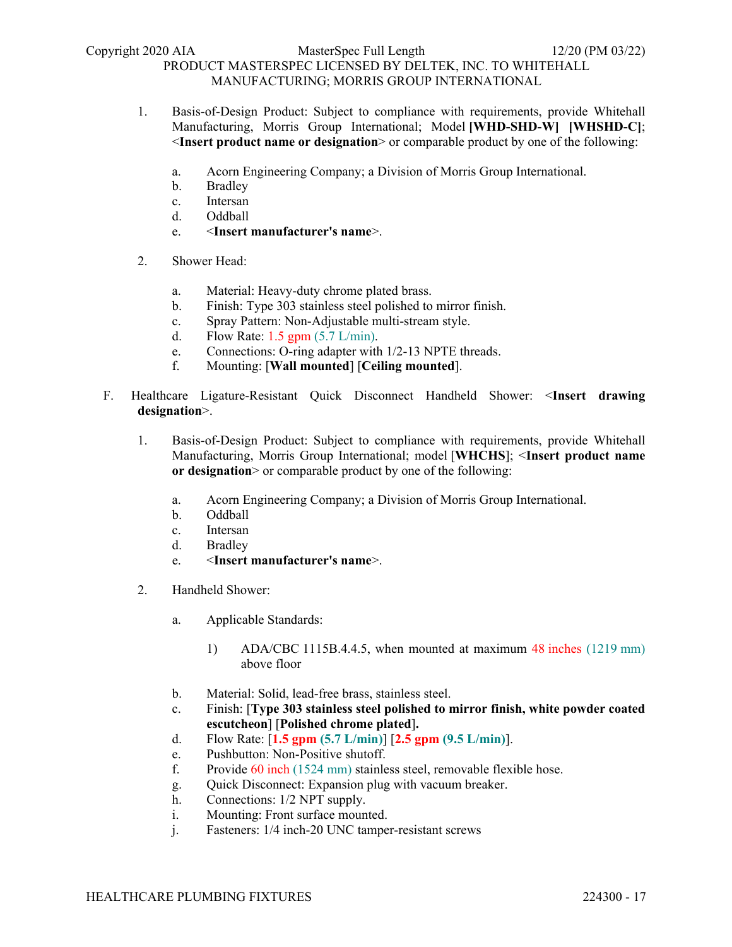- 1. Basis-of-Design Product: Subject to compliance with requirements, provide Whitehall Manufacturing, Morris Group International; Model **[WHD-SHD-W] [WHSHD-C]**; <**Insert product name or designation**> or comparable product by one of the following:
	- a. Acorn Engineering Company; a Division of Morris Group International.
	- b. Bradley
	- c. Intersan
	- d. Oddball
	- e. <**Insert manufacturer's name**>.
- 2. Shower Head:
	- a. Material: Heavy-duty chrome plated brass.
	- b. Finish: Type 303 stainless steel polished to mirror finish.
	- c. Spray Pattern: Non-Adjustable multi-stream style.
	- d. Flow Rate: 1.5 gpm (5.7 L/min).
	- e. Connections: O-ring adapter with 1/2-13 NPTE threads.
	- f. Mounting: [**Wall mounted**] [**Ceiling mounted**].
- F. Healthcare Ligature-Resistant Quick Disconnect Handheld Shower: <**Insert drawing designation**>.
	- 1. Basis-of-Design Product: Subject to compliance with requirements, provide Whitehall Manufacturing, Morris Group International; model [**WHCHS**]; <**Insert product name or designation**> or comparable product by one of the following:
		- a. Acorn Engineering Company; a Division of Morris Group International.
		- b. Oddball
		- c. Intersan
		- d. Bradley
		- e. <**Insert manufacturer's name**>.
	- 2. Handheld Shower:
		- a. Applicable Standards:
			- 1) ADA/CBC 1115B.4.4.5, when mounted at maximum 48 inches (1219 mm) above floor
		- b. Material: Solid, lead-free brass, stainless steel.
		- c. Finish: [**Type 303 stainless steel polished to mirror finish, white powder coated escutcheon**] [**Polished chrome plated**]**.**
		- d. Flow Rate: [**1.5 gpm (5.7 L/min)**] [**2.5 gpm (9.5 L/min)**].
		- e. Pushbutton: Non-Positive shutoff.
		- f. Provide 60 inch (1524 mm) stainless steel, removable flexible hose.
		- g. Quick Disconnect: Expansion plug with vacuum breaker.
		- h. Connections: 1/2 NPT supply.
		- i. Mounting: Front surface mounted.
		- j. Fasteners: 1/4 inch-20 UNC tamper-resistant screws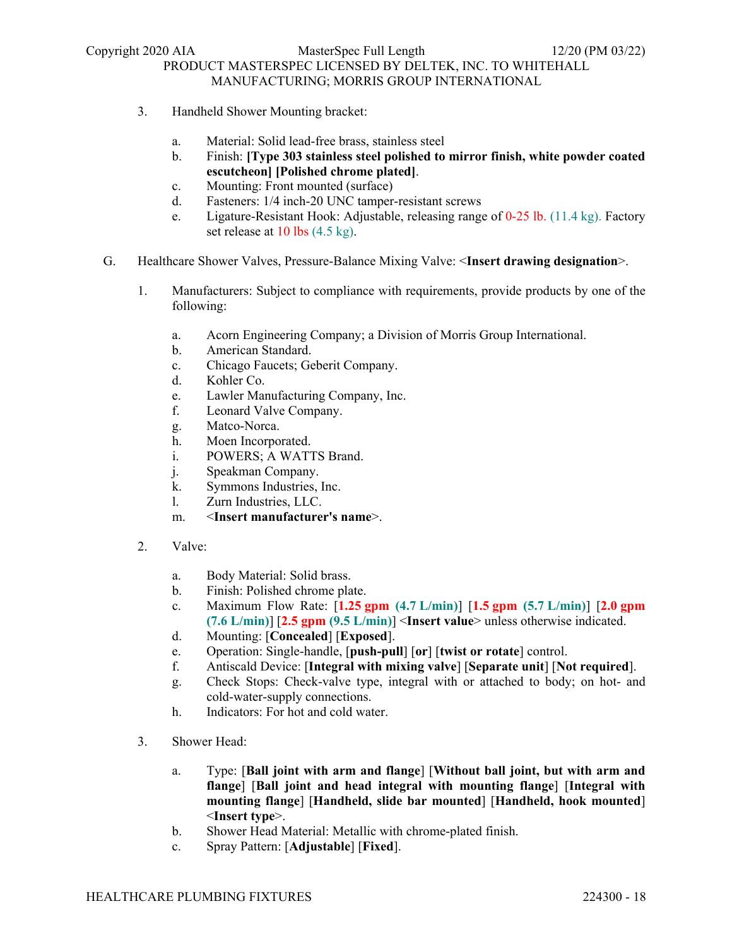- 3. Handheld Shower Mounting bracket:
	- a. Material: Solid lead-free brass, stainless steel
	- b. Finish: **[Type 303 stainless steel polished to mirror finish, white powder coated escutcheon] [Polished chrome plated]**.
	- c. Mounting: Front mounted (surface)
	- d. Fasteners: 1/4 inch-20 UNC tamper-resistant screws
	- e. Ligature-Resistant Hook: Adjustable, releasing range of 0-25 lb. (11.4 kg). Factory set release at 10 lbs (4.5 kg).
- G. Healthcare Shower Valves, Pressure-Balance Mixing Valve: <**Insert drawing designation**>.
	- 1. Manufacturers: Subject to compliance with requirements, provide products by one of the following:
		- a. Acorn Engineering Company; a Division of Morris Group International.
		- b. American Standard.
		- c. Chicago Faucets; Geberit Company.
		- d. Kohler Co.
		- e. Lawler Manufacturing Company, Inc.
		- f. Leonard Valve Company.
		- g. Matco-Norca.
		- h. Moen Incorporated.
		- i. POWERS; A WATTS Brand.
		- j. Speakman Company.
		- k. Symmons Industries, Inc.
		- l. Zurn Industries, LLC.
		- m. <**Insert manufacturer's name**>.
	- 2. Valve:
		- a. Body Material: Solid brass.
		- b. Finish: Polished chrome plate.
		- c. Maximum Flow Rate: [**1.25 gpm (4.7 L/min)**] [**1.5 gpm (5.7 L/min)**] [**2.0 gpm (7.6 L/min)**] [**2.5 gpm (9.5 L/min)**] <**Insert value**> unless otherwise indicated.
		- d. Mounting: [**Concealed**] [**Exposed**].
		- e. Operation: Single-handle, [**push-pull**] [**or**] [**twist or rotate**] control.
		- f. Antiscald Device: [**Integral with mixing valve**] [**Separate unit**] [**Not required**].
		- g. Check Stops: Check-valve type, integral with or attached to body; on hot- and cold-water-supply connections.
		- h. Indicators: For hot and cold water.
	- 3. Shower Head:
		- a. Type: [**Ball joint with arm and flange**] [**Without ball joint, but with arm and flange**] [**Ball joint and head integral with mounting flange**] [**Integral with mounting flange**] [**Handheld, slide bar mounted**] [**Handheld, hook mounted**] <**Insert type**>.
		- b. Shower Head Material: Metallic with chrome-plated finish.
		- c. Spray Pattern: [**Adjustable**] [**Fixed**].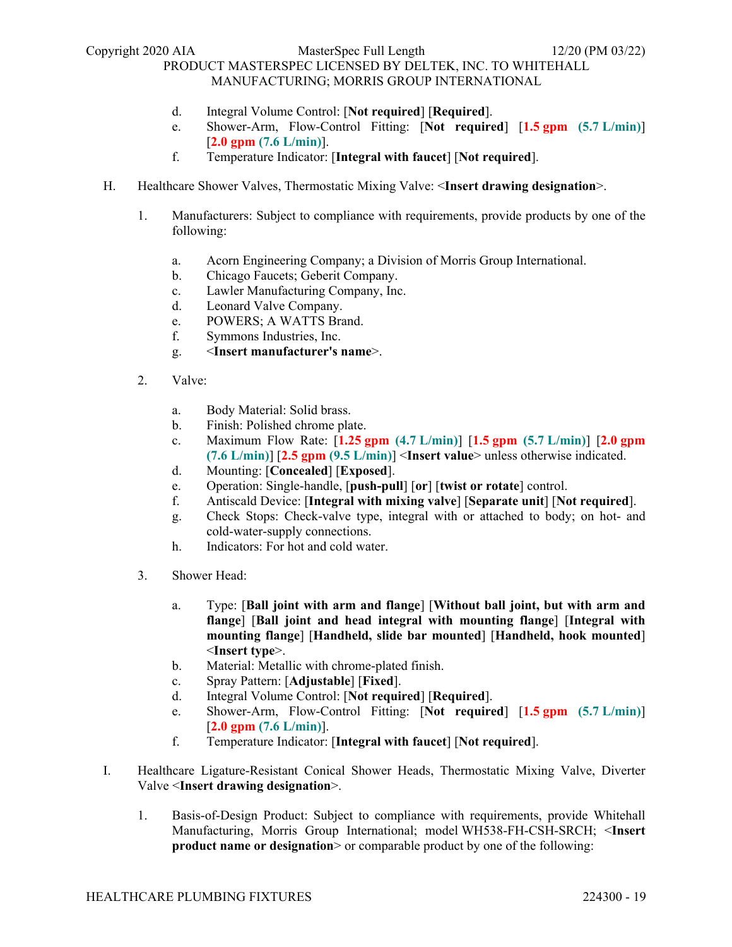- d. Integral Volume Control: [**Not required**] [**Required**].
- e. Shower-Arm, Flow-Control Fitting: [**Not required**] [**1.5 gpm (5.7 L/min)**] [**2.0 gpm (7.6 L/min)**].
- f. Temperature Indicator: [**Integral with faucet**] [**Not required**].
- H. Healthcare Shower Valves, Thermostatic Mixing Valve: <**Insert drawing designation**>.
	- 1. Manufacturers: Subject to compliance with requirements, provide products by one of the following:
		- a. Acorn Engineering Company; a Division of Morris Group International.
		- b. Chicago Faucets; Geberit Company.
		- c. Lawler Manufacturing Company, Inc.
		- d. Leonard Valve Company.
		- e. POWERS; A WATTS Brand.
		- f. Symmons Industries, Inc.
		- g. <**Insert manufacturer's name**>.
	- 2. Valve:
		- a. Body Material: Solid brass.
		- b. Finish: Polished chrome plate.
		- c. Maximum Flow Rate: [**1.25 gpm (4.7 L/min)**] [**1.5 gpm (5.7 L/min)**] [**2.0 gpm (7.6 L/min)**] [**2.5 gpm (9.5 L/min)**] <**Insert value**> unless otherwise indicated.
		- d. Mounting: [**Concealed**] [**Exposed**].
		- e. Operation: Single-handle, [**push-pull**] [**or**] [**twist or rotate**] control.
		- f. Antiscald Device: [**Integral with mixing valve**] [**Separate unit**] [**Not required**].
		- g. Check Stops: Check-valve type, integral with or attached to body; on hot- and cold-water-supply connections.
		- h. Indicators: For hot and cold water.
	- 3. Shower Head:
		- a. Type: [**Ball joint with arm and flange**] [**Without ball joint, but with arm and flange**] [**Ball joint and head integral with mounting flange**] [**Integral with mounting flange**] [**Handheld, slide bar mounted**] [**Handheld, hook mounted**] <**Insert type**>.
		- b. Material: Metallic with chrome-plated finish.
		- c. Spray Pattern: [**Adjustable**] [**Fixed**].
		- d. Integral Volume Control: [**Not required**] [**Required**].
		- e. Shower-Arm, Flow-Control Fitting: [**Not required**] [**1.5 gpm (5.7 L/min)**] [**2.0 gpm (7.6 L/min)**].
		- f. Temperature Indicator: [**Integral with faucet**] [**Not required**].
- I. Healthcare Ligature-Resistant Conical Shower Heads, Thermostatic Mixing Valve, Diverter Valve <**Insert drawing designation**>.
	- 1. Basis-of-Design Product: Subject to compliance with requirements, provide Whitehall Manufacturing, Morris Group International; model WH538-FH-CSH-SRCH; <**Insert product name or designation** or comparable product by one of the following: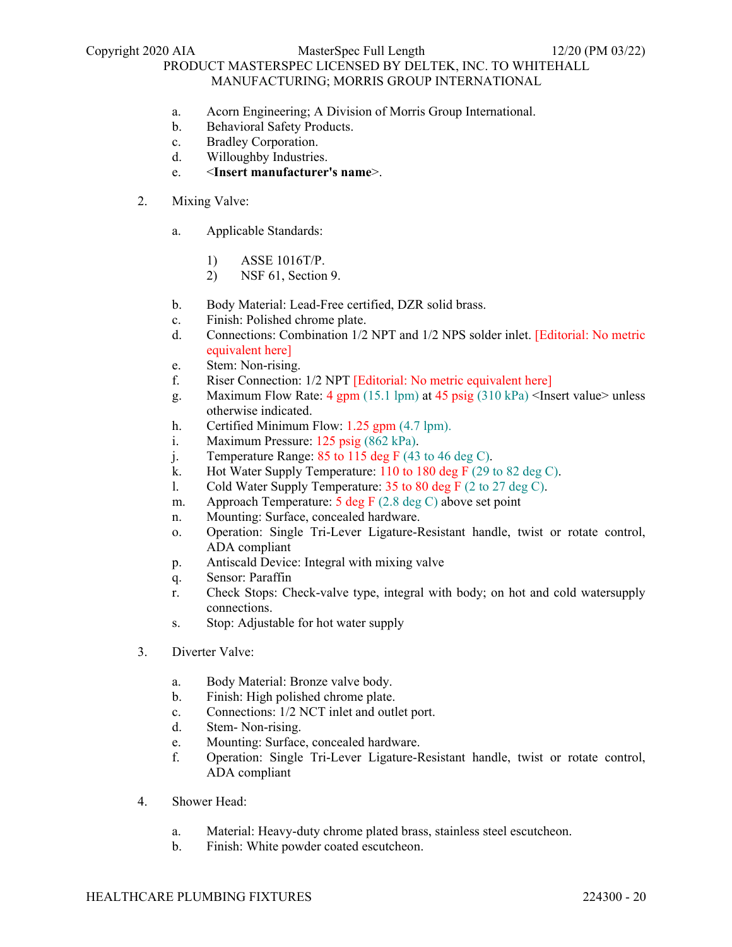#### Copyright 2020 AIA MasterSpec Full Length 12/20 (PM 03/22)

### PRODUCT MASTERSPEC LICENSED BY DELTEK, INC. TO WHITEHALL MANUFACTURING; MORRIS GROUP INTERNATIONAL

- a. Acorn Engineering; A Division of Morris Group International.
- b. Behavioral Safety Products.
- c. Bradley Corporation.
- d. Willoughby Industries.
- e. <**Insert manufacturer's name**>.
- 2. Mixing Valve:
	- a. Applicable Standards:
		- 1) ASSE 1016T/P.
		- 2) NSF 61, Section 9.
	- b. Body Material: Lead-Free certified, DZR solid brass.
	- c. Finish: Polished chrome plate.
	- d. Connections: Combination 1/2 NPT and 1/2 NPS solder inlet. [Editorial: No metric equivalent here]
	- e. Stem: Non-rising.
	- f. Riser Connection: 1/2 NPT [Editorial: No metric equivalent here]
	- g. Maximum Flow Rate:  $4 \text{ gpm} (15.1 \text{ lpm})$  at  $45 \text{ psig} (310 \text{ kPa})$  <Insert value> unless otherwise indicated.
	- h. Certified Minimum Flow: 1.25 gpm (4.7 lpm).
	- i. Maximum Pressure: 125 psig (862 kPa).
	- j. Temperature Range:  $85$  to  $115$  deg F (43 to 46 deg C).
	- k. Hot Water Supply Temperature: 110 to 180 deg F (29 to 82 deg C).
	- l. Cold Water Supply Temperature: 35 to 80 deg F (2 to 27 deg C).
	- m. Approach Temperature:  $\frac{5 \text{ deg F}}{2.8 \text{ deg C}}$  above set point
	- n. Mounting: Surface, concealed hardware.
	- o. Operation: Single Tri-Lever Ligature-Resistant handle, twist or rotate control, ADA compliant
	- p. Antiscald Device: Integral with mixing valve
	- q. Sensor: Paraffin
	- r. Check Stops: Check-valve type, integral with body; on hot and cold watersupply connections.
	- s. Stop: Adjustable for hot water supply
- 3. Diverter Valve:
	- a. Body Material: Bronze valve body.
	- b. Finish: High polished chrome plate.
	- c. Connections: 1/2 NCT inlet and outlet port.
	- d. Stem- Non-rising.
	- e. Mounting: Surface, concealed hardware.
	- f. Operation: Single Tri-Lever Ligature-Resistant handle, twist or rotate control, ADA compliant
- 4. Shower Head:
	- a. Material: Heavy-duty chrome plated brass, stainless steel escutcheon.
	- b. Finish: White powder coated escutcheon.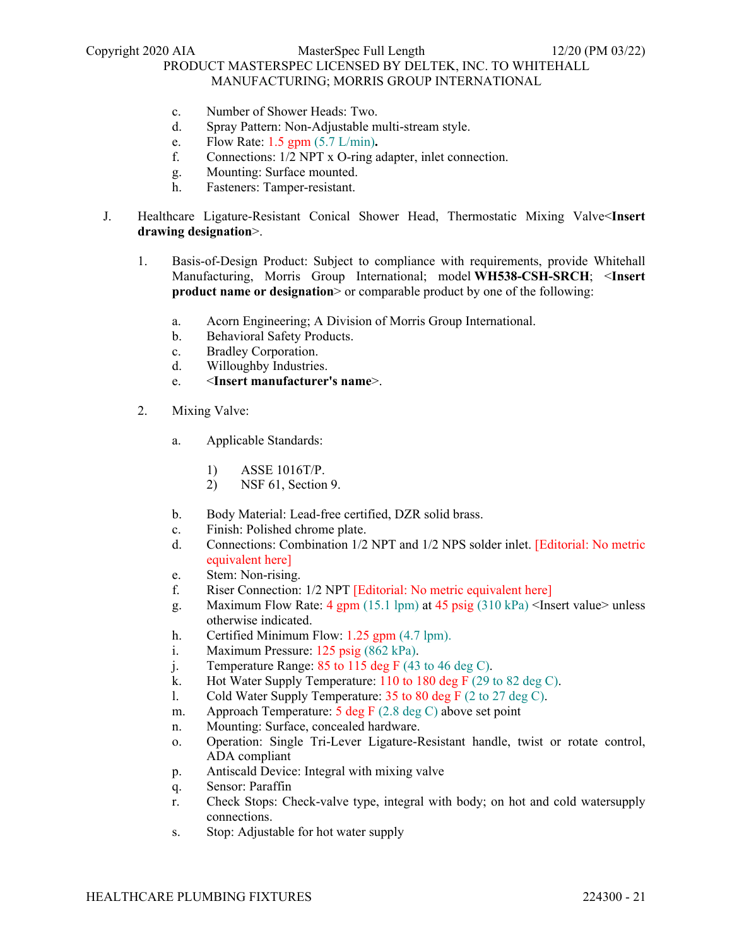- c. Number of Shower Heads: Two.
- d. Spray Pattern: Non-Adjustable multi-stream style.
- e. Flow Rate: 1.5 gpm (5.7 L/min)**.**
- f. Connections: 1/2 NPT x O-ring adapter, inlet connection.
- g. Mounting: Surface mounted.
- h. Fasteners: Tamper-resistant.
- J. Healthcare Ligature-Resistant Conical Shower Head, Thermostatic Mixing Valve<**Insert drawing designation**>.
	- 1. Basis-of-Design Product: Subject to compliance with requirements, provide Whitehall Manufacturing, Morris Group International; model **WH538-CSH-SRCH**; <**Insert product name or designation** or comparable product by one of the following:
		- a. Acorn Engineering; A Division of Morris Group International.
		- b. Behavioral Safety Products.
		- c. Bradley Corporation.
		- d. Willoughby Industries.
		- e. <**Insert manufacturer's name**>.
	- 2. Mixing Valve:
		- a. Applicable Standards:
			- 1) ASSE 1016T/P.
			- 2) NSF 61, Section 9.
		- b. Body Material: Lead-free certified, DZR solid brass.
		- c. Finish: Polished chrome plate.
		- d. Connections: Combination 1/2 NPT and 1/2 NPS solder inlet. [Editorial: No metric equivalent here]
		- e. Stem: Non-rising.
		- f. Riser Connection: 1/2 NPT [Editorial: No metric equivalent here]
		- g. Maximum Flow Rate: 4 gpm (15.1 lpm) at 45 psig (310 kPa) <Insert value> unless otherwise indicated.
		- h. Certified Minimum Flow: 1.25 gpm (4.7 lpm).
		- i. Maximum Pressure: 125 psig (862 kPa).
		- j. Temperature Range:  $85$  to  $115$  deg F (43 to 46 deg C).
		- k. Hot Water Supply Temperature: 110 to 180 deg F (29 to 82 deg C).
		- l. Cold Water Supply Temperature: 35 to 80 deg F (2 to 27 deg C).
		- m. Approach Temperature:  $\frac{5 \text{ deg F}}{2.8 \text{ deg C}}$  above set point
		- n. Mounting: Surface, concealed hardware.
		- o. Operation: Single Tri-Lever Ligature-Resistant handle, twist or rotate control, ADA compliant
		- p. Antiscald Device: Integral with mixing valve
		- q. Sensor: Paraffin
		- r. Check Stops: Check-valve type, integral with body; on hot and cold watersupply connections.
		- s. Stop: Adjustable for hot water supply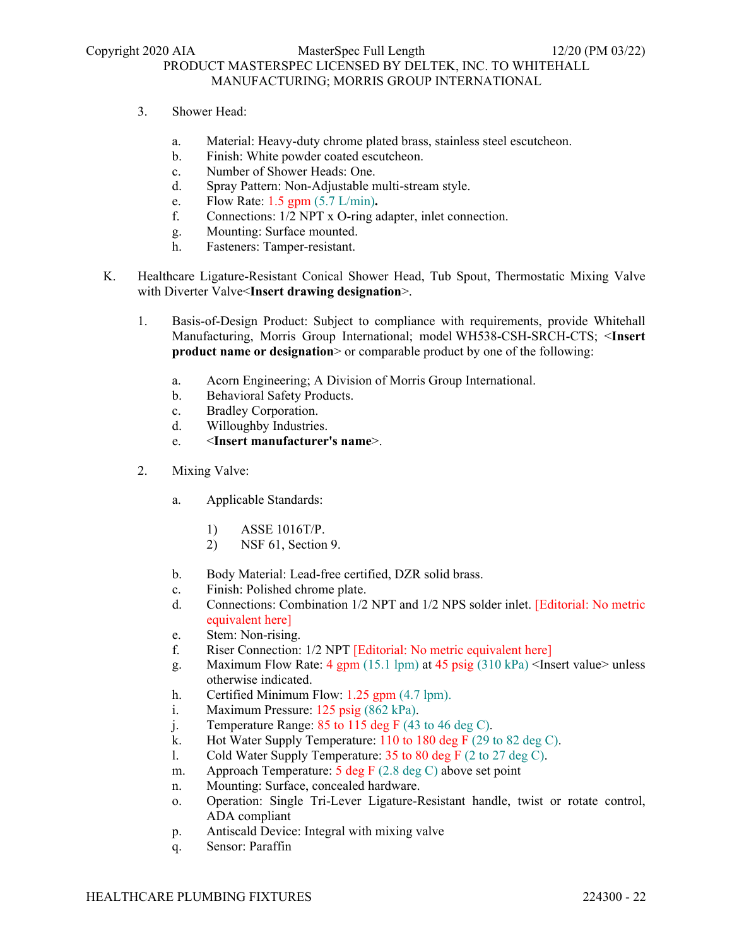- 3. Shower Head:
	- a. Material: Heavy-duty chrome plated brass, stainless steel escutcheon.
	- b. Finish: White powder coated escutcheon.
	- c. Number of Shower Heads: One.
	- d. Spray Pattern: Non-Adjustable multi-stream style.
	- e. Flow Rate: 1.5 gpm (5.7 L/min)**.**
	- f. Connections: 1/2 NPT x O-ring adapter, inlet connection.
	- g. Mounting: Surface mounted.
	- h. Fasteners: Tamper-resistant.
- K. Healthcare Ligature-Resistant Conical Shower Head, Tub Spout, Thermostatic Mixing Valve with Diverter Valve<**Insert drawing designation**>.
	- 1. Basis-of-Design Product: Subject to compliance with requirements, provide Whitehall Manufacturing, Morris Group International; model WH538-CSH-SRCH-CTS; <**Insert product name or designation** > or comparable product by one of the following:
		- a. Acorn Engineering; A Division of Morris Group International.
		- b. Behavioral Safety Products.
		- c. Bradley Corporation.
		- d. Willoughby Industries.
		- e. <**Insert manufacturer's name**>.
	- 2. Mixing Valve:
		- a. Applicable Standards:
			- 1) ASSE 1016T/P.
			- 2) NSF 61, Section 9.
		- b. Body Material: Lead-free certified, DZR solid brass.
		- c. Finish: Polished chrome plate.
		- d. Connections: Combination 1/2 NPT and 1/2 NPS solder inlet. [Editorial: No metric equivalent here]
		- e. Stem: Non-rising.
		- f. Riser Connection: 1/2 NPT [Editorial: No metric equivalent here]
		- g. Maximum Flow Rate: 4 gpm (15.1 lpm) at 45 psig  $(310 \text{ kPa})$  <Insert value> unless otherwise indicated.
		- h. Certified Minimum Flow: 1.25 gpm (4.7 lpm).
		- i. Maximum Pressure: 125 psig (862 kPa).
		- j. Temperature Range: 85 to 115 deg F (43 to 46 deg C).
		- k. Hot Water Supply Temperature: 110 to 180 deg F (29 to 82 deg C).
		- l. Cold Water Supply Temperature: 35 to 80 deg F (2 to 27 deg C).
		- m. Approach Temperature:  $\frac{5 \text{ deg F}}{2.8 \text{ deg C}}$  above set point
		- n. Mounting: Surface, concealed hardware.
		- o. Operation: Single Tri-Lever Ligature-Resistant handle, twist or rotate control, ADA compliant
		- p. Antiscald Device: Integral with mixing valve
		- q. Sensor: Paraffin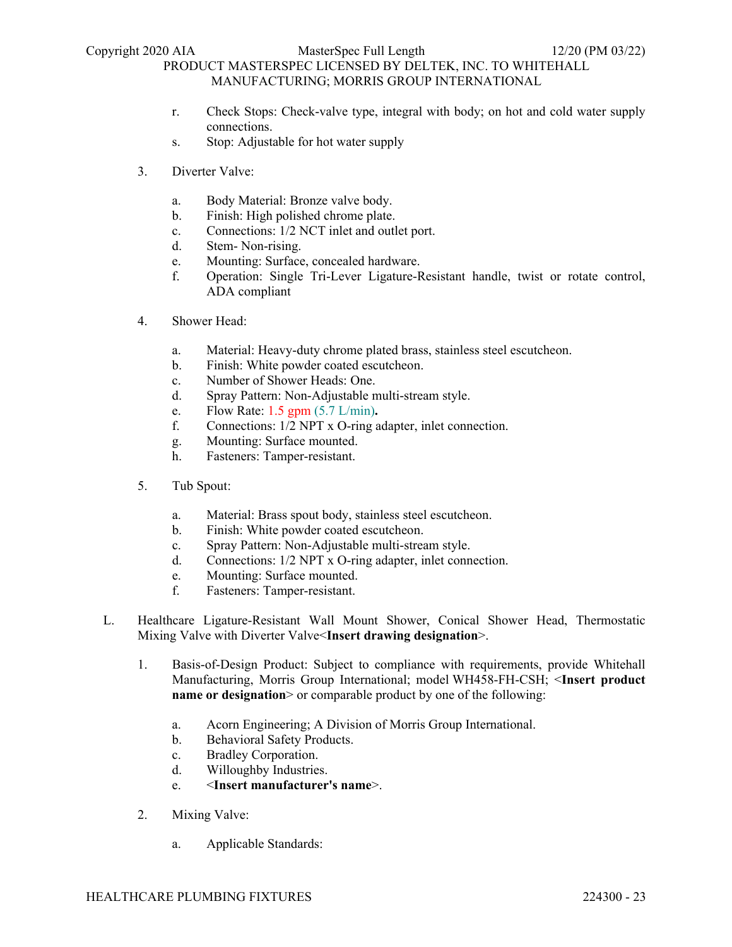- r. Check Stops: Check-valve type, integral with body; on hot and cold water supply connections.
- s. Stop: Adjustable for hot water supply
- 3. Diverter Valve:
	- a. Body Material: Bronze valve body.
	- b. Finish: High polished chrome plate.
	- c. Connections: 1/2 NCT inlet and outlet port.
	- d. Stem- Non-rising.
	- e. Mounting: Surface, concealed hardware.
	- f. Operation: Single Tri-Lever Ligature-Resistant handle, twist or rotate control, ADA compliant
- 4. Shower Head:
	- a. Material: Heavy-duty chrome plated brass, stainless steel escutcheon.
	- b. Finish: White powder coated escutcheon.
	- c. Number of Shower Heads: One.
	- d. Spray Pattern: Non-Adjustable multi-stream style.
	- e. Flow Rate: 1.5 gpm (5.7 L/min)**.**
	- f. Connections: 1/2 NPT x O-ring adapter, inlet connection.
	- g. Mounting: Surface mounted.
	- h. Fasteners: Tamper-resistant.
- 5. Tub Spout:
	- a. Material: Brass spout body, stainless steel escutcheon.
	- b. Finish: White powder coated escutcheon.
	- c. Spray Pattern: Non-Adjustable multi-stream style.
	- d. Connections: 1/2 NPT x O-ring adapter, inlet connection.
	- e. Mounting: Surface mounted.
	- f. Fasteners: Tamper-resistant.
- L. Healthcare Ligature-Resistant Wall Mount Shower, Conical Shower Head, Thermostatic Mixing Valve with Diverter Valve<**Insert drawing designation**>.
	- 1. Basis-of-Design Product: Subject to compliance with requirements, provide Whitehall Manufacturing, Morris Group International; model WH458-FH-CSH; <**Insert product name or designation** > or comparable product by one of the following:
		- a. Acorn Engineering; A Division of Morris Group International.
		- b. Behavioral Safety Products.
		- c. Bradley Corporation.
		- d. Willoughby Industries.
		- e. <**Insert manufacturer's name**>.
	- 2. Mixing Valve:
		- a. Applicable Standards: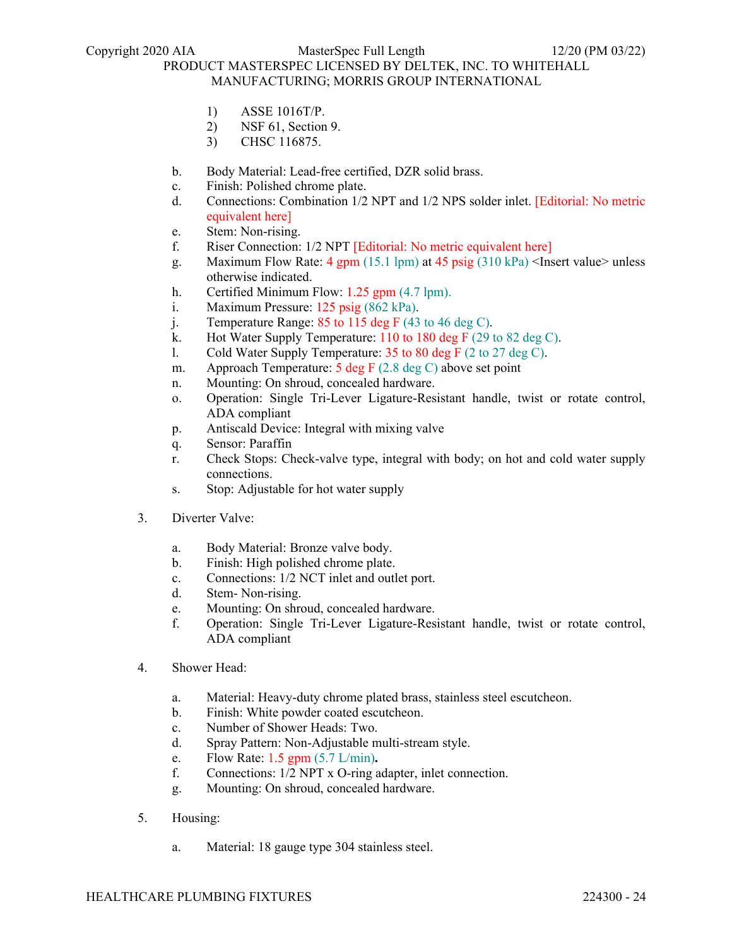- 1) ASSE 1016T/P.
- 2) NSF 61, Section 9.
- 3) CHSC 116875.
- b. Body Material: Lead-free certified, DZR solid brass.
- c. Finish: Polished chrome plate.
- d. Connections: Combination 1/2 NPT and 1/2 NPS solder inlet. [Editorial: No metric equivalent here]
- e. Stem: Non-rising.
- f. Riser Connection: 1/2 NPT [Editorial: No metric equivalent here]
- g. Maximum Flow Rate: 4 gpm (15.1 lpm) at 45 psig (310 kPa) <Insert value> unless otherwise indicated.
- h. Certified Minimum Flow: 1.25 gpm (4.7 lpm).
- i. Maximum Pressure: 125 psig (862 kPa).
- j. Temperature Range:  $85$  to 115 deg F (43 to 46 deg C).
- k. Hot Water Supply Temperature:  $110$  to  $180$  deg F (29 to  $82$  deg C).
- l. Cold Water Supply Temperature: 35 to 80 deg F (2 to 27 deg C).
- m. Approach Temperature: 5 deg F (2.8 deg C) above set point
- n. Mounting: On shroud, concealed hardware.
- o. Operation: Single Tri-Lever Ligature-Resistant handle, twist or rotate control, ADA compliant
- p. Antiscald Device: Integral with mixing valve
- q. Sensor: Paraffin
- r. Check Stops: Check-valve type, integral with body; on hot and cold water supply connections.
- s. Stop: Adjustable for hot water supply
- 3. Diverter Valve:
	- a. Body Material: Bronze valve body.
	- b. Finish: High polished chrome plate.
	- c. Connections: 1/2 NCT inlet and outlet port.
	- d. Stem- Non-rising.
	- e. Mounting: On shroud, concealed hardware.
	- f. Operation: Single Tri-Lever Ligature-Resistant handle, twist or rotate control, ADA compliant
- 4. Shower Head:
	- a. Material: Heavy-duty chrome plated brass, stainless steel escutcheon.
	- b. Finish: White powder coated escutcheon.
	- c. Number of Shower Heads: Two.
	- d. Spray Pattern: Non-Adjustable multi-stream style.
	- e. Flow Rate: 1.5 gpm (5.7 L/min)**.**
	- f. Connections: 1/2 NPT x O-ring adapter, inlet connection.
	- g. Mounting: On shroud, concealed hardware.
- 5. Housing:
	- a. Material: 18 gauge type 304 stainless steel.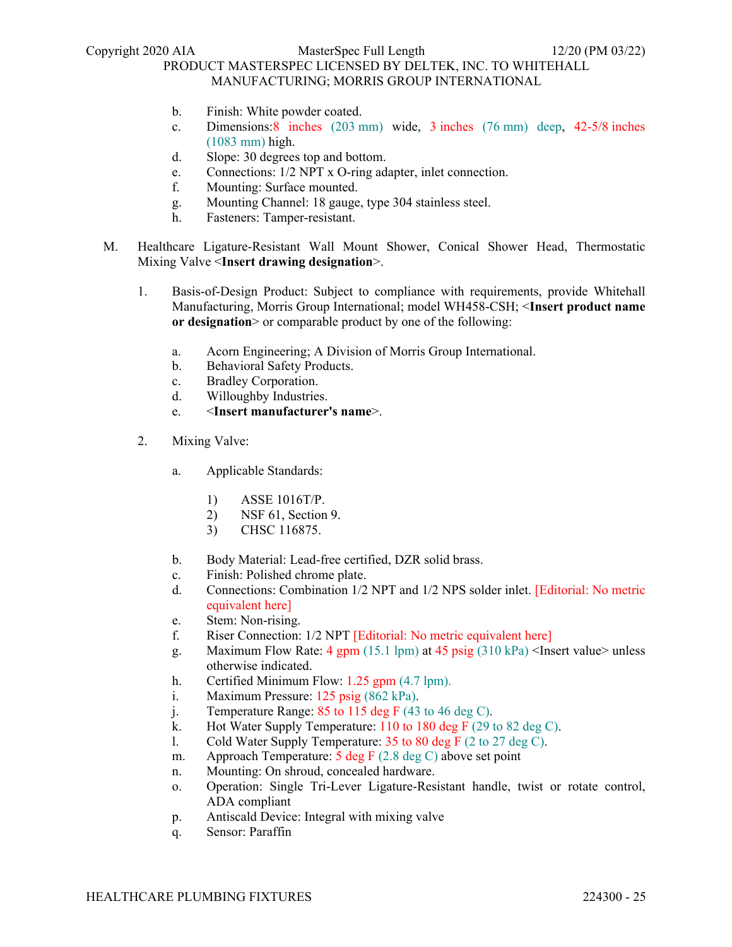- b. Finish: White powder coated.
- c. Dimensions:8 inches (203 mm) wide, 3 inches (76 mm) deep, 42-5/8 inches (1083 mm) high.
- d. Slope: 30 degrees top and bottom.
- e. Connections: 1/2 NPT x O-ring adapter, inlet connection.
- f. Mounting: Surface mounted.
- g. Mounting Channel: 18 gauge, type 304 stainless steel.
- h. Fasteners: Tamper-resistant.
- M. Healthcare Ligature-Resistant Wall Mount Shower, Conical Shower Head, Thermostatic Mixing Valve <**Insert drawing designation**>.
	- 1. Basis-of-Design Product: Subject to compliance with requirements, provide Whitehall Manufacturing, Morris Group International; model WH458-CSH; <**Insert product name or designation**> or comparable product by one of the following:
		- a. Acorn Engineering; A Division of Morris Group International.
		- b. Behavioral Safety Products.
		- c. Bradley Corporation.
		- d. Willoughby Industries.
		- e. <**Insert manufacturer's name**>.
	- 2. Mixing Valve:
		- a. Applicable Standards:
			- 1) ASSE 1016T/P.
			- 2) NSF 61, Section 9.
			- 3) CHSC 116875.
		- b. Body Material: Lead-free certified, DZR solid brass.
		- c. Finish: Polished chrome plate.
		- d. Connections: Combination 1/2 NPT and 1/2 NPS solder inlet. [Editorial: No metric equivalent here]
		- e. Stem: Non-rising.
		- f. Riser Connection: 1/2 NPT [Editorial: No metric equivalent here]
		- g. Maximum Flow Rate: 4 gpm (15.1 lpm) at 45 psig (310 kPa) <Insert value> unless otherwise indicated.
		- h. Certified Minimum Flow: 1.25 gpm (4.7 lpm).
		- i. Maximum Pressure: 125 psig (862 kPa).
		- j. Temperature Range: 85 to 115 deg F (43 to 46 deg C).
		- k. Hot Water Supply Temperature: 110 to 180 deg F (29 to 82 deg C).
		- l. Cold Water Supply Temperature: 35 to 80 deg F (2 to 27 deg C).
		- m. Approach Temperature: 5 deg F (2.8 deg C) above set point
		- n. Mounting: On shroud, concealed hardware.
		- o. Operation: Single Tri-Lever Ligature-Resistant handle, twist or rotate control, ADA compliant
		- p. Antiscald Device: Integral with mixing valve
		- q. Sensor: Paraffin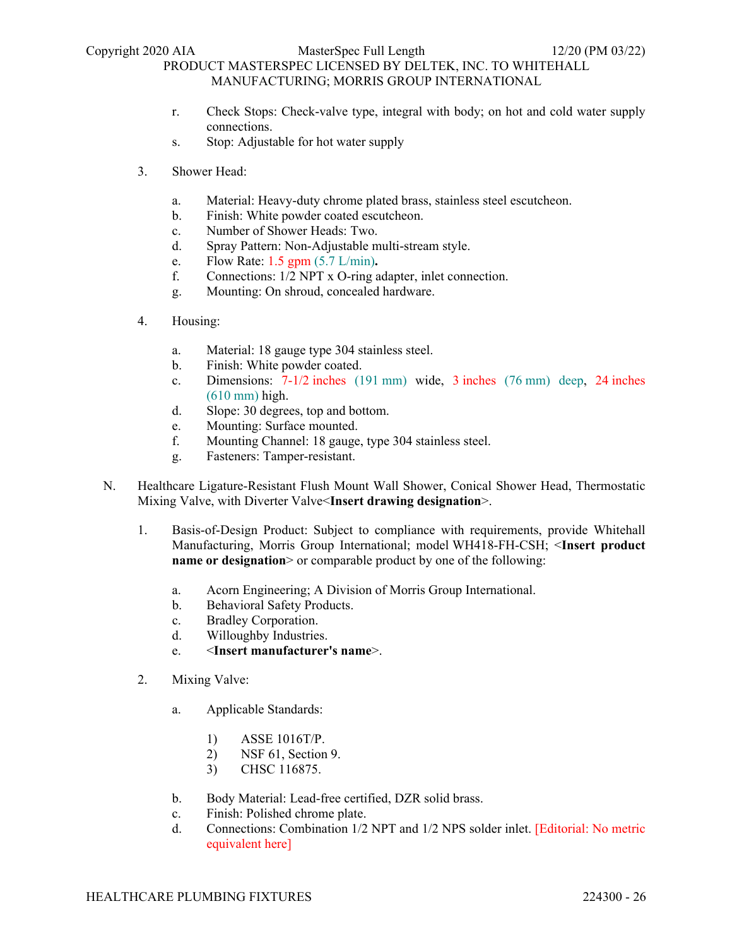- r. Check Stops: Check-valve type, integral with body; on hot and cold water supply connections.
- s. Stop: Adjustable for hot water supply
- 3. Shower Head:
	- a. Material: Heavy-duty chrome plated brass, stainless steel escutcheon.
	- b. Finish: White powder coated escutcheon.
	- c. Number of Shower Heads: Two.
	- d. Spray Pattern: Non-Adjustable multi-stream style.
	- e. Flow Rate: 1.5 gpm (5.7 L/min)**.**
	- f. Connections: 1/2 NPT x O-ring adapter, inlet connection.
	- g. Mounting: On shroud, concealed hardware.
- 4. Housing:
	- a. Material: 18 gauge type 304 stainless steel.
	- b. Finish: White powder coated.
	- c. Dimensions: 7-1/2 inches (191 mm) wide, 3 inches (76 mm) deep, 24 inches (610 mm) high.
	- d. Slope: 30 degrees, top and bottom.
	- e. Mounting: Surface mounted.
	- f. Mounting Channel: 18 gauge, type 304 stainless steel.
	- g. Fasteners: Tamper-resistant.
- N. Healthcare Ligature-Resistant Flush Mount Wall Shower, Conical Shower Head, Thermostatic Mixing Valve, with Diverter Valve<**Insert drawing designation**>.
	- 1. Basis-of-Design Product: Subject to compliance with requirements, provide Whitehall Manufacturing, Morris Group International; model WH418-FH-CSH; <**Insert product name or designation** or comparable product by one of the following:
		- a. Acorn Engineering; A Division of Morris Group International.
		- b. Behavioral Safety Products.
		- c. Bradley Corporation.
		- d. Willoughby Industries.
		- e. <**Insert manufacturer's name**>.
	- 2. Mixing Valve:
		- a. Applicable Standards:
			- 1) ASSE 1016T/P.
			- 2) NSF 61, Section 9.
			- 3) CHSC 116875.
		- b. Body Material: Lead-free certified, DZR solid brass.
		- c. Finish: Polished chrome plate.
		- d. Connections: Combination 1/2 NPT and 1/2 NPS solder inlet. [Editorial: No metric equivalent here]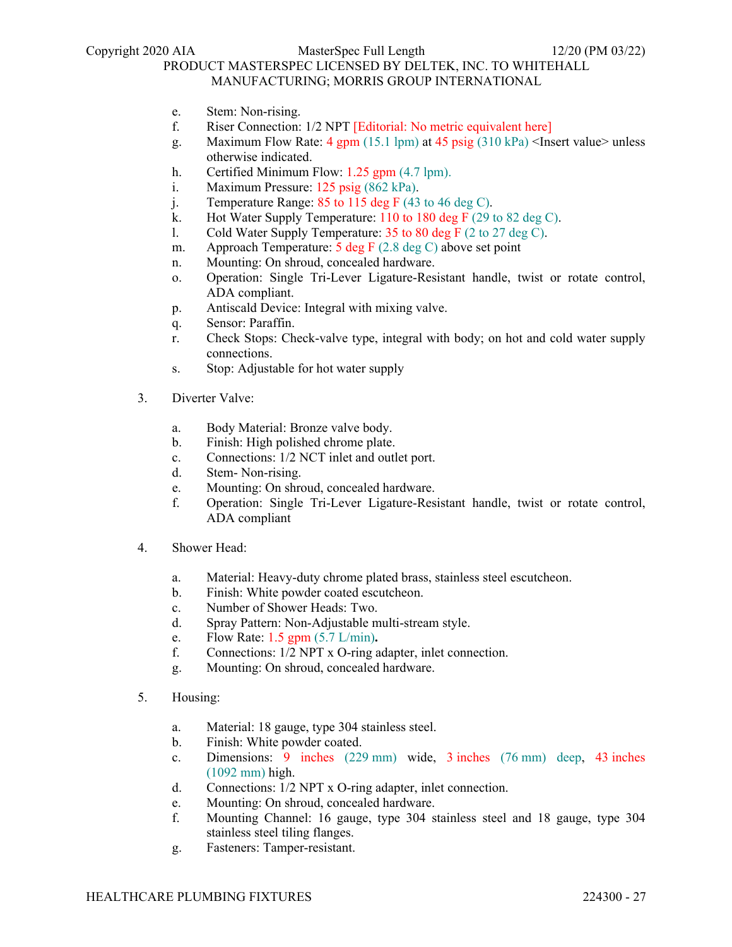- e. Stem: Non-rising.
- f. Riser Connection: 1/2 NPT [Editorial: No metric equivalent here]
- g. Maximum Flow Rate: 4 gpm (15.1 lpm) at 45 psig  $(310 \text{ kPa})$  <Insert value> unless otherwise indicated.
- h. Certified Minimum Flow: 1.25 gpm (4.7 lpm).
- i. Maximum Pressure: 125 psig (862 kPa).
- j. Temperature Range: 85 to 115 deg F (43 to 46 deg C).
- k. Hot Water Supply Temperature: 110 to 180 deg F (29 to 82 deg C).
- l. Cold Water Supply Temperature: 35 to 80 deg F (2 to 27 deg C).
- m. Approach Temperature: 5 deg F (2.8 deg C) above set point
- n. Mounting: On shroud, concealed hardware.
- o. Operation: Single Tri-Lever Ligature-Resistant handle, twist or rotate control, ADA compliant.
- p. Antiscald Device: Integral with mixing valve.
- q. Sensor: Paraffin.
- r. Check Stops: Check-valve type, integral with body; on hot and cold water supply connections.
- s. Stop: Adjustable for hot water supply
- 3. Diverter Valve:
	- a. Body Material: Bronze valve body.
	- b. Finish: High polished chrome plate.
	- c. Connections: 1/2 NCT inlet and outlet port.
	- d. Stem- Non-rising.
	- e. Mounting: On shroud, concealed hardware.
	- f. Operation: Single Tri-Lever Ligature-Resistant handle, twist or rotate control, ADA compliant
- 4. Shower Head:
	- a. Material: Heavy-duty chrome plated brass, stainless steel escutcheon.
	- b. Finish: White powder coated escutcheon.
	- c. Number of Shower Heads: Two.
	- d. Spray Pattern: Non-Adjustable multi-stream style.
	- e. Flow Rate: 1.5 gpm (5.7 L/min)**.**
	- f. Connections: 1/2 NPT x O-ring adapter, inlet connection.
	- g. Mounting: On shroud, concealed hardware.
- 5. Housing:
	- a. Material: 18 gauge, type 304 stainless steel.
	- b. Finish: White powder coated.
	- c. Dimensions: 9 inches (229 mm) wide, 3 inches (76 mm) deep, 43 inches (1092 mm) high.
	- d. Connections: 1/2 NPT x O-ring adapter, inlet connection.
	- e. Mounting: On shroud, concealed hardware.
	- f. Mounting Channel: 16 gauge, type 304 stainless steel and 18 gauge, type 304 stainless steel tiling flanges.
	- g. Fasteners: Tamper-resistant.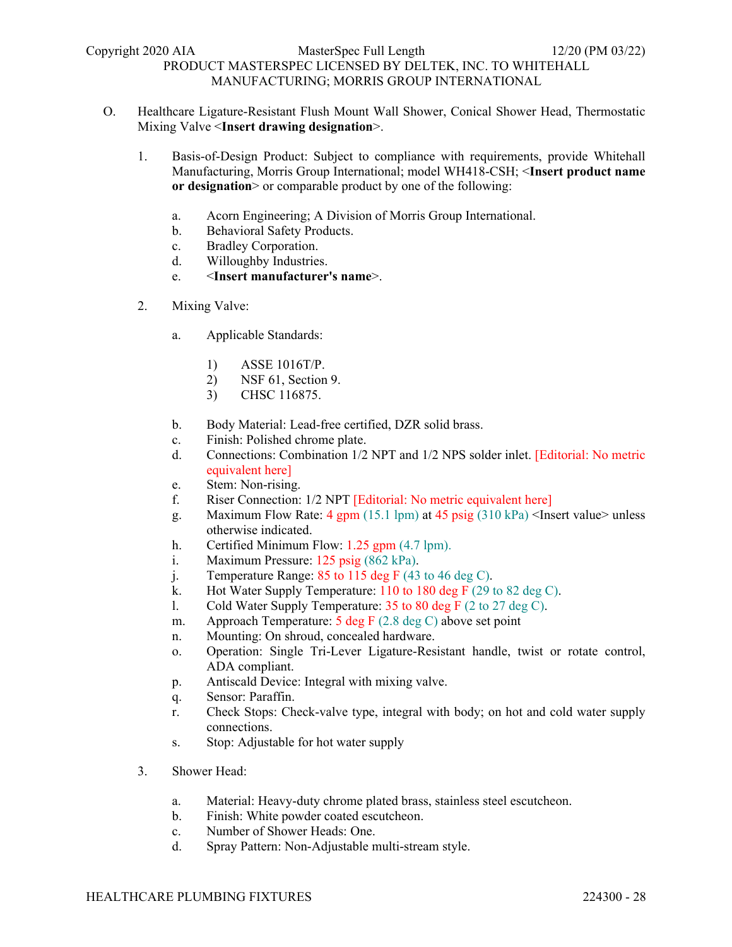- O. Healthcare Ligature-Resistant Flush Mount Wall Shower, Conical Shower Head, Thermostatic Mixing Valve <**Insert drawing designation**>.
	- 1. Basis-of-Design Product: Subject to compliance with requirements, provide Whitehall Manufacturing, Morris Group International; model WH418-CSH; <**Insert product name or designation**> or comparable product by one of the following:
		- a. Acorn Engineering; A Division of Morris Group International.
		- b. Behavioral Safety Products.
		- c. Bradley Corporation.
		- d. Willoughby Industries.
		- e. <**Insert manufacturer's name**>.
	- 2. Mixing Valve:
		- a. Applicable Standards:
			- 1) ASSE 1016T/P.
			- 2) NSF 61, Section 9.
			- 3) CHSC 116875.
		- b. Body Material: Lead-free certified, DZR solid brass.
		- c. Finish: Polished chrome plate.
		- d. Connections: Combination 1/2 NPT and 1/2 NPS solder inlet. [Editorial: No metric equivalent here]
		- e. Stem: Non-rising.
		- f. Riser Connection: 1/2 NPT [Editorial: No metric equivalent here]
		- g. Maximum Flow Rate: 4 gpm (15.1 lpm) at 45 psig (310 kPa) <Insert value> unless otherwise indicated.
		- h. Certified Minimum Flow: 1.25 gpm (4.7 lpm).
		- i. Maximum Pressure: 125 psig (862 kPa).
		- j. Temperature Range:  $85$  to 115 deg F (43 to 46 deg C).
		- k. Hot Water Supply Temperature: 110 to 180 deg F (29 to 82 deg C).
		- 1. Cold Water Supply Temperature:  $35$  to  $80$  deg F (2 to  $27$  deg C).
		- m. Approach Temperature: 5 deg F (2.8 deg C) above set point
		- n. Mounting: On shroud, concealed hardware.
		- o. Operation: Single Tri-Lever Ligature-Resistant handle, twist or rotate control, ADA compliant.
		- p. Antiscald Device: Integral with mixing valve.
		- q. Sensor: Paraffin.
		- r. Check Stops: Check-valve type, integral with body; on hot and cold water supply connections.
		- s. Stop: Adjustable for hot water supply
	- 3. Shower Head:
		- a. Material: Heavy-duty chrome plated brass, stainless steel escutcheon.
		- b. Finish: White powder coated escutcheon.
		- c. Number of Shower Heads: One.
		- d. Spray Pattern: Non-Adjustable multi-stream style.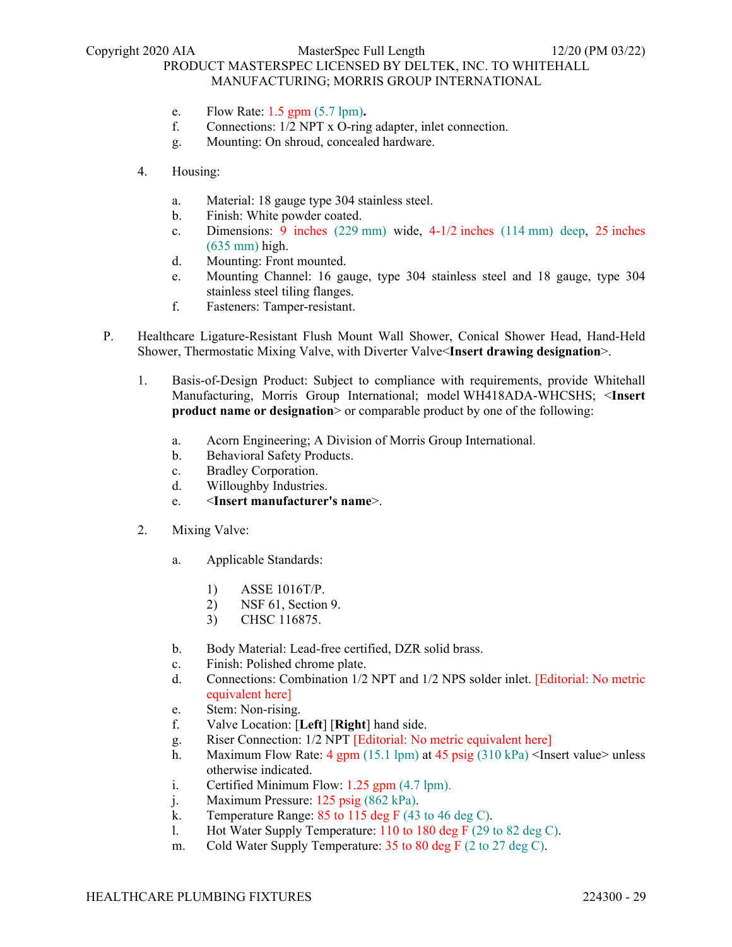- e. Flow Rate: 1.5 gpm (5.7 lpm)**.**
- f. Connections: 1/2 NPT x O-ring adapter, inlet connection.
- g. Mounting: On shroud, concealed hardware.
- 4. Housing:
	- a. Material: 18 gauge type 304 stainless steel.
	- b. Finish: White powder coated.
	- c. Dimensions: 9 inches (229 mm) wide, 4-1/2 inches (114 mm) deep, 25 inches (635 mm) high.
	- d. Mounting: Front mounted.
	- e. Mounting Channel: 16 gauge, type 304 stainless steel and 18 gauge, type 304 stainless steel tiling flanges.
	- f. Fasteners: Tamper-resistant.
- P. Healthcare Ligature-Resistant Flush Mount Wall Shower, Conical Shower Head, Hand-Held Shower, Thermostatic Mixing Valve, with Diverter Valve<**Insert drawing designation**>.
	- 1. Basis-of-Design Product: Subject to compliance with requirements, provide Whitehall Manufacturing, Morris Group International; model WH418ADA-WHCSHS; <**Insert product name or designation** or comparable product by one of the following:
		- a. Acorn Engineering; A Division of Morris Group International.
		- b. Behavioral Safety Products.
		- c. Bradley Corporation.
		- d. Willoughby Industries.
		- e. <**Insert manufacturer's name**>.
	- 2. Mixing Valve:
		- a. Applicable Standards:
			- 1) ASSE 1016T/P.
			- 2) NSF 61, Section 9.
			- 3) CHSC 116875.
		- b. Body Material: Lead-free certified, DZR solid brass.
		- c. Finish: Polished chrome plate.
		- d. Connections: Combination 1/2 NPT and 1/2 NPS solder inlet. [Editorial: No metric equivalent here]
		- e. Stem: Non-rising.
		- f. Valve Location: [**Left**] [**Right**] hand side.
		- g. Riser Connection: 1/2 NPT [Editorial: No metric equivalent here]
		- h. Maximum Flow Rate: 4 gpm (15.1 lpm) at 45 psig (310 kPa) <Insert value> unless otherwise indicated.
		- i. Certified Minimum Flow: 1.25 gpm (4.7 lpm).
		- j. Maximum Pressure: 125 psig (862 kPa).
		- k. Temperature Range: 85 to 115 deg F (43 to 46 deg C).
		- 1. Hot Water Supply Temperature:  $110$  to  $180$  deg F (29 to  $82$  deg C).
		- m. Cold Water Supply Temperature: 35 to 80 deg F (2 to 27 deg C).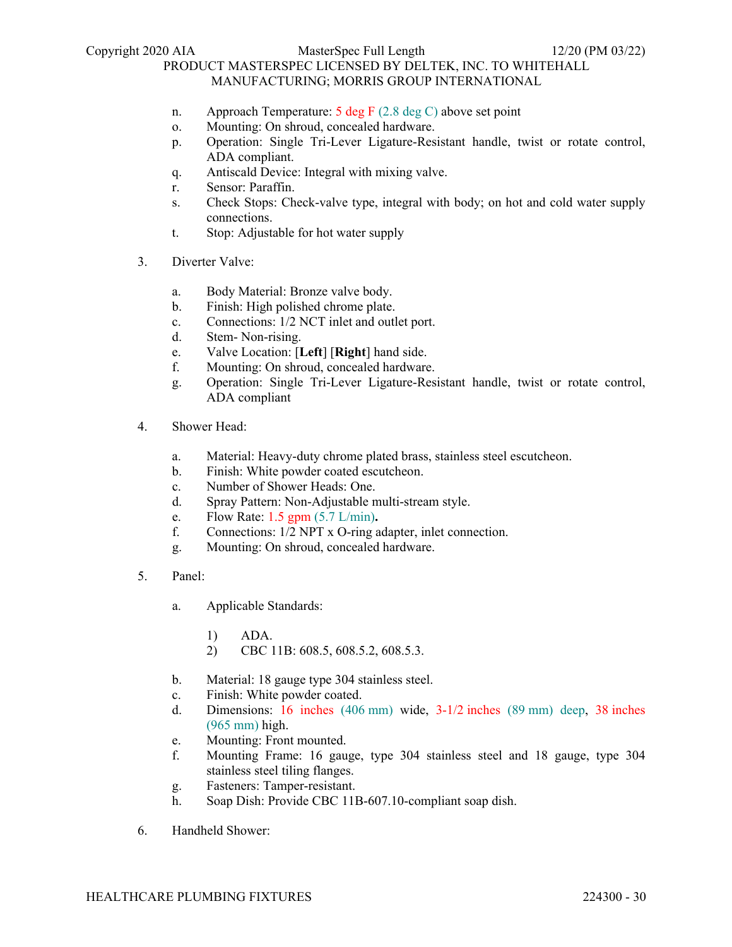- n. Approach Temperature: 5 deg F (2.8 deg C) above set point
- o. Mounting: On shroud, concealed hardware.
- p. Operation: Single Tri-Lever Ligature-Resistant handle, twist or rotate control, ADA compliant.
- q. Antiscald Device: Integral with mixing valve.
- r. Sensor: Paraffin.
- s. Check Stops: Check-valve type, integral with body; on hot and cold water supply connections.
- t. Stop: Adjustable for hot water supply
- 3. Diverter Valve:
	- a. Body Material: Bronze valve body.
	- b. Finish: High polished chrome plate.
	- c. Connections: 1/2 NCT inlet and outlet port.
	- d. Stem- Non-rising.
	- e. Valve Location: [**Left**] [**Right**] hand side.
	- f. Mounting: On shroud, concealed hardware.
	- g. Operation: Single Tri-Lever Ligature-Resistant handle, twist or rotate control, ADA compliant
- 4. Shower Head:
	- a. Material: Heavy-duty chrome plated brass, stainless steel escutcheon.
	- b. Finish: White powder coated escutcheon.
	- c. Number of Shower Heads: One.
	- d. Spray Pattern: Non-Adjustable multi-stream style.
	- e. Flow Rate: 1.5 gpm (5.7 L/min)**.**
	- f. Connections: 1/2 NPT x O-ring adapter, inlet connection.
	- g. Mounting: On shroud, concealed hardware.
- 5. Panel:
	- a. Applicable Standards:
		- 1) ADA.
		- 2) CBC 11B: 608.5, 608.5.2, 608.5.3.
	- b. Material: 18 gauge type 304 stainless steel.
	- c. Finish: White powder coated.
	- d. Dimensions: 16 inches (406 mm) wide, 3-1/2 inches (89 mm) deep, 38 inches (965 mm) high.
	- e. Mounting: Front mounted.
	- f. Mounting Frame: 16 gauge, type 304 stainless steel and 18 gauge, type 304 stainless steel tiling flanges.
	- g. Fasteners: Tamper-resistant.
	- h. Soap Dish: Provide CBC 11B-607.10-compliant soap dish.
- 6. Handheld Shower: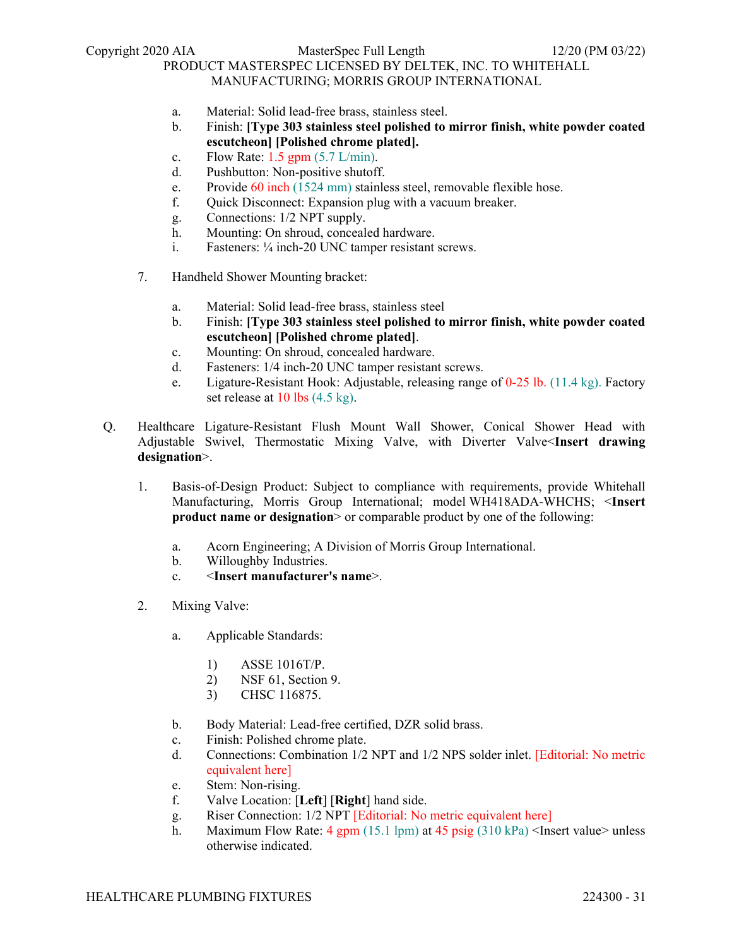- a. Material: Solid lead-free brass, stainless steel.
- b. Finish: **[Type 303 stainless steel polished to mirror finish, white powder coated escutcheon] [Polished chrome plated].**
- c. Flow Rate:  $1.5$  gpm  $(5.7 \text{ L/min})$ .
- d. Pushbutton: Non-positive shutoff.
- e. Provide 60 inch (1524 mm) stainless steel, removable flexible hose.
- f. Quick Disconnect: Expansion plug with a vacuum breaker.
- g. Connections: 1/2 NPT supply.
- h. Mounting: On shroud, concealed hardware.
- i. Fasteners: ¼ inch-20 UNC tamper resistant screws.
- 7. Handheld Shower Mounting bracket:
	- a. Material: Solid lead-free brass, stainless steel
	- b. Finish: **[Type 303 stainless steel polished to mirror finish, white powder coated escutcheon] [Polished chrome plated]**.
	- c. Mounting: On shroud, concealed hardware.
	- d. Fasteners: 1/4 inch-20 UNC tamper resistant screws.
	- e. Ligature-Resistant Hook: Adjustable, releasing range of 0-25 lb. (11.4 kg). Factory set release at 10 lbs (4.5 kg).
- Q. Healthcare Ligature-Resistant Flush Mount Wall Shower, Conical Shower Head with Adjustable Swivel, Thermostatic Mixing Valve, with Diverter Valve<**Insert drawing designation**>.
	- 1. Basis-of-Design Product: Subject to compliance with requirements, provide Whitehall Manufacturing, Morris Group International; model WH418ADA-WHCHS; <**Insert product name or designation** or comparable product by one of the following:
		- a. Acorn Engineering; A Division of Morris Group International.
		- b. Willoughby Industries.
		- c. <**Insert manufacturer's name**>.
	- 2. Mixing Valve:
		- a. Applicable Standards:
			- 1) ASSE 1016T/P.
			- 2) NSF 61, Section 9.
			- 3) CHSC 116875.
		- b. Body Material: Lead-free certified, DZR solid brass.
		- c. Finish: Polished chrome plate.
		- d. Connections: Combination 1/2 NPT and 1/2 NPS solder inlet. [Editorial: No metric equivalent here]
		- e. Stem: Non-rising.
		- f. Valve Location: [**Left**] [**Right**] hand side.
		- g. Riser Connection: 1/2 NPT [Editorial: No metric equivalent here]
		- h. Maximum Flow Rate: 4 gpm (15.1 lpm) at 45 psig  $(310 \text{ kPa})$  <Insert value> unless otherwise indicated.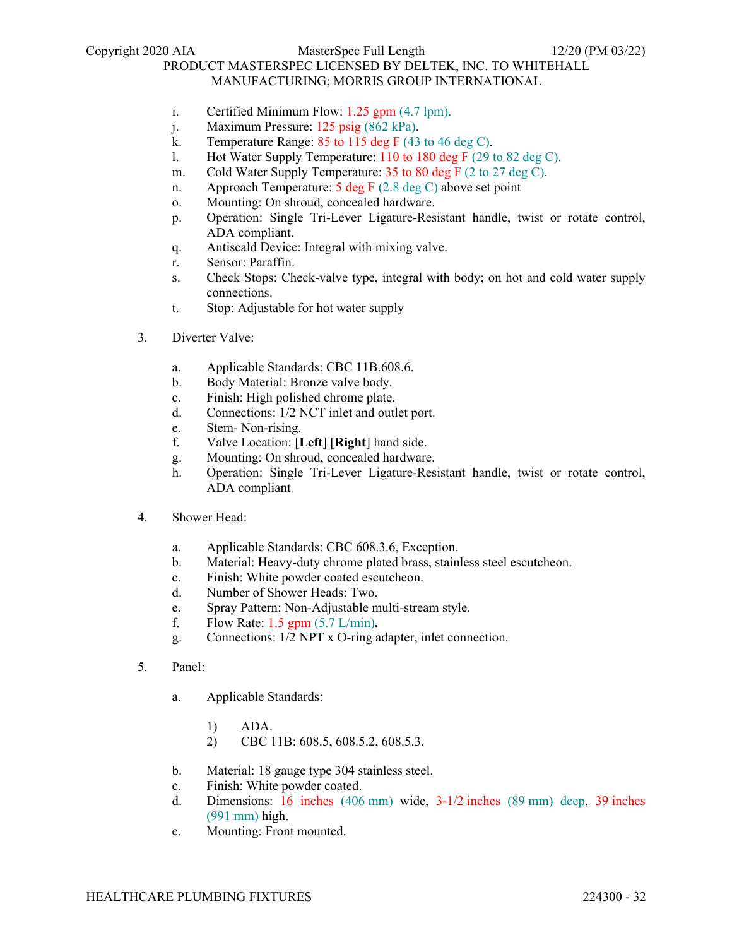- i. Certified Minimum Flow: 1.25 gpm (4.7 lpm).
- j. Maximum Pressure: 125 psig (862 kPa).
- k. Temperature Range: 85 to 115 deg F (43 to 46 deg C).
- l. Hot Water Supply Temperature: 110 to 180 deg F (29 to 82 deg C).
- m. Cold Water Supply Temperature: 35 to 80 deg F (2 to 27 deg C).
- n. Approach Temperature: 5 deg F (2.8 deg C) above set point
- o. Mounting: On shroud, concealed hardware.
- p. Operation: Single Tri-Lever Ligature-Resistant handle, twist or rotate control, ADA compliant.
- q. Antiscald Device: Integral with mixing valve.
- r. Sensor: Paraffin.
- s. Check Stops: Check-valve type, integral with body; on hot and cold water supply connections.
- t. Stop: Adjustable for hot water supply
- 3. Diverter Valve:
	- a. Applicable Standards: CBC 11B.608.6.
	- b. Body Material: Bronze valve body.
	- c. Finish: High polished chrome plate.
	- d. Connections: 1/2 NCT inlet and outlet port.
	- e. Stem- Non-rising.
	- f. Valve Location: [**Left**] [**Right**] hand side.
	- g. Mounting: On shroud, concealed hardware.
	- h. Operation: Single Tri-Lever Ligature-Resistant handle, twist or rotate control, ADA compliant
- 4. Shower Head:
	- a. Applicable Standards: CBC 608.3.6, Exception.
	- b. Material: Heavy-duty chrome plated brass, stainless steel escutcheon.
	- c. Finish: White powder coated escutcheon.
	- d. Number of Shower Heads: Two.
	- e. Spray Pattern: Non-Adjustable multi-stream style.
	- f. Flow Rate: 1.5 gpm (5.7 L/min)**.**
	- g. Connections: 1/2 NPT x O-ring adapter, inlet connection.
- 5. Panel:
	- a. Applicable Standards:
		- 1) ADA.
		- 2) CBC 11B: 608.5, 608.5.2, 608.5.3.
	- b. Material: 18 gauge type 304 stainless steel.
	- c. Finish: White powder coated.
	- d. Dimensions: 16 inches (406 mm) wide, 3-1/2 inches (89 mm) deep, 39 inches (991 mm) high.
	- e. Mounting: Front mounted.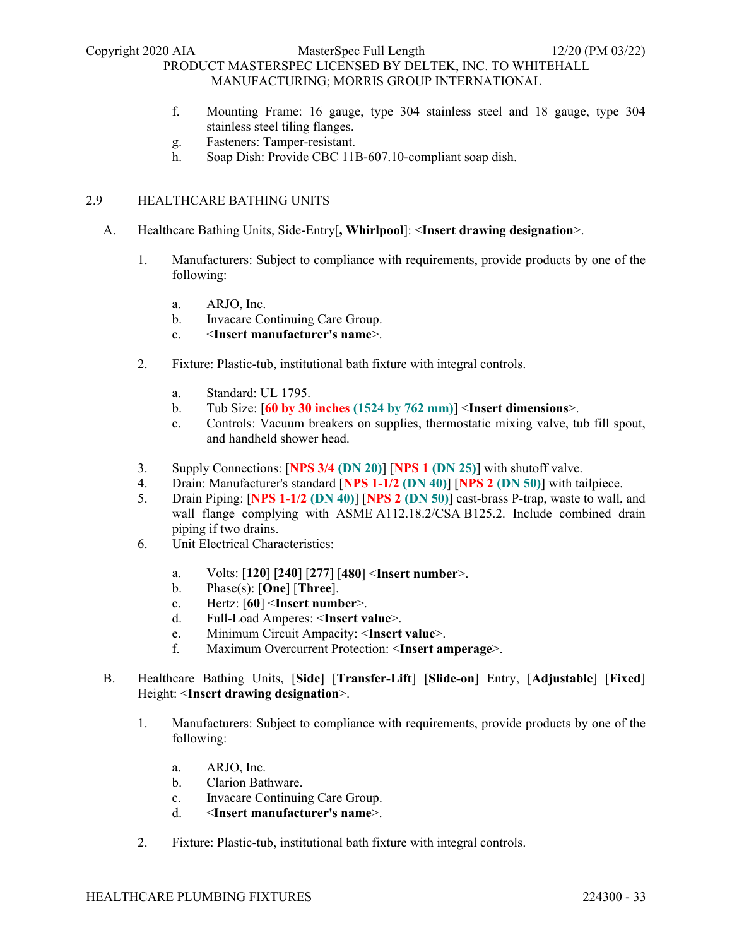- f. Mounting Frame: 16 gauge, type 304 stainless steel and 18 gauge, type 304 stainless steel tiling flanges.
- g. Fasteners: Tamper-resistant.
- h. Soap Dish: Provide CBC 11B-607.10-compliant soap dish.

# 2.9 HEALTHCARE BATHING UNITS

- A. Healthcare Bathing Units, Side-Entry[**, Whirlpool**]: <**Insert drawing designation**>.
	- 1. Manufacturers: Subject to compliance with requirements, provide products by one of the following:
		- a. ARJO, Inc.
		- b. Invacare Continuing Care Group.
		- c. <**Insert manufacturer's name**>.
	- 2. Fixture: Plastic-tub, institutional bath fixture with integral controls.
		- a. Standard: UL 1795.
		- b. Tub Size: [**60 by 30 inches (1524 by 762 mm)**] <**Insert dimensions**>.
		- c. Controls: Vacuum breakers on supplies, thermostatic mixing valve, tub fill spout, and handheld shower head.
	- 3. Supply Connections: [**NPS 3/4 (DN 20)**] [**NPS 1 (DN 25)**] with shutoff valve.
	- 4. Drain: Manufacturer's standard [**NPS 1-1/2 (DN 40)**] [**NPS 2 (DN 50)**] with tailpiece.
	- 5. Drain Piping: [**NPS 1-1/2 (DN 40)**] [**NPS 2 (DN 50)**] cast-brass P-trap, waste to wall, and wall flange complying with ASME A112.18.2/CSA B125.2. Include combined drain piping if two drains.
	- 6. Unit Electrical Characteristics:
		- a. Volts: [**120**] [**240**] [**277**] [**480**] <**Insert number**>.
		- b. Phase(s): [**One**] [**Three**].
		- c. Hertz: [**60**] <**Insert number**>.
		- d. Full-Load Amperes: <**Insert value**>.
		- e. Minimum Circuit Ampacity: <**Insert value**>.
		- f. Maximum Overcurrent Protection: <**Insert amperage**>.
- B. Healthcare Bathing Units, [**Side**] [**Transfer-Lift**] [**Slide-on**] Entry, [**Adjustable**] [**Fixed**] Height: <**Insert drawing designation**>.
	- 1. Manufacturers: Subject to compliance with requirements, provide products by one of the following:
		- a. ARJO, Inc.
		- b. Clarion Bathware.
		- c. Invacare Continuing Care Group.
		- d. <**Insert manufacturer's name**>.
	- 2. Fixture: Plastic-tub, institutional bath fixture with integral controls.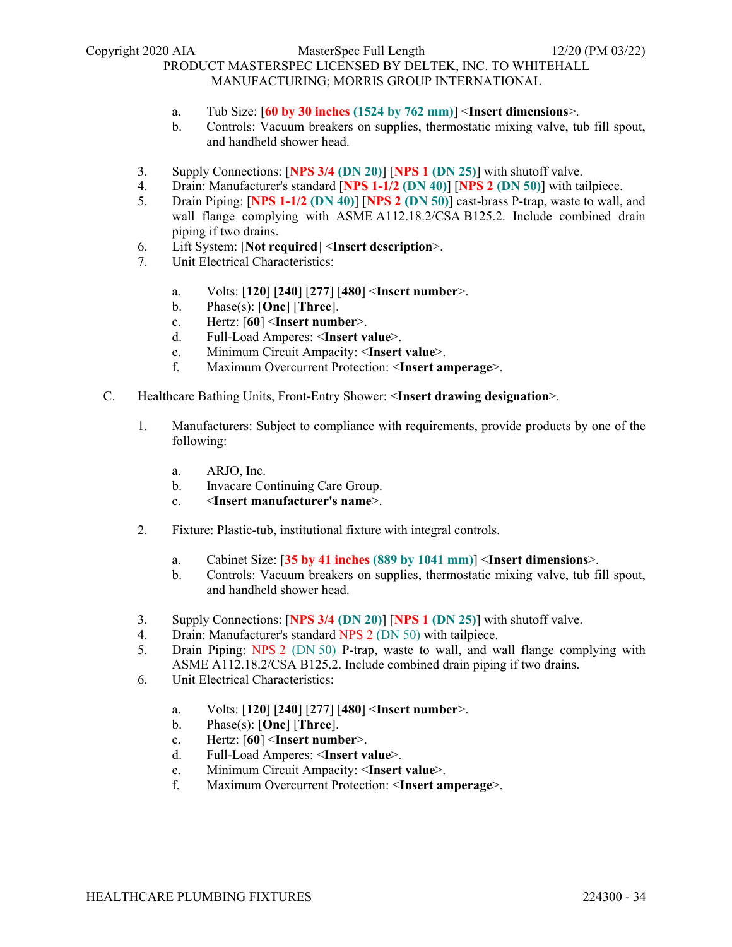- a. Tub Size: [**60 by 30 inches (1524 by 762 mm)**] <**Insert dimensions**>.
- b. Controls: Vacuum breakers on supplies, thermostatic mixing valve, tub fill spout, and handheld shower head.
- 3. Supply Connections: [**NPS 3/4 (DN 20)**] [**NPS 1 (DN 25)**] with shutoff valve.
- 4. Drain: Manufacturer's standard [**NPS 1-1/2 (DN 40)**] [**NPS 2 (DN 50)**] with tailpiece.
- 5. Drain Piping: [**NPS 1-1/2 (DN 40)**] [**NPS 2 (DN 50)**] cast-brass P-trap, waste to wall, and wall flange complying with ASME A112.18.2/CSA B125.2. Include combined drain piping if two drains.
- 6. Lift System: [**Not required**] <**Insert description**>.
- 7. Unit Electrical Characteristics:
	- a. Volts: [**120**] [**240**] [**277**] [**480**] <**Insert number**>.
	- b. Phase(s): [**One**] [**Three**].
	- c. Hertz: [**60**] <**Insert number**>.
	- d. Full-Load Amperes: <**Insert value**>.
	- e. Minimum Circuit Ampacity: <**Insert value**>.
	- f. Maximum Overcurrent Protection: <**Insert amperage**>.
- C. Healthcare Bathing Units, Front-Entry Shower: <**Insert drawing designation**>.
	- 1. Manufacturers: Subject to compliance with requirements, provide products by one of the following:
		- a. ARJO, Inc.
		- b. Invacare Continuing Care Group.
		- c. <**Insert manufacturer's name**>.
	- 2. Fixture: Plastic-tub, institutional fixture with integral controls.
		- a. Cabinet Size: [**35 by 41 inches (889 by 1041 mm)**] <**Insert dimensions**>.
		- b. Controls: Vacuum breakers on supplies, thermostatic mixing valve, tub fill spout, and handheld shower head.
	- 3. Supply Connections: [**NPS 3/4 (DN 20)**] [**NPS 1 (DN 25)**] with shutoff valve.
	- 4. Drain: Manufacturer's standard NPS 2 (DN 50) with tailpiece.
	- 5. Drain Piping: NPS 2 (DN 50) P-trap, waste to wall, and wall flange complying with ASME A112.18.2/CSA B125.2. Include combined drain piping if two drains.
	- 6. Unit Electrical Characteristics:
		- a. Volts: [**120**] [**240**] [**277**] [**480**] <**Insert number**>.
		- b. Phase(s): [**One**] [**Three**].
		- c. Hertz: [**60**] <**Insert number**>.
		- d. Full-Load Amperes: <**Insert value**>.
		- e. Minimum Circuit Ampacity: <**Insert value**>.
		- f. Maximum Overcurrent Protection: <**Insert amperage**>.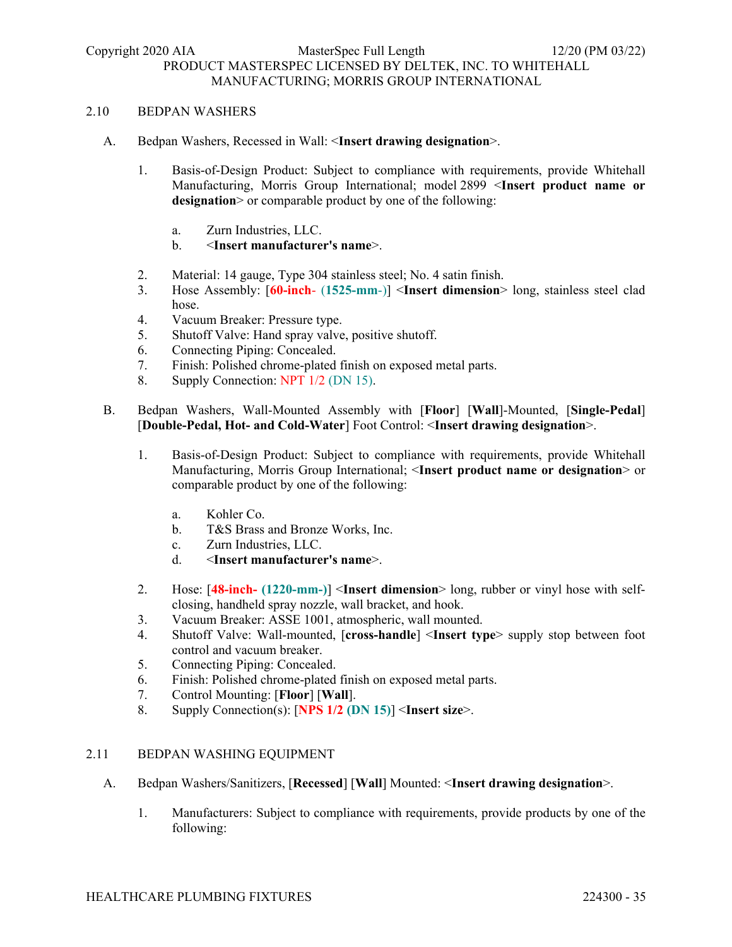### 2.10 BEDPAN WASHERS

- A. Bedpan Washers, Recessed in Wall: <**Insert drawing designation**>.
	- 1. Basis-of-Design Product: Subject to compliance with requirements, provide Whitehall Manufacturing, Morris Group International; model 2899 <**Insert product name or**  designation > or comparable product by one of the following:
		- a. Zurn Industries, LLC.
		- b. <**Insert manufacturer's name**>.
	- 2. Material: 14 gauge, Type 304 stainless steel; No. 4 satin finish.
	- 3. Hose Assembly: [**60-inch** (**1525-mm**-)] <**Insert dimension**> long, stainless steel clad hose.
	- 4. Vacuum Breaker: Pressure type.
	- 5. Shutoff Valve: Hand spray valve, positive shutoff.
	- 6. Connecting Piping: Concealed.
	- 7. Finish: Polished chrome-plated finish on exposed metal parts.
	- 8. Supply Connection: NPT 1/2 (DN 15).
- B. Bedpan Washers, Wall-Mounted Assembly with [**Floor**] [**Wall**]-Mounted, [**Single-Pedal**] [**Double-Pedal, Hot- and Cold-Water**] Foot Control: <**Insert drawing designation**>.
	- 1. Basis-of-Design Product: Subject to compliance with requirements, provide Whitehall Manufacturing, Morris Group International; <**Insert product name or designation**> or comparable product by one of the following:
		- a. Kohler Co.
		- b. T&S Brass and Bronze Works, Inc.
		- c. Zurn Industries, LLC.
		- d. <**Insert manufacturer's name**>.
	- 2. Hose: [**48-inch- (1220-mm-)**] <**Insert dimension**> long, rubber or vinyl hose with selfclosing, handheld spray nozzle, wall bracket, and hook.
	- 3. Vacuum Breaker: ASSE 1001, atmospheric, wall mounted.
	- 4. Shutoff Valve: Wall-mounted, [**cross-handle**] <**Insert type**> supply stop between foot control and vacuum breaker.
	- 5. Connecting Piping: Concealed.
	- 6. Finish: Polished chrome-plated finish on exposed metal parts.
	- 7. Control Mounting: [**Floor**] [**Wall**].
	- 8. Supply Connection(s): [**NPS 1/2 (DN 15)**] <**Insert size**>.

#### 2.11 BEDPAN WASHING EQUIPMENT

- A. Bedpan Washers/Sanitizers, [**Recessed**] [**Wall**] Mounted: <**Insert drawing designation**>.
	- 1. Manufacturers: Subject to compliance with requirements, provide products by one of the following: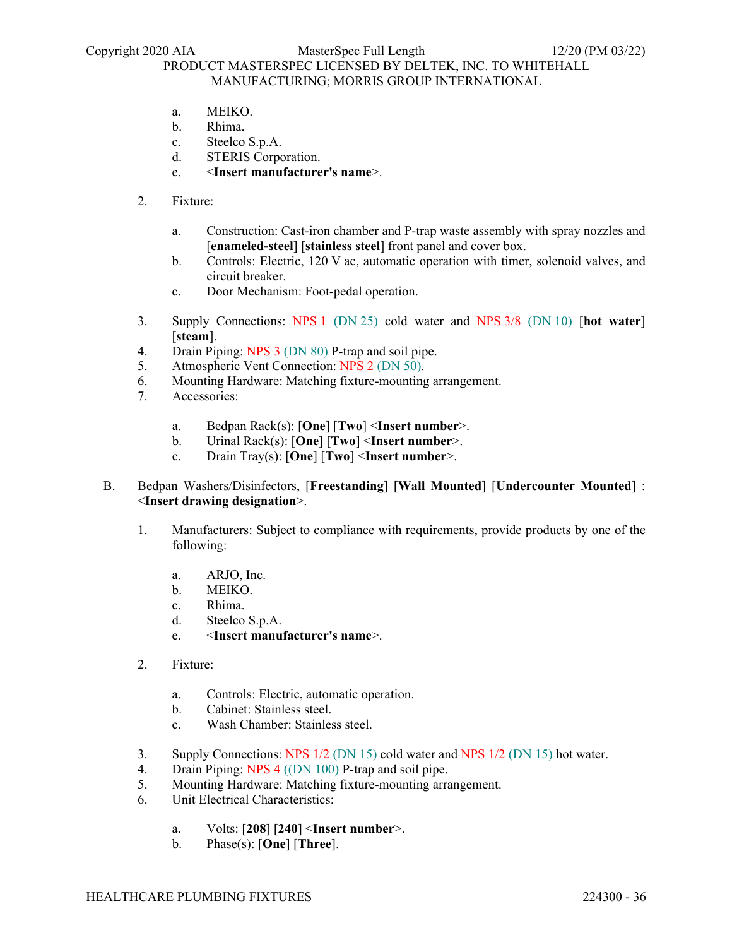- a. MEIKO.
- b. Rhima.
- c. Steelco S.p.A.
- d. STERIS Corporation.
- e. <**Insert manufacturer's name**>.
- 2. Fixture:
	- a. Construction: Cast-iron chamber and P-trap waste assembly with spray nozzles and [**enameled-steel**] [**stainless steel**] front panel and cover box.
	- b. Controls: Electric, 120 V ac, automatic operation with timer, solenoid valves, and circuit breaker.
	- c. Door Mechanism: Foot-pedal operation.
- 3. Supply Connections: NPS 1 (DN 25) cold water and NPS 3/8 (DN 10) [**hot water**] [**steam**].
- 4. Drain Piping: NPS 3 (DN 80) P-trap and soil pipe.
- 5. Atmospheric Vent Connection: NPS 2 (DN 50).
- 6. Mounting Hardware: Matching fixture-mounting arrangement.
- 7. Accessories:
	- a. Bedpan Rack(s): [**One**] [**Two**] <**Insert number**>.
	- b. Urinal Rack(s): [**One**] [**Two**] <**Insert number**>.
	- c. Drain Tray(s): [**One**] [**Two**] <**Insert number**>.
- B. Bedpan Washers/Disinfectors, [**Freestanding**] [**Wall Mounted**] [**Undercounter Mounted**] : <**Insert drawing designation**>.
	- 1. Manufacturers: Subject to compliance with requirements, provide products by one of the following:
		- a. ARJO, Inc.
		- b. MEIKO.
		- c. Rhima.
		- d. Steelco S.p.A.
		- e. <**Insert manufacturer's name**>.
	- 2. Fixture:
		- a. Controls: Electric, automatic operation.
		- b. Cabinet: Stainless steel.
		- c. Wash Chamber: Stainless steel.
	- 3. Supply Connections: NPS 1/2 (DN 15) cold water and NPS 1/2 (DN 15) hot water.
	- 4. Drain Piping: NPS 4 ((DN 100) P-trap and soil pipe.
	- 5. Mounting Hardware: Matching fixture-mounting arrangement.
	- 6. Unit Electrical Characteristics:
		- a. Volts: [**208**] [**240**] <**Insert number**>.
		- b. Phase(s): [**One**] [**Three**].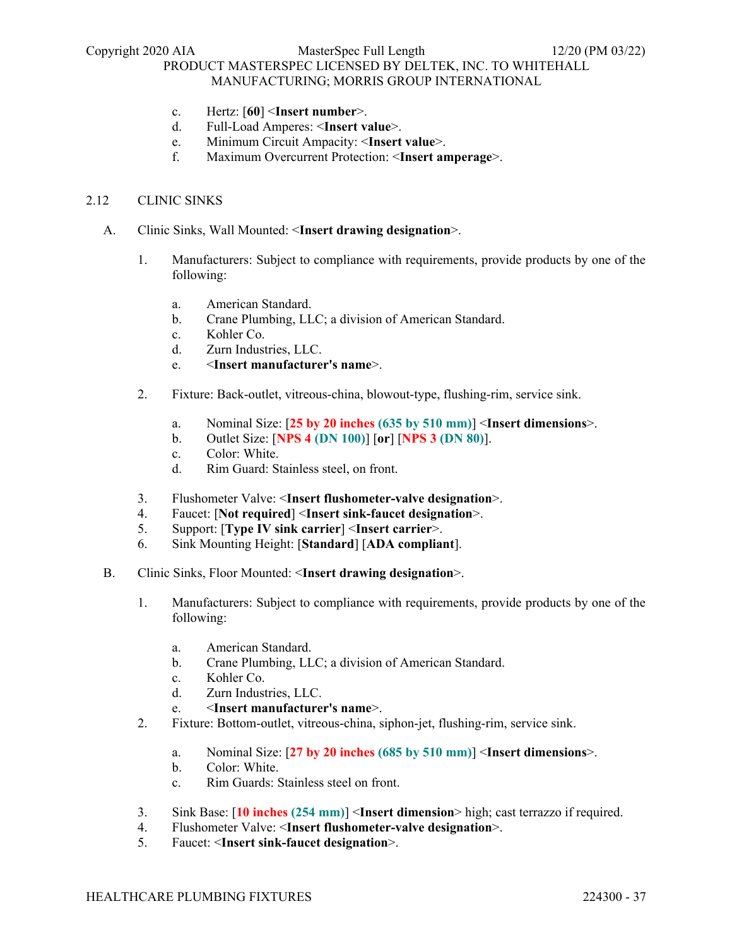- c. Hertz: [**60**] <**Insert number**>.
- d. Full-Load Amperes: <**Insert value**>.
- e. Minimum Circuit Ampacity: <**Insert value**>.
- f. Maximum Overcurrent Protection: <**Insert amperage**>.

### 2.12 CLINIC SINKS

- A. Clinic Sinks, Wall Mounted: <**Insert drawing designation**>.
	- 1. Manufacturers: Subject to compliance with requirements, provide products by one of the following:
		- a. American Standard.
		- b. Crane Plumbing, LLC; a division of American Standard.
		- c. Kohler Co.
		- d. Zurn Industries, LLC.
		- e. <**Insert manufacturer's name**>.
	- 2. Fixture: Back-outlet, vitreous-china, blowout-type, flushing-rim, service sink.
		- a. Nominal Size: [**25 by 20 inches (635 by 510 mm)**] <**Insert dimensions**>.
		- b. Outlet Size: [**NPS 4 (DN 100)**] [**or**] [**NPS 3 (DN 80)**].
		- c. Color: White.
		- d. Rim Guard: Stainless steel, on front.
	- 3. Flushometer Valve: <**Insert flushometer-valve designation**>.
	- 4. Faucet: [**Not required**] <**Insert sink-faucet designation**>.
	- 5. Support: [**Type IV sink carrier**] <**Insert carrier**>.
	- 6. Sink Mounting Height: [**Standard**] [**ADA compliant**].
- B. Clinic Sinks, Floor Mounted: <**Insert drawing designation**>.
	- 1. Manufacturers: Subject to compliance with requirements, provide products by one of the following:
		- a. American Standard.
		- b. Crane Plumbing, LLC; a division of American Standard.
		- c. Kohler Co.
		- d. Zurn Industries, LLC.
		- e. <**Insert manufacturer's name**>.
	- 2. Fixture: Bottom-outlet, vitreous-china, siphon-jet, flushing-rim, service sink.
		- a. Nominal Size: [**27 by 20 inches (685 by 510 mm)**] <**Insert dimensions**>.
		- b. Color: White.
		- c. Rim Guards: Stainless steel on front.
	- 3. Sink Base: [**10 inches (254 mm)**] <**Insert dimension**> high; cast terrazzo if required.
	- 4. Flushometer Valve: <**Insert flushometer-valve designation**>.
	- 5. Faucet: <**Insert sink-faucet designation**>.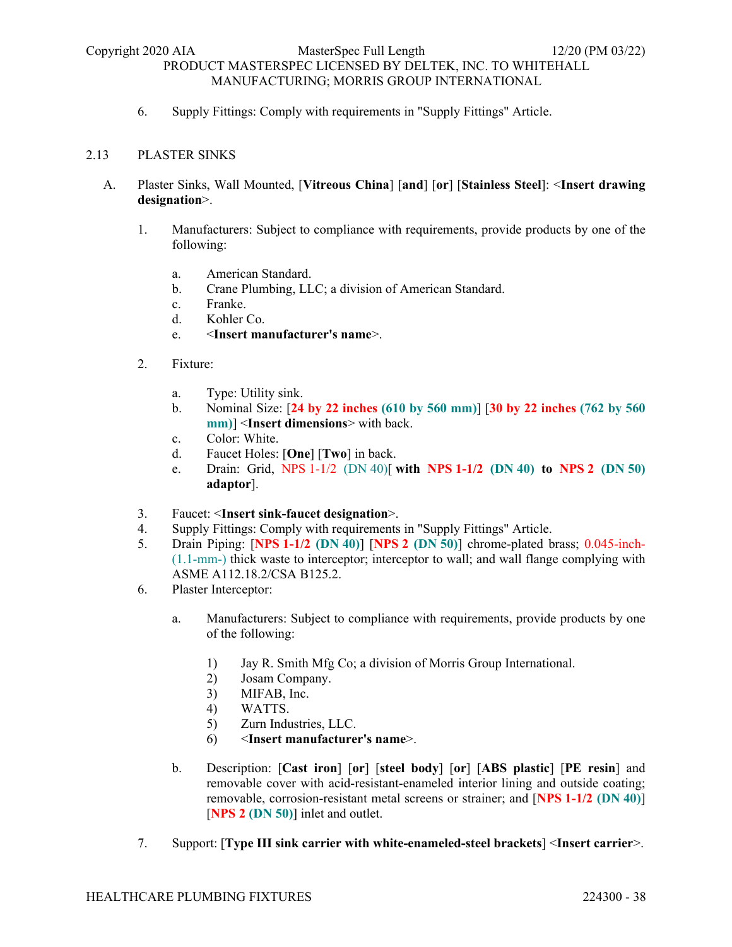6. Supply Fittings: Comply with requirements in "Supply Fittings" Article.

### 2.13 PLASTER SINKS

- A. Plaster Sinks, Wall Mounted, [**Vitreous China**] [**and**] [**or**] [**Stainless Steel**]: <**Insert drawing designation**>.
	- 1. Manufacturers: Subject to compliance with requirements, provide products by one of the following:
		- a. American Standard.
		- b. Crane Plumbing, LLC; a division of American Standard.
		- c. Franke.
		- d. Kohler Co.
		- e. <**Insert manufacturer's name**>.
	- 2. Fixture:
		- a. Type: Utility sink.
		- b. Nominal Size: [**24 by 22 inches (610 by 560 mm)**] [**30 by 22 inches (762 by 560 mm)**] <**Insert dimensions**> with back.
		- c. Color: White.
		- d. Faucet Holes: [**One**] [**Two**] in back.
		- e. Drain: Grid, NPS 1-1/2 (DN 40)[ **with NPS 1-1/2 (DN 40) to NPS 2 (DN 50) adaptor**].
	- 3. Faucet: <**Insert sink-faucet designation**>.
	- 4. Supply Fittings: Comply with requirements in "Supply Fittings" Article.
	- 5. Drain Piping: [**NPS 1-1/2 (DN 40)**] [**NPS 2 (DN 50)**] chrome-plated brass; 0.045-inch- (1.1-mm-) thick waste to interceptor; interceptor to wall; and wall flange complying with ASME A112.18.2/CSA B125.2.
	- 6. Plaster Interceptor:
		- a. Manufacturers: Subject to compliance with requirements, provide products by one of the following:
			- 1) Jay R. Smith Mfg Co; a division of Morris Group International.
			- 2) Josam Company.
			- 3) MIFAB, Inc.
			- 4) WATTS.
			- 5) Zurn Industries, LLC.
			- 6) <**Insert manufacturer's name**>.
		- b. Description: [**Cast iron**] [**or**] [**steel body**] [**or**] [**ABS plastic**] [**PE resin**] and removable cover with acid-resistant-enameled interior lining and outside coating; removable, corrosion-resistant metal screens or strainer; and [**NPS 1-1/2 (DN 40)**] [**NPS 2 (DN 50)**] inlet and outlet.
	- 7. Support: [**Type III sink carrier with white-enameled-steel brackets**] <**Insert carrier**>.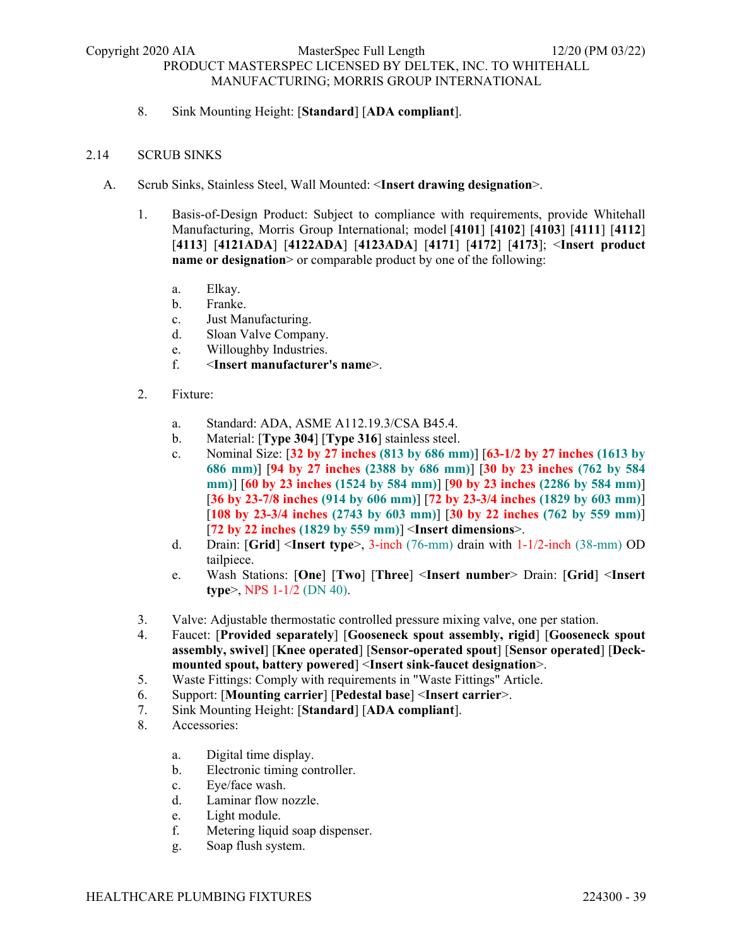8. Sink Mounting Height: [**Standard**] [**ADA compliant**].

### 2.14 SCRUB SINKS

- A. Scrub Sinks, Stainless Steel, Wall Mounted: <**Insert drawing designation**>.
	- 1. Basis-of-Design Product: Subject to compliance with requirements, provide Whitehall Manufacturing, Morris Group International; model [**4101**] [**4102**] [**4103**] [**4111**] [**4112**] [**4113**] [**4121ADA**] [**4122ADA**] [**4123ADA**] [**4171**] [**4172**] [**4173**]; <**Insert product name or designation** > or comparable product by one of the following:
		- a. Elkay.
		- b. Franke.
		- c. Just Manufacturing.
		- d. Sloan Valve Company.
		- e. Willoughby Industries.
		- f. <**Insert manufacturer's name**>.
	- 2. Fixture:
		- a. Standard: ADA, ASME A112.19.3/CSA B45.4.
		- b. Material: [**Type 304**] [**Type 316**] stainless steel.
		- c. Nominal Size: [**32 by 27 inches (813 by 686 mm)**] [**63-1/2 by 27 inches (1613 by 686 mm)**] [**94 by 27 inches (2388 by 686 mm)**] [**30 by 23 inches (762 by 584 mm)**] [**60 by 23 inches (1524 by 584 mm)**] [**90 by 23 inches (2286 by 584 mm)**] [**36 by 23-7/8 inches (914 by 606 mm)**] [**72 by 23-3/4 inches (1829 by 603 mm)**] [**108 by 23-3/4 inches (2743 by 603 mm)**] [**30 by 22 inches (762 by 559 mm)**] [**72 by 22 inches (1829 by 559 mm)**] <**Insert dimensions**>.
		- d. Drain: [**Grid**] <**Insert type**>, 3-inch (76-mm) drain with 1-1/2-inch (38-mm) OD tailpiece.
		- e. Wash Stations: [**One**] [**Two**] [**Three**] <**Insert number**> Drain: [**Grid**] <**Insert type**>, NPS 1-1/2 (DN 40).
	- 3. Valve: Adjustable thermostatic controlled pressure mixing valve, one per station.
	- 4. Faucet: [**Provided separately**] [**Gooseneck spout assembly, rigid**] [**Gooseneck spout assembly, swivel**] [**Knee operated**] [**Sensor-operated spout**] [**Sensor operated**] [**Deckmounted spout, battery powered**] <**Insert sink-faucet designation**>.
	- 5. Waste Fittings: Comply with requirements in "Waste Fittings" Article.
	- 6. Support: [**Mounting carrier**] [**Pedestal base**] <**Insert carrier**>.
	- 7. Sink Mounting Height: [**Standard**] [**ADA compliant**].
	- 8. Accessories:
		- a. Digital time display.
		- b. Electronic timing controller.
		- c. Eye/face wash.
		- d. Laminar flow nozzle.
		- e. Light module.
		- f. Metering liquid soap dispenser.
		- g. Soap flush system.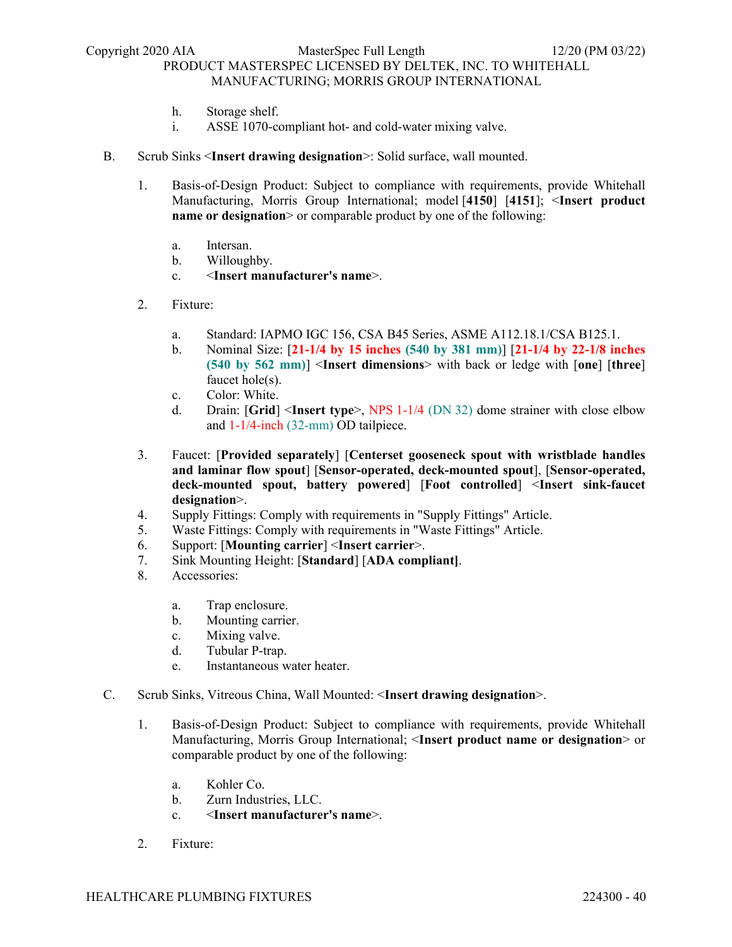- h. Storage shelf.
- i. ASSE 1070-compliant hot- and cold-water mixing valve.
- B. Scrub Sinks <**Insert drawing designation**>: Solid surface, wall mounted.
	- 1. Basis-of-Design Product: Subject to compliance with requirements, provide Whitehall Manufacturing, Morris Group International; model [**4150**] [**4151**]; <**Insert product name or designation** or comparable product by one of the following:
		- a. Intersan.
		- b. Willoughby.
		- c. <**Insert manufacturer's name**>.
	- 2. Fixture:
		- a. Standard: IAPMO IGC 156, CSA B45 Series, ASME A112.18.1/CSA B125.1.
		- b. Nominal Size: [**21-1/4 by 15 inches (540 by 381 mm)**] [**21-1/4 by 22-1/8 inches (540 by 562 mm)**] <**Insert dimensions**> with back or ledge with [**one**] [**three**] faucet hole(s).
		- c. Color: White.
		- d. Drain: [**Grid**] <**Insert type**>, NPS 1-1/4 (DN 32) dome strainer with close elbow and 1-1/4-inch (32-mm) OD tailpiece.
	- 3. Faucet: [**Provided separately**] [**Centerset gooseneck spout with wristblade handles and laminar flow spout**] [**Sensor-operated, deck-mounted spout**], [**Sensor-operated, deck-mounted spout, battery powered**] [**Foot controlled**] <**Insert sink-faucet designation**>.
	- 4. Supply Fittings: Comply with requirements in "Supply Fittings" Article.
	- 5. Waste Fittings: Comply with requirements in "Waste Fittings" Article.
	- 6. Support: [**Mounting carrier**] <**Insert carrier**>.
	- 7. Sink Mounting Height: [**Standard**] [**ADA compliant]**.
	- 8. Accessories:
		- a. Trap enclosure.
		- b. Mounting carrier.
		- c. Mixing valve.
		- d. Tubular P-trap.
		- e. Instantaneous water heater.
- C. Scrub Sinks, Vitreous China, Wall Mounted: <**Insert drawing designation**>.
	- 1. Basis-of-Design Product: Subject to compliance with requirements, provide Whitehall Manufacturing, Morris Group International; <**Insert product name or designation**> or comparable product by one of the following:
		- a. Kohler Co.
		- b. Zurn Industries, LLC.
		- c. <**Insert manufacturer's name**>.
	- 2. Fixture: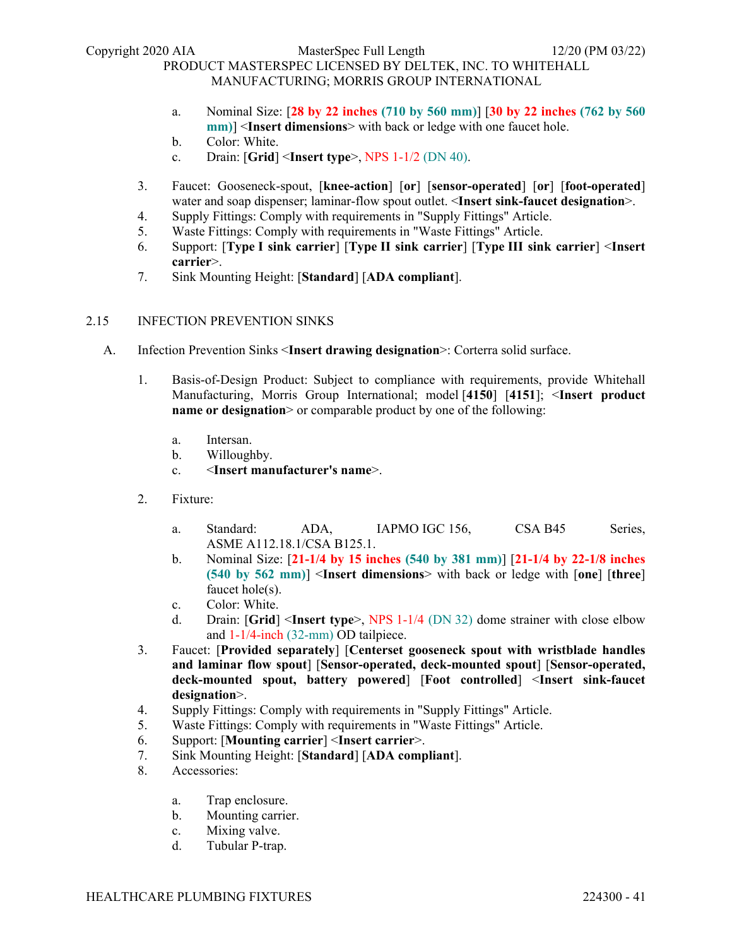Copyright 2020 AIA MasterSpec Full Length 12/20 (PM 03/22)

# PRODUCT MASTERSPEC LICENSED BY DELTEK, INC. TO WHITEHALL MANUFACTURING; MORRIS GROUP INTERNATIONAL

- a. Nominal Size: [**28 by 22 inches (710 by 560 mm)**] [**30 by 22 inches (762 by 560 mm)**] <**Insert dimensions**> with back or ledge with one faucet hole.
- b. Color: White.
- c. Drain: [**Grid**] <**Insert type**>, NPS 1-1/2 (DN 40).
- 3. Faucet: Gooseneck-spout, [**knee-action**] [**or**] [**sensor-operated**] [**or**] [**foot-operated**] water and soap dispenser; laminar-flow spout outlet. <**Insert sink-faucet designation**>.
- 4. Supply Fittings: Comply with requirements in "Supply Fittings" Article.
- 5. Waste Fittings: Comply with requirements in "Waste Fittings" Article.
- 6. Support: [**Type I sink carrier**] [**Type II sink carrier**] [**Type III sink carrier**] <**Insert carrier**>.
- 7. Sink Mounting Height: [**Standard**] [**ADA compliant**].

### 2.15 INFECTION PREVENTION SINKS

- A. Infection Prevention Sinks <**Insert drawing designation**>: Corterra solid surface.
	- 1. Basis-of-Design Product: Subject to compliance with requirements, provide Whitehall Manufacturing, Morris Group International; model [**4150**] [**4151**]; <**Insert product name or designation** or comparable product by one of the following:
		- a. Intersan.
		- b. Willoughby.
		- c. <**Insert manufacturer's name**>.
	- 2. Fixture:
		- a. Standard: ADA, IAPMO IGC 156, CSA B45 Series, ASME A112.18.1/CSA B125.1.
		- b. Nominal Size: [**21-1/4 by 15 inches (540 by 381 mm)**] [**21-1/4 by 22-1/8 inches (540 by 562 mm)**] <**Insert dimensions**> with back or ledge with [**one**] [**three**] faucet hole(s).
		- c. Color: White.
		- d. Drain: [**Grid**] <**Insert type**>, NPS 1-1/4 (DN 32) dome strainer with close elbow and 1-1/4-inch (32-mm) OD tailpiece.
	- 3. Faucet: [**Provided separately**] [**Centerset gooseneck spout with wristblade handles and laminar flow spout**] [**Sensor-operated, deck-mounted spout**] [**Sensor-operated, deck-mounted spout, battery powered**] [**Foot controlled**] <**Insert sink-faucet designation**>.
	- 4. Supply Fittings: Comply with requirements in "Supply Fittings" Article.
	- 5. Waste Fittings: Comply with requirements in "Waste Fittings" Article.
	- 6. Support: [**Mounting carrier**] <**Insert carrier**>.
	- 7. Sink Mounting Height: [**Standard**] [**ADA compliant**].
	- 8. Accessories:
		- a. Trap enclosure.
		- b. Mounting carrier.
		- c. Mixing valve.
		- d. Tubular P-trap.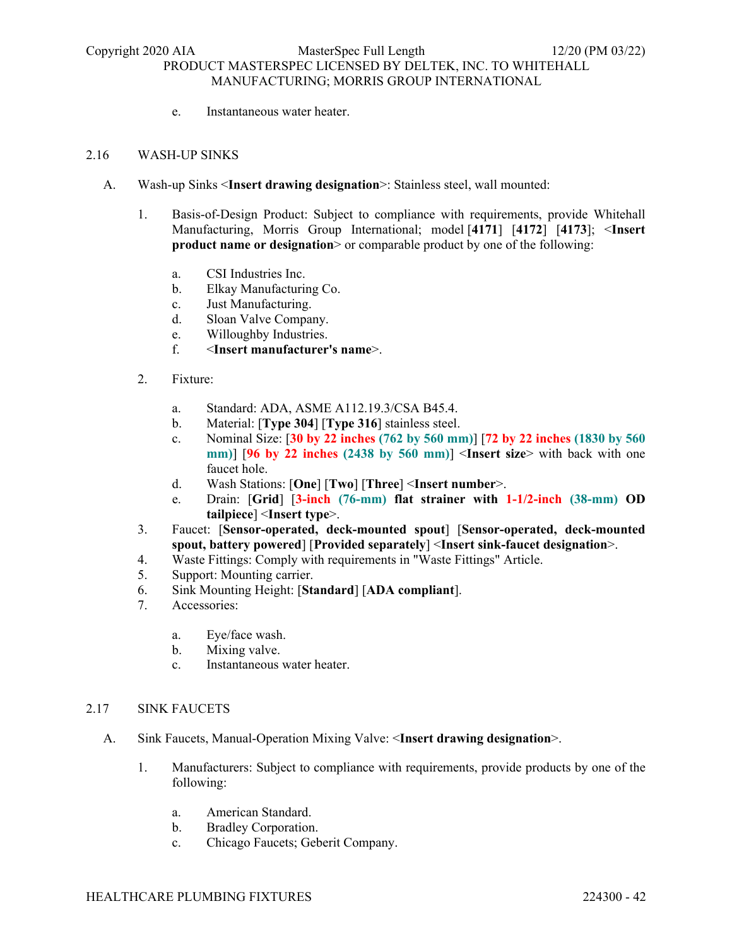e. Instantaneous water heater.

### 2.16 WASH-UP SINKS

- A. Wash-up Sinks <**Insert drawing designation**>: Stainless steel, wall mounted:
	- 1. Basis-of-Design Product: Subject to compliance with requirements, provide Whitehall Manufacturing, Morris Group International; model [**4171**] [**4172**] [**4173**]; <**Insert product name or designation** or comparable product by one of the following:
		- a. CSI Industries Inc.
		- b. Elkay Manufacturing Co.
		- c. Just Manufacturing.
		- d. Sloan Valve Company.
		- e. Willoughby Industries.
		- f. <**Insert manufacturer's name**>.
	- 2. Fixture:
		- a. Standard: ADA, ASME A112.19.3/CSA B45.4.
		- b. Material: [**Type 304**] [**Type 316**] stainless steel.
		- c. Nominal Size: [**30 by 22 inches (762 by 560 mm)**] [**72 by 22 inches (1830 by 560 mm)**] [**96 by 22 inches (2438 by 560 mm)**] <**Insert size**> with back with one faucet hole.
		- d. Wash Stations: [**One**] [**Two**] [**Three**] <**Insert number**>.
		- e. Drain: [**Grid**] [**3-inch (76-mm) flat strainer with 1-1/2-inch (38-mm) OD tailpiece**] <**Insert type**>.
	- 3. Faucet: [**Sensor-operated, deck-mounted spout**] [**Sensor-operated, deck-mounted spout, battery powered**] [**Provided separately**] <**Insert sink-faucet designation**>.
	- 4. Waste Fittings: Comply with requirements in "Waste Fittings" Article.
	- 5. Support: Mounting carrier.
	- 6. Sink Mounting Height: [**Standard**] [**ADA compliant**].
	- 7. Accessories:
		- a. Eye/face wash.
		- b. Mixing valve.
		- c. Instantaneous water heater.

#### 2.17 SINK FAUCETS

- A. Sink Faucets, Manual-Operation Mixing Valve: <**Insert drawing designation**>.
	- 1. Manufacturers: Subject to compliance with requirements, provide products by one of the following:
		- a. American Standard.
		- b. Bradley Corporation.
		- c. Chicago Faucets; Geberit Company.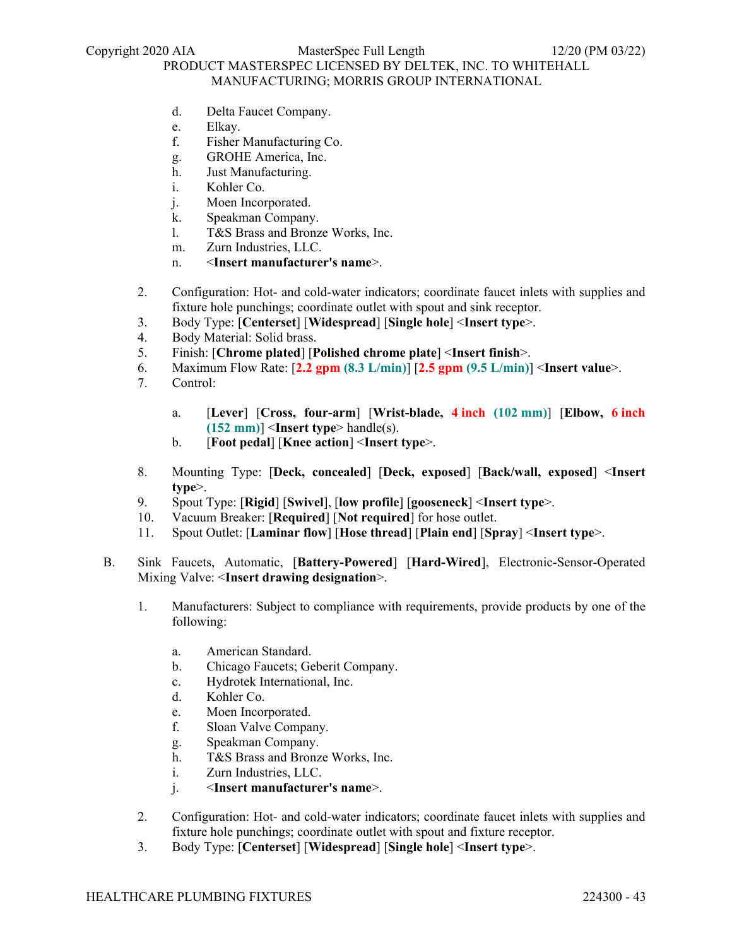- d. Delta Faucet Company.
- e. Elkay.
- f. Fisher Manufacturing Co.
- g. GROHE America, Inc.
- h. Just Manufacturing.
- i. Kohler Co.
- j. Moen Incorporated.
- k. Speakman Company.
- l. T&S Brass and Bronze Works, Inc.
- m. Zurn Industries, LLC.
- n. <**Insert manufacturer's name**>.
- 2. Configuration: Hot- and cold-water indicators; coordinate faucet inlets with supplies and fixture hole punchings; coordinate outlet with spout and sink receptor.
- 3. Body Type: [**Centerset**] [**Widespread**] [**Single hole**] <**Insert type**>.
- 4. Body Material: Solid brass.
- 5. Finish: [**Chrome plated**] [**Polished chrome plate**] <**Insert finish**>.
- 6. Maximum Flow Rate: [**2.2 gpm (8.3 L/min)**] [**2.5 gpm (9.5 L/min)**] <**Insert value**>.
- 7. Control:
	- a. [**Lever**] [**Cross, four-arm**] [**Wrist-blade, 4 inch (102 mm)**] [**Elbow, 6 inch (152 mm)**] <**Insert type**> handle(s).
	- b. [**Foot pedal**] [**Knee action**] <**Insert type**>.
- 8. Mounting Type: [**Deck, concealed**] [**Deck, exposed**] [**Back/wall, exposed**] <**Insert type**>.
- 9. Spout Type: [**Rigid**] [**Swivel**], [**low profile**] [**gooseneck**] <**Insert type**>.
- 10. Vacuum Breaker: [**Required**] [**Not required**] for hose outlet.
- 11. Spout Outlet: [**Laminar flow**] [**Hose thread**] [**Plain end**] [**Spray**] <**Insert type**>.
- B. Sink Faucets, Automatic, [**Battery-Powered**] [**Hard-Wired**], Electronic-Sensor-Operated Mixing Valve: <**Insert drawing designation**>.
	- 1. Manufacturers: Subject to compliance with requirements, provide products by one of the following:
		- a. American Standard.
		- b. Chicago Faucets; Geberit Company.
		- c. Hydrotek International, Inc.
		- d. Kohler Co.
		- e. Moen Incorporated.
		- f. Sloan Valve Company.
		- g. Speakman Company.
		- h. T&S Brass and Bronze Works, Inc.
		- i. Zurn Industries, LLC.
		- j. <**Insert manufacturer's name**>.
	- 2. Configuration: Hot- and cold-water indicators; coordinate faucet inlets with supplies and fixture hole punchings; coordinate outlet with spout and fixture receptor.
	- 3. Body Type: [**Centerset**] [**Widespread**] [**Single hole**] <**Insert type**>.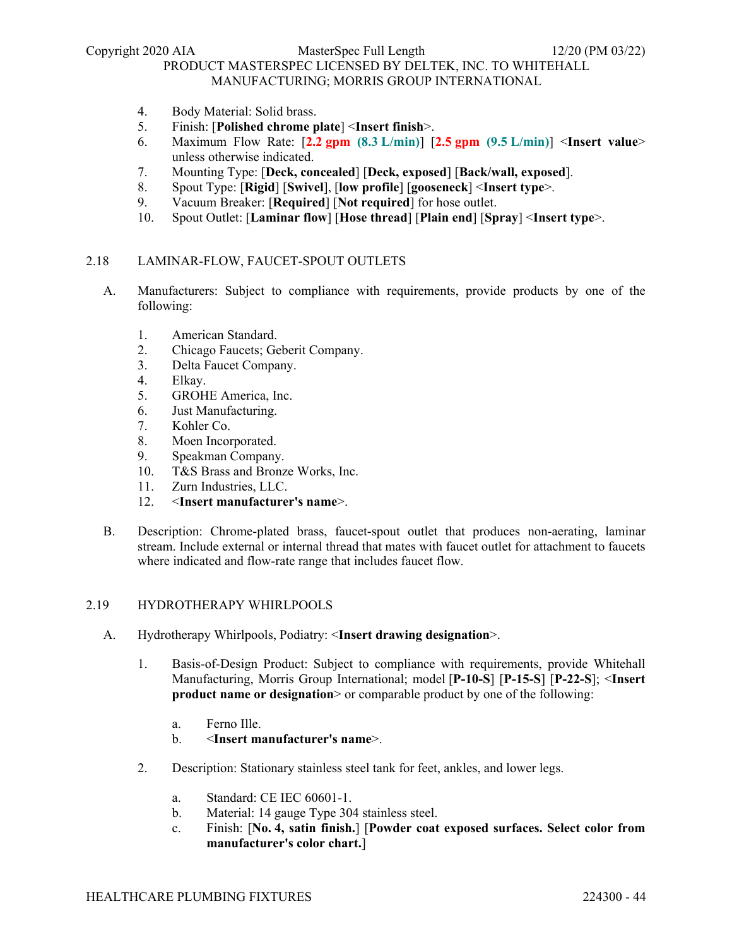- 4. Body Material: Solid brass.
- 5. Finish: [**Polished chrome plate**] <**Insert finish**>.
- 6. Maximum Flow Rate: [**2.2 gpm (8.3 L/min)**] [**2.5 gpm (9.5 L/min)**] <**Insert value**> unless otherwise indicated.
- 7. Mounting Type: [**Deck, concealed**] [**Deck, exposed**] [**Back/wall, exposed**].
- 8. Spout Type: [**Rigid**] [**Swivel**], [**low profile**] [**gooseneck**] <**Insert type**>.
- 9. Vacuum Breaker: [**Required**] [**Not required**] for hose outlet.
- 10. Spout Outlet: [**Laminar flow**] [**Hose thread**] [**Plain end**] [**Spray**] <**Insert type**>.

### 2.18 LAMINAR-FLOW, FAUCET-SPOUT OUTLETS

- A. Manufacturers: Subject to compliance with requirements, provide products by one of the following:
	- 1. American Standard.
	- 2. Chicago Faucets; Geberit Company.
	- 3. Delta Faucet Company.
	- 4. Elkay.
	- 5. GROHE America, Inc.
	- 6. Just Manufacturing.
	- 7. Kohler Co.
	- 8. Moen Incorporated.
	- 9. Speakman Company.
	- 10. T&S Brass and Bronze Works, Inc.
	- 11. Zurn Industries, LLC.<br>12. <Insert manufacture
	- 12. <**Insert manufacturer's name**>.
- B. Description: Chrome-plated brass, faucet-spout outlet that produces non-aerating, laminar stream. Include external or internal thread that mates with faucet outlet for attachment to faucets where indicated and flow-rate range that includes faucet flow.

### 2.19 HYDROTHERAPY WHIRLPOOLS

- A. Hydrotherapy Whirlpools, Podiatry: <**Insert drawing designation**>.
	- 1. Basis-of-Design Product: Subject to compliance with requirements, provide Whitehall Manufacturing, Morris Group International; model [**P-10-S**] [**P-15-S**] [**P-22-S**]; <**Insert product name or designation** or comparable product by one of the following:
		- a. Ferno Ille.
		- b. <**Insert manufacturer's name**>.
	- 2. Description: Stationary stainless steel tank for feet, ankles, and lower legs.
		- a. Standard: CE IEC 60601-1.
		- b. Material: 14 gauge Type 304 stainless steel.
		- c. Finish: [**No. 4, satin finish.**] [**Powder coat exposed surfaces. Select color from manufacturer's color chart.**]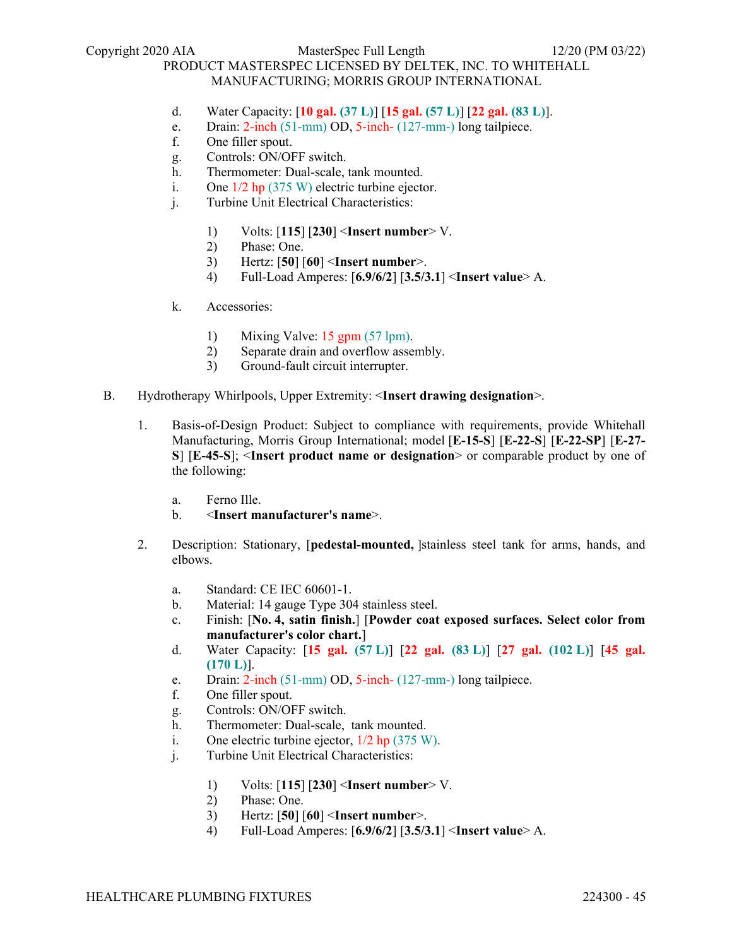Copyright 2020 AIA MasterSpec Full Length 12/20 (PM 03/22)

# PRODUCT MASTERSPEC LICENSED BY DELTEK, INC. TO WHITEHALL MANUFACTURING; MORRIS GROUP INTERNATIONAL

- d. Water Capacity: [**10 gal. (37 L)**] [**15 gal. (57 L)**] [**22 gal. (83 L)**].
- e. Drain: 2-inch (51-mm) OD, 5-inch- (127-mm-) long tailpiece.
- f. One filler spout.
- g. Controls: ON/OFF switch.
- h. Thermometer: Dual-scale, tank mounted.
- i. One 1/2 hp (375 W) electric turbine ejector.
- j. Turbine Unit Electrical Characteristics:
	- 1) Volts: [**115**] [**230**] <**Insert number**> V.
	- 2) Phase: One.
	- 3) Hertz: [**50**] [**60**] <**Insert number**>.
	- 4) Full-Load Amperes: [**6.9/6/2**] [**3.5/3.1**] <**Insert value**> A.
- k. Accessories:
	- 1) Mixing Valve: 15 gpm (57 lpm).
	- 2) Separate drain and overflow assembly.
	- 3) Ground-fault circuit interrupter.
- B. Hydrotherapy Whirlpools, Upper Extremity: <**Insert drawing designation**>.
	- 1. Basis-of-Design Product: Subject to compliance with requirements, provide Whitehall Manufacturing, Morris Group International; model [**E-15-S**] [**E-22-S**] [**E-22-SP**] [**E-27- S**] [**E-45-S**]; <**Insert product name or designation**> or comparable product by one of the following:
		- a. Ferno Ille.
		- b. <**Insert manufacturer's name**>.
	- 2. Description: Stationary, [**pedestal-mounted,** ]stainless steel tank for arms, hands, and elbows.
		- a. Standard: CE IEC 60601-1.
		- b. Material: 14 gauge Type 304 stainless steel.
		- c. Finish: [**No. 4, satin finish.**] [**Powder coat exposed surfaces. Select color from manufacturer's color chart.**]
		- d. Water Capacity: [**15 gal. (57 L)**] [**22 gal. (83 L)**] [**27 gal. (102 L)**] [**45 gal. (170 L)**].
		- e. Drain: 2-inch (51-mm) OD, 5-inch- (127-mm-) long tailpiece.
		- f. One filler spout.
		- g. Controls: ON/OFF switch.
		- h. Thermometer: Dual-scale, tank mounted.
		- i. One electric turbine ejector,  $1/2$  hp (375 W).
		- j. Turbine Unit Electrical Characteristics:
			- 1) Volts: [**115**] [**230**] <**Insert number**> V.
			- 2) Phase: One.
			- 3) Hertz: [**50**] [**60**] <**Insert number**>.
			- 4) Full-Load Amperes: [**6.9/6/2**] [**3.5/3.1**] <**Insert value**> A.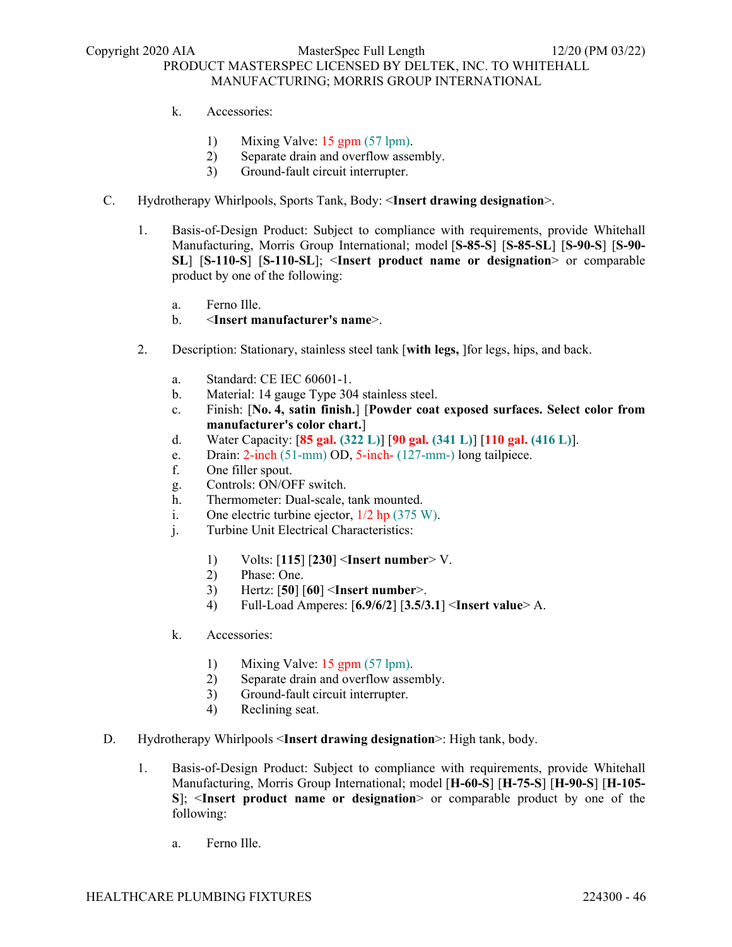- k. Accessories:
	- 1) Mixing Valve: 15 gpm (57 lpm).
	- 2) Separate drain and overflow assembly.
	- 3) Ground-fault circuit interrupter.
- C. Hydrotherapy Whirlpools, Sports Tank, Body: <**Insert drawing designation**>.
	- 1. Basis-of-Design Product: Subject to compliance with requirements, provide Whitehall Manufacturing, Morris Group International; model [**S-85-S**] [**S-85-SL**] [**S-90-S**] [**S-90- SL**] [**S-110-S**] [**S-110-SL**]; <**Insert product name or designation**> or comparable product by one of the following:
		- a. Ferno Ille.
		- b. <**Insert manufacturer's name**>.
	- 2. Description: Stationary, stainless steel tank [**with legs,** ]for legs, hips, and back.
		- a. Standard: CE IEC 60601-1.
		- b. Material: 14 gauge Type 304 stainless steel.
		- c. Finish: [**No. 4, satin finish.**] [**Powder coat exposed surfaces. Select color from manufacturer's color chart.**]
		- d. Water Capacity: [**85 gal. (322 L)**] [**90 gal. (341 L)**] [**110 gal. (416 L)**].
		- e. Drain: 2-inch (51-mm) OD, 5-inch- (127-mm-) long tailpiece.
		- f. One filler spout.
		- g. Controls: ON/OFF switch.
		- h. Thermometer: Dual-scale, tank mounted.
		- i. One electric turbine ejector, 1/2 hp (375 W).
		- j. Turbine Unit Electrical Characteristics:
			- 1) Volts: [**115**] [**230**] <**Insert number**> V.
			- 2) Phase: One.
			- 3) Hertz: [**50**] [**60**] <**Insert number**>.
			- 4) Full-Load Amperes: [**6.9/6/2**] [**3.5/3.1**] <**Insert value**> A.
		- k. Accessories:
			- 1) Mixing Valve: 15 gpm (57 lpm).
			- 2) Separate drain and overflow assembly.
			- 3) Ground-fault circuit interrupter.
			- 4) Reclining seat.
- D. Hydrotherapy Whirlpools <**Insert drawing designation**>: High tank, body.
	- 1. Basis-of-Design Product: Subject to compliance with requirements, provide Whitehall Manufacturing, Morris Group International; model [**H-60-S**] [**H-75-S**] [**H-90-S**] [**H-105- S**]; <**Insert product name or designation**> or comparable product by one of the following:
		- a. Ferno Ille.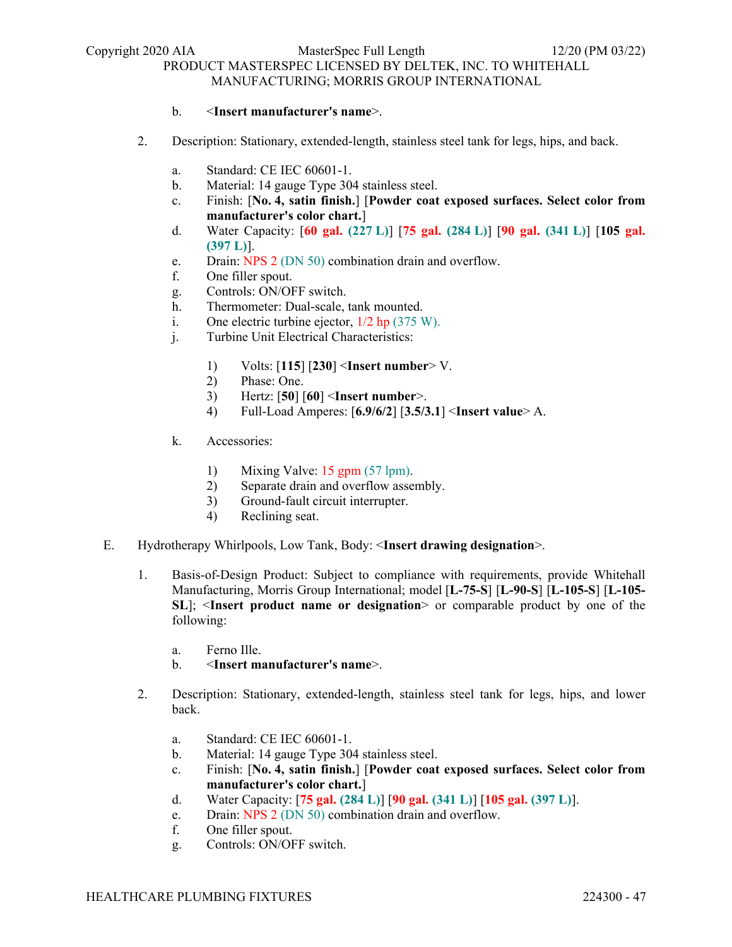### b. <**Insert manufacturer's name**>.

- 2. Description: Stationary, extended-length, stainless steel tank for legs, hips, and back.
	- a. Standard: CE IEC 60601-1.
	- b. Material: 14 gauge Type 304 stainless steel.
	- c. Finish: [**No. 4, satin finish.**] [**Powder coat exposed surfaces. Select color from manufacturer's color chart.**]
	- d. Water Capacity: [**60 gal. (227 L)**] [**75 gal. (284 L)**] [**90 gal. (341 L)**] [**105 gal. (397 L)**].
	- e. Drain: NPS 2 (DN 50) combination drain and overflow.
	- f. One filler spout.
	- g. Controls: ON/OFF switch.
	- h. Thermometer: Dual-scale, tank mounted.
	- i. One electric turbine ejector,  $1/2$  hp (375 W).
	- j. Turbine Unit Electrical Characteristics:
		- 1) Volts: [**115**] [**230**] <**Insert number**> V.
		- 2) Phase: One.
		- 3) Hertz: [**50**] [**60**] <**Insert number**>.
		- 4) Full-Load Amperes: [**6.9/6/2**] [**3.5/3.1**] <**Insert value**> A.
	- k. Accessories:
		- 1) Mixing Valve: 15 gpm (57 lpm).
		- 2) Separate drain and overflow assembly.
		- 3) Ground-fault circuit interrupter.
		- 4) Reclining seat.
- E. Hydrotherapy Whirlpools, Low Tank, Body: <**Insert drawing designation**>.
	- 1. Basis-of-Design Product: Subject to compliance with requirements, provide Whitehall Manufacturing, Morris Group International; model [**L-75-S**] [**L-90-S**] [**L-105-S**] [**L-105- SL**]; <**Insert product name or designation**> or comparable product by one of the following:
		- a. Ferno Ille.
		- b. <**Insert manufacturer's name**>.
	- 2. Description: Stationary, extended-length, stainless steel tank for legs, hips, and lower back.
		- a. Standard: CE IEC 60601-1.
		- b. Material: 14 gauge Type 304 stainless steel.
		- c. Finish: [**No. 4, satin finish.**] [**Powder coat exposed surfaces. Select color from manufacturer's color chart.**]
		- d. Water Capacity: [**75 gal. (284 L)**] [**90 gal. (341 L)**] [**105 gal. (397 L)**].
		- e. Drain: NPS 2 (DN 50) combination drain and overflow.
		- f. One filler spout.
		- g. Controls: ON/OFF switch.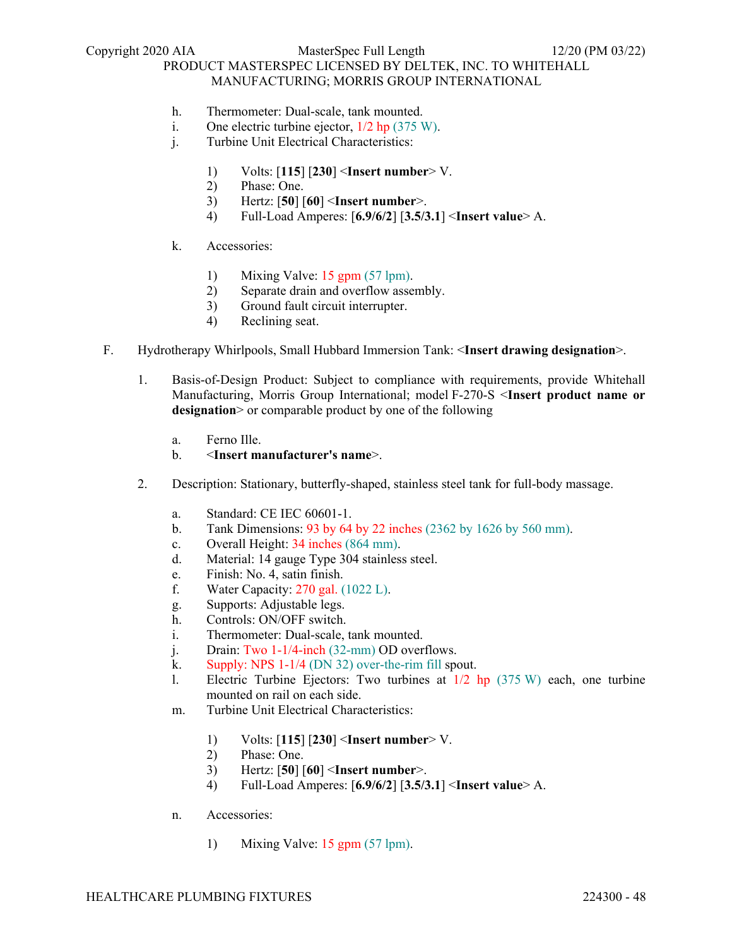- h. Thermometer: Dual-scale, tank mounted.
- i. One electric turbine ejector, 1/2 hp (375 W).
- j. Turbine Unit Electrical Characteristics:
	- 1) Volts: [**115**] [**230**] <**Insert number**> V.
	- 2) Phase: One.
	- 3) Hertz: [**50**] [**60**] <**Insert number**>.
	- 4) Full-Load Amperes: [**6.9/6/2**] [**3.5/3.1**] <**Insert value**> A.
- k. Accessories:
	- 1) Mixing Valve: 15 gpm (57 lpm).
	- 2) Separate drain and overflow assembly.
	- 3) Ground fault circuit interrupter.
	- 4) Reclining seat.
- F. Hydrotherapy Whirlpools, Small Hubbard Immersion Tank: <**Insert drawing designation**>.
	- 1. Basis-of-Design Product: Subject to compliance with requirements, provide Whitehall Manufacturing, Morris Group International; model F-270-S <**Insert product name or designation**> or comparable product by one of the following
		- a. Ferno Ille.
		- b. <**Insert manufacturer's name**>.
	- 2. Description: Stationary, butterfly-shaped, stainless steel tank for full-body massage.
		- a. Standard: CE IEC 60601-1.
		- b. Tank Dimensions: 93 by 64 by 22 inches (2362 by 1626 by 560 mm).
		- c. Overall Height: 34 inches (864 mm).
		- d. Material: 14 gauge Type 304 stainless steel.
		- e. Finish: No. 4, satin finish.
		- f. Water Capacity:  $270$  gal.  $(1022 \text{ L})$ .
		- g. Supports: Adjustable legs.
		- h. Controls: ON/OFF switch.
		- i. Thermometer: Dual-scale, tank mounted.
		- j. Drain: Two 1-1/4-inch (32-mm) OD overflows.
		- k. Supply: NPS 1-1/4 (DN 32) over-the-rim fill spout.
		- l. Electric Turbine Ejectors: Two turbines at 1/2 hp (375 W) each, one turbine mounted on rail on each side.
		- m. Turbine Unit Electrical Characteristics:
			- 1) Volts: [**115**] [**230**] <**Insert number**> V.
			- 2) Phase: One.
			- 3) Hertz: [**50**] [**60**] <**Insert number**>.
			- 4) Full-Load Amperes: [**6.9/6/2**] [**3.5/3.1**] <**Insert value**> A.
		- n. Accessories:
			- 1) Mixing Valve: 15 gpm (57 lpm).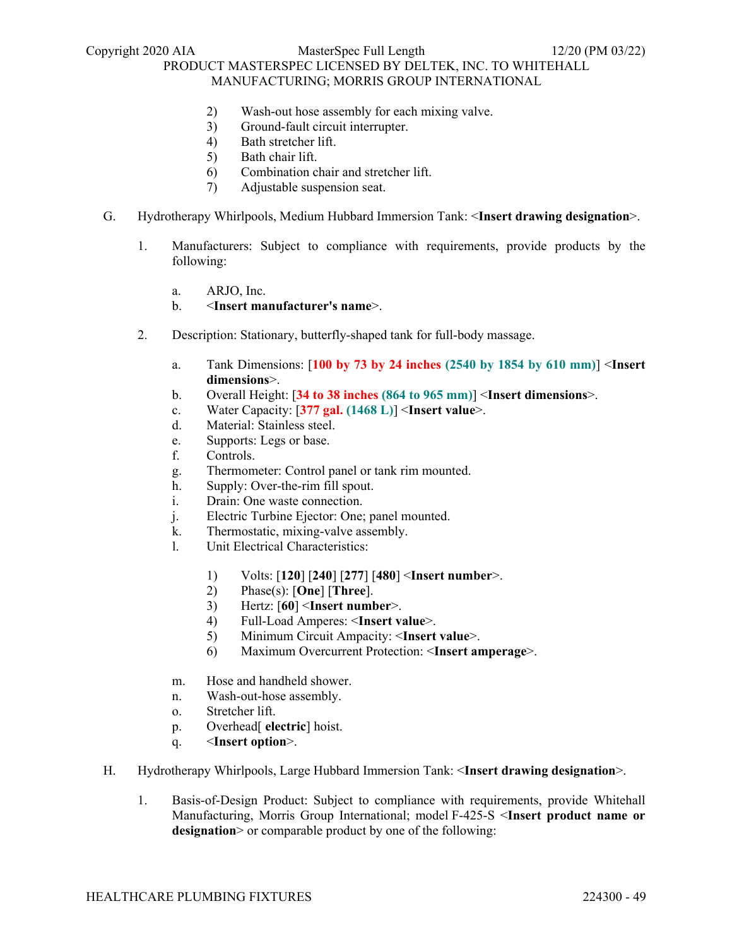- 2) Wash-out hose assembly for each mixing valve.
- 3) Ground-fault circuit interrupter.
- 4) Bath stretcher lift.
- 5) Bath chair lift.
- 6) Combination chair and stretcher lift.
- 7) Adjustable suspension seat.
- G. Hydrotherapy Whirlpools, Medium Hubbard Immersion Tank: <**Insert drawing designation**>.
	- 1. Manufacturers: Subject to compliance with requirements, provide products by the following:
		- a. ARJO, Inc.
		- b. <**Insert manufacturer's name**>.
	- 2. Description: Stationary, butterfly-shaped tank for full-body massage.
		- a. Tank Dimensions: [**100 by 73 by 24 inches (2540 by 1854 by 610 mm)**] <**Insert dimensions**>.
		- b. Overall Height: [**34 to 38 inches (864 to 965 mm)**] <**Insert dimensions**>.
		- c. Water Capacity: [**377 gal. (1468 L)**] <**Insert value**>.
		- d. Material: Stainless steel.
		- e. Supports: Legs or base.
		- f. Controls.
		- g. Thermometer: Control panel or tank rim mounted.
		- h. Supply: Over-the-rim fill spout.
		- i. Drain: One waste connection.
		- j. Electric Turbine Ejector: One; panel mounted.
		- k. Thermostatic, mixing-valve assembly.
		- l. Unit Electrical Characteristics:
			- 1) Volts: [**120**] [**240**] [**277**] [**480**] <**Insert number**>.
			- 2) Phase(s): [**One**] [**Three**].
			- 3) Hertz: [**60**] <**Insert number**>.
			- 4) Full-Load Amperes: <**Insert value**>.
			- 5) Minimum Circuit Ampacity: <**Insert value**>.
			- 6) Maximum Overcurrent Protection: <**Insert amperage**>.
		- m. Hose and handheld shower.
		- n. Wash-out-hose assembly.
		- o. Stretcher lift.
		- p. Overhead[ **electric**] hoist.
		- q. <**Insert option**>.
- H. Hydrotherapy Whirlpools, Large Hubbard Immersion Tank: <**Insert drawing designation**>.
	- 1. Basis-of-Design Product: Subject to compliance with requirements, provide Whitehall Manufacturing, Morris Group International; model F-425-S <**Insert product name or**  designation > or comparable product by one of the following: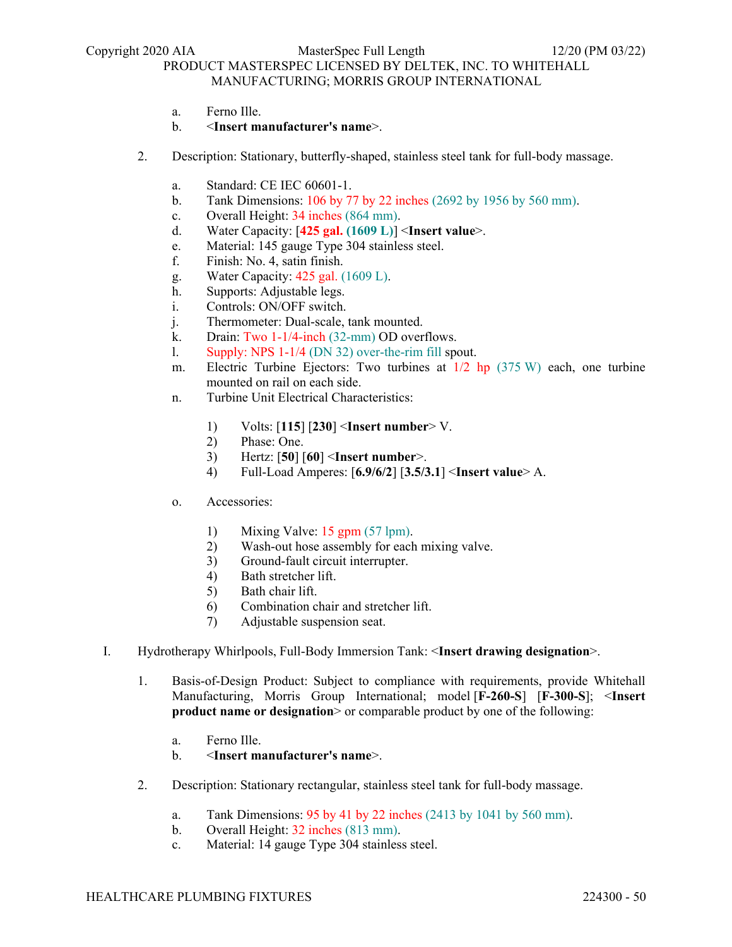- a. Ferno Ille.
- b. <**Insert manufacturer's name**>.
- 2. Description: Stationary, butterfly-shaped, stainless steel tank for full-body massage.
	- a. Standard: CE IEC 60601-1.
	- b. Tank Dimensions: 106 by 77 by 22 inches (2692 by 1956 by 560 mm).
	- c. Overall Height: 34 inches (864 mm).
	- d. Water Capacity: [**425 gal. (1609 L)**] <**Insert value**>.
	- e. Material: 145 gauge Type 304 stainless steel.
	- f. Finish: No. 4, satin finish.
	- g. Water Capacity: 425 gal. (1609 L).
	- h. Supports: Adjustable legs.
	- i. Controls: ON/OFF switch.
	- j. Thermometer: Dual-scale, tank mounted.
	- k. Drain: Two 1-1/4-inch (32-mm) OD overflows.
	- l. Supply: NPS 1-1/4 (DN 32) over-the-rim fill spout.
	- m. Electric Turbine Ejectors: Two turbines at 1/2 hp (375 W) each, one turbine mounted on rail on each side.
	- n. Turbine Unit Electrical Characteristics:
		- 1) Volts: [**115**] [**230**] <**Insert number**> V.
		- 2) Phase: One.
		- 3) Hertz: [**50**] [**60**] <**Insert number**>.
		- 4) Full-Load Amperes: [**6.9/6/2**] [**3.5/3.1**] <**Insert value**> A.
	- o. Accessories:
		- 1) Mixing Valve: 15 gpm (57 lpm).
		- 2) Wash-out hose assembly for each mixing valve.
		- 3) Ground-fault circuit interrupter.
		- 4) Bath stretcher lift.
		- 5) Bath chair lift.
		- 6) Combination chair and stretcher lift.
		- 7) Adjustable suspension seat.
- I. Hydrotherapy Whirlpools, Full-Body Immersion Tank: <**Insert drawing designation**>.
	- 1. Basis-of-Design Product: Subject to compliance with requirements, provide Whitehall Manufacturing, Morris Group International; model [**F-260-S**] [**F-300-S**]; <**Insert product name or designation** or comparable product by one of the following:
		- a. Ferno Ille.
		- b. <**Insert manufacturer's name**>.
	- 2. Description: Stationary rectangular, stainless steel tank for full-body massage.
		- a. Tank Dimensions: 95 by 41 by 22 inches (2413 by 1041 by 560 mm).
		- b. Overall Height: 32 inches (813 mm).
		- c. Material: 14 gauge Type 304 stainless steel.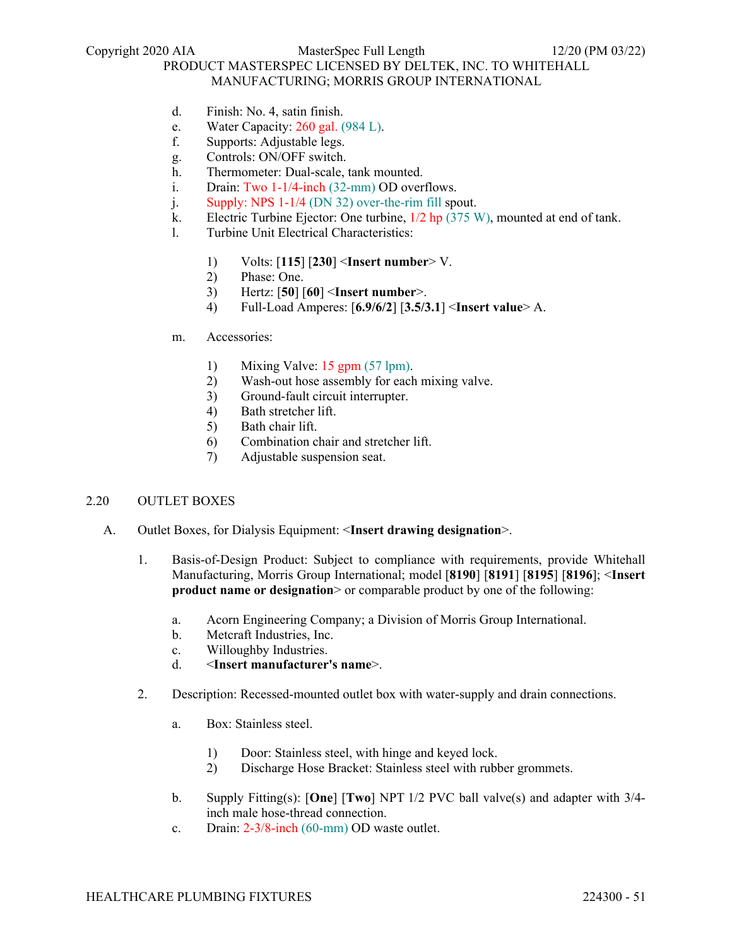- d. Finish: No. 4, satin finish.
- e. Water Capacity: 260 gal. (984 L).
- f. Supports: Adjustable legs.
- g. Controls: ON/OFF switch.
- h. Thermometer: Dual-scale, tank mounted.
- i. Drain: Two 1-1/4-inch (32-mm) OD overflows.
- j. Supply: NPS 1-1/4 (DN 32) over-the-rim fill spout.
- k. Electric Turbine Ejector: One turbine, 1/2 hp (375 W), mounted at end of tank.
- l. Turbine Unit Electrical Characteristics:
	- 1) Volts: [**115**] [**230**] <**Insert number**> V.
	- 2) Phase: One.
	- 3) Hertz: [**50**] [**60**] <**Insert number**>.
	- 4) Full-Load Amperes: [**6.9/6/2**] [**3.5/3.1**] <**Insert value**> A.
- m. Accessories:
	- 1) Mixing Valve: 15 gpm (57 lpm).
	- 2) Wash-out hose assembly for each mixing valve.
	- 3) Ground-fault circuit interrupter.
	- 4) Bath stretcher lift.
	- 5) Bath chair lift.
	- 6) Combination chair and stretcher lift.
	- 7) Adjustable suspension seat.

### 2.20 OUTLET BOXES

- A. Outlet Boxes, for Dialysis Equipment: <**Insert drawing designation**>.
	- 1. Basis-of-Design Product: Subject to compliance with requirements, provide Whitehall Manufacturing, Morris Group International; model [**8190**] [**8191**] [**8195**] [**8196**]; <**Insert product name or designation** or comparable product by one of the following:
		- a. Acorn Engineering Company; a Division of Morris Group International.
		- b. Metcraft Industries, Inc.
		- c. Willoughby Industries.
		- d. <**Insert manufacturer's name**>.
	- 2. Description: Recessed-mounted outlet box with water-supply and drain connections.
		- a. Box: Stainless steel.
			- 1) Door: Stainless steel, with hinge and keyed lock.
			- 2) Discharge Hose Bracket: Stainless steel with rubber grommets.
		- b. Supply Fitting(s): [**One**] [**Two**] NPT 1/2 PVC ball valve(s) and adapter with 3/4 inch male hose-thread connection.
		- c. Drain: 2-3/8-inch (60-mm) OD waste outlet.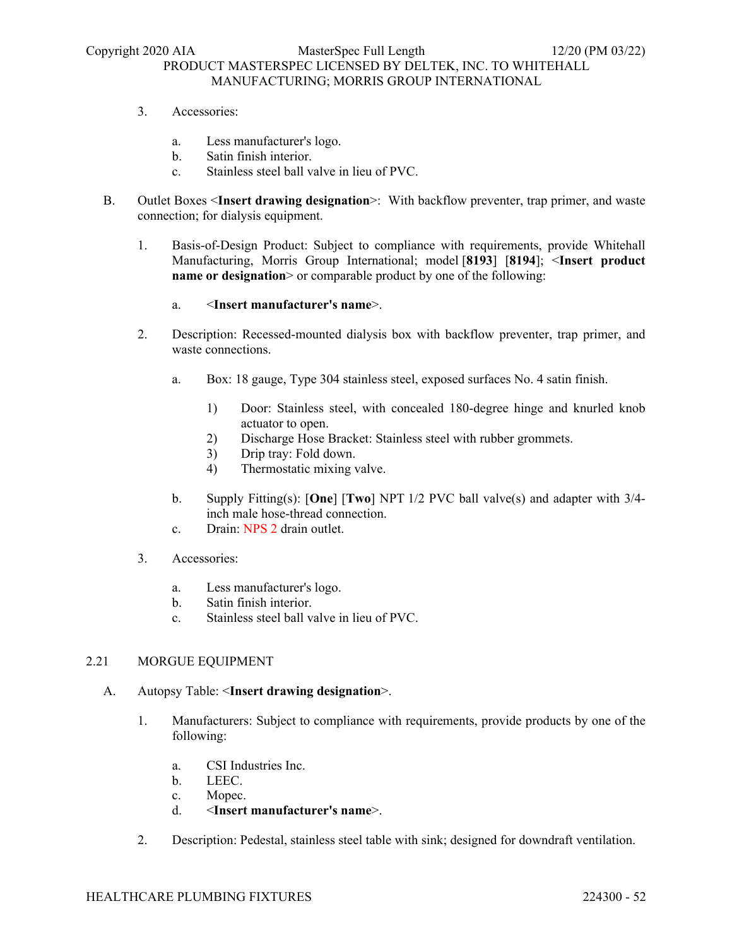- 3. Accessories:
	- a. Less manufacturer's logo.
	- b. Satin finish interior.
	- c. Stainless steel ball valve in lieu of PVC.
- B. Outlet Boxes <**Insert drawing designation**>: With backflow preventer, trap primer, and waste connection; for dialysis equipment.
	- 1. Basis-of-Design Product: Subject to compliance with requirements, provide Whitehall Manufacturing, Morris Group International; model [**8193**] [**8194**]; <**Insert product name or designation** > or comparable product by one of the following:

### a. <**Insert manufacturer's name**>.

- 2. Description: Recessed-mounted dialysis box with backflow preventer, trap primer, and waste connections.
	- a. Box: 18 gauge, Type 304 stainless steel, exposed surfaces No. 4 satin finish.
		- 1) Door: Stainless steel, with concealed 180-degree hinge and knurled knob actuator to open.
		- 2) Discharge Hose Bracket: Stainless steel with rubber grommets.
		- 3) Drip tray: Fold down.
		- 4) Thermostatic mixing valve.
	- b. Supply Fitting(s): [**One**] [**Two**] NPT 1/2 PVC ball valve(s) and adapter with 3/4 inch male hose-thread connection.
	- c. Drain: NPS 2 drain outlet.
- 3. Accessories:
	- a. Less manufacturer's logo.
	- b. Satin finish interior.
	- c. Stainless steel ball valve in lieu of PVC.

#### 2.21 MORGUE EQUIPMENT

- A. Autopsy Table: <**Insert drawing designation**>.
	- 1. Manufacturers: Subject to compliance with requirements, provide products by one of the following:
		- a. CSI Industries Inc.
		- b. LEEC.
		- c. Mopec.
		- d. <**Insert manufacturer's name**>.
	- 2. Description: Pedestal, stainless steel table with sink; designed for downdraft ventilation.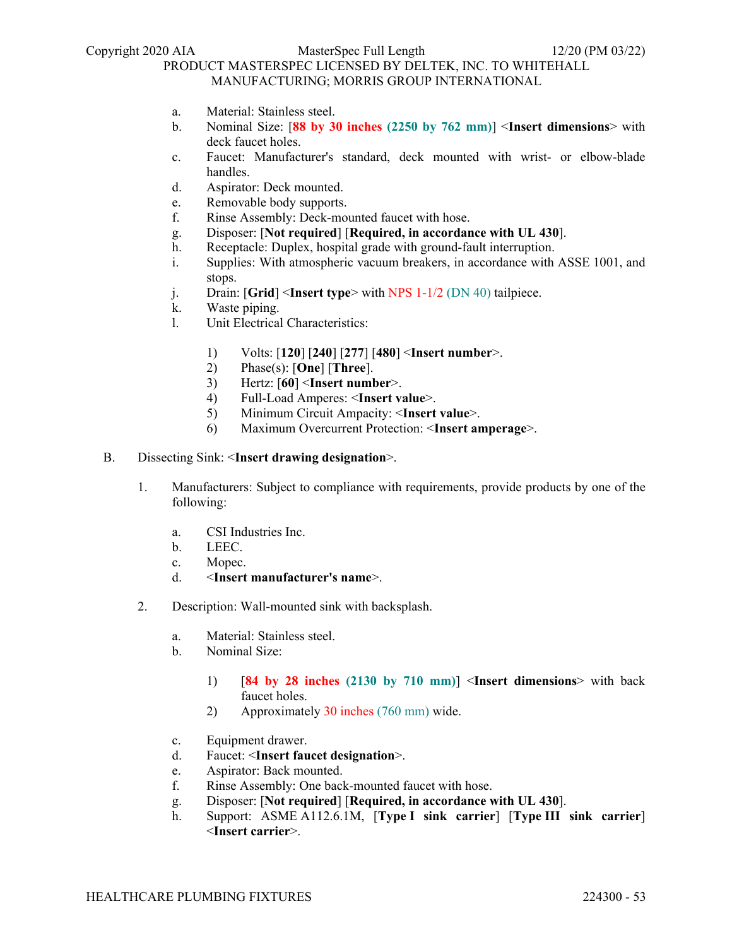- a. Material: Stainless steel.
- b. Nominal Size: [**88 by 30 inches (2250 by 762 mm)**] <**Insert dimensions**> with deck faucet holes.
- c. Faucet: Manufacturer's standard, deck mounted with wrist- or elbow-blade handles.
- d. Aspirator: Deck mounted.
- e. Removable body supports.
- f. Rinse Assembly: Deck-mounted faucet with hose.
- g. Disposer: [**Not required**] [**Required, in accordance with UL 430**].
- h. Receptacle: Duplex, hospital grade with ground-fault interruption.
- i. Supplies: With atmospheric vacuum breakers, in accordance with ASSE 1001, and stops.
- j. Drain: [**Grid**] <**Insert type**> with NPS 1-1/2 (DN 40) tailpiece.
- k. Waste piping.
- l. Unit Electrical Characteristics:
	- 1) Volts: [**120**] [**240**] [**277**] [**480**] <**Insert number**>.
	- 2) Phase(s): [**One**] [**Three**].
	- 3) Hertz: [**60**] <**Insert number**>.
	- 4) Full-Load Amperes: <**Insert value**>.
	- 5) Minimum Circuit Ampacity: <**Insert value**>.
	- 6) Maximum Overcurrent Protection: <**Insert amperage**>.
- B. Dissecting Sink: <**Insert drawing designation**>.
	- 1. Manufacturers: Subject to compliance with requirements, provide products by one of the following:
		- a. CSI Industries Inc.
		- b. LEEC.
		- c. Mopec.
		- d. <**Insert manufacturer's name**>.
	- 2. Description: Wall-mounted sink with backsplash.
		- a. Material: Stainless steel.
		- b. Nominal Size:
			- 1) [**84 by 28 inches (2130 by 710 mm)**] <**Insert dimensions**> with back faucet holes.
			- 2) Approximately 30 inches (760 mm) wide.
		- c. Equipment drawer.
		- d. Faucet: <**Insert faucet designation**>.
		- e. Aspirator: Back mounted.
		- f. Rinse Assembly: One back-mounted faucet with hose.
		- g. Disposer: [**Not required**] [**Required, in accordance with UL 430**].
		- h. Support: ASME A112.6.1M, [**Type I sink carrier**] [**Type III sink carrier**] <**Insert carrier**>.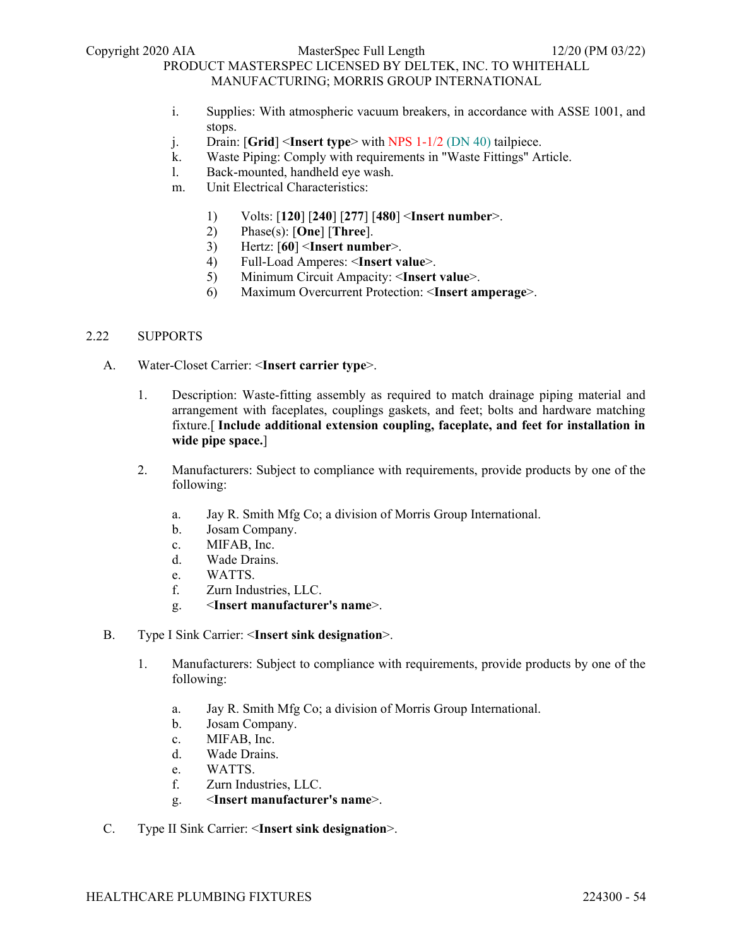- i. Supplies: With atmospheric vacuum breakers, in accordance with ASSE 1001, and stops.
- j. Drain: [**Grid**] <**Insert type**> with NPS 1-1/2 (DN 40) tailpiece.
- k. Waste Piping: Comply with requirements in "Waste Fittings" Article.
- l. Back-mounted, handheld eye wash.
- m. Unit Electrical Characteristics:
	- 1) Volts: [**120**] [**240**] [**277**] [**480**] <**Insert number**>.
	- 2) Phase(s): [**One**] [**Three**].
	- 3) Hertz: [**60**] <**Insert number**>.
	- 4) Full-Load Amperes: <**Insert value**>.
	- 5) Minimum Circuit Ampacity: <**Insert value**>.
	- 6) Maximum Overcurrent Protection: <**Insert amperage**>.

# 2.22 SUPPORTS

- A. Water-Closet Carrier: <**Insert carrier type**>.
	- 1. Description: Waste-fitting assembly as required to match drainage piping material and arrangement with faceplates, couplings gaskets, and feet; bolts and hardware matching fixture.[ **Include additional extension coupling, faceplate, and feet for installation in wide pipe space.**]
	- 2. Manufacturers: Subject to compliance with requirements, provide products by one of the following:
		- a. Jay R. Smith Mfg Co; a division of Morris Group International.
		- b. Josam Company.
		- c. MIFAB, Inc.
		- d. Wade Drains.
		- e. WATTS.
		- f. Zurn Industries, LLC.
		- g. <**Insert manufacturer's name**>.
- B. Type I Sink Carrier: <**Insert sink designation**>.
	- 1. Manufacturers: Subject to compliance with requirements, provide products by one of the following:
		- a. Jay R. Smith Mfg Co; a division of Morris Group International.
		- b. Josam Company.
		- c. MIFAB, Inc.
		- d. Wade Drains.
		- e. WATTS.
		- f. Zurn Industries, LLC.
		- g. <**Insert manufacturer's name**>.
- C. Type II Sink Carrier: <**Insert sink designation**>.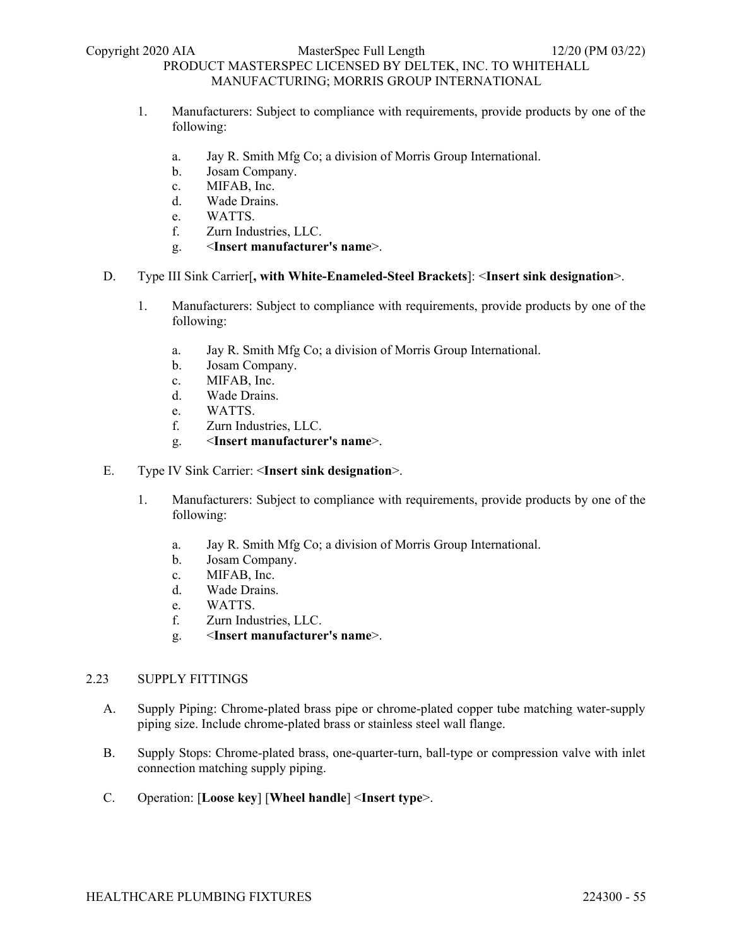- 1. Manufacturers: Subject to compliance with requirements, provide products by one of the following:
	- a. Jay R. Smith Mfg Co; a division of Morris Group International.
	- b. Josam Company.
	- c. MIFAB, Inc.
	- d. Wade Drains.
	- e. WATTS.
	- f. Zurn Industries, LLC.
	- g. <**Insert manufacturer's name**>.

### D. Type III Sink Carrier[**, with White-Enameled-Steel Brackets**]: <**Insert sink designation**>.

- 1. Manufacturers: Subject to compliance with requirements, provide products by one of the following:
	- a. Jay R. Smith Mfg Co; a division of Morris Group International.
	- b. Josam Company.
	- c. MIFAB, Inc.
	- d. Wade Drains.
	- e. WATTS.
	- f. Zurn Industries, LLC.
	- g. <**Insert manufacturer's name**>.
- E. Type IV Sink Carrier: <**Insert sink designation**>.
	- 1. Manufacturers: Subject to compliance with requirements, provide products by one of the following:
		- a. Jay R. Smith Mfg Co; a division of Morris Group International.
		- b. Josam Company.
		- c. MIFAB, Inc.
		- d. Wade Drains.
		- e. WATTS.
		- f. Zurn Industries, LLC.
		- g. <**Insert manufacturer's name**>.

### 2.23 SUPPLY FITTINGS

- A. Supply Piping: Chrome-plated brass pipe or chrome-plated copper tube matching water-supply piping size. Include chrome-plated brass or stainless steel wall flange.
- B. Supply Stops: Chrome-plated brass, one-quarter-turn, ball-type or compression valve with inlet connection matching supply piping.
- C. Operation: [**Loose key**] [**Wheel handle**] <**Insert type**>.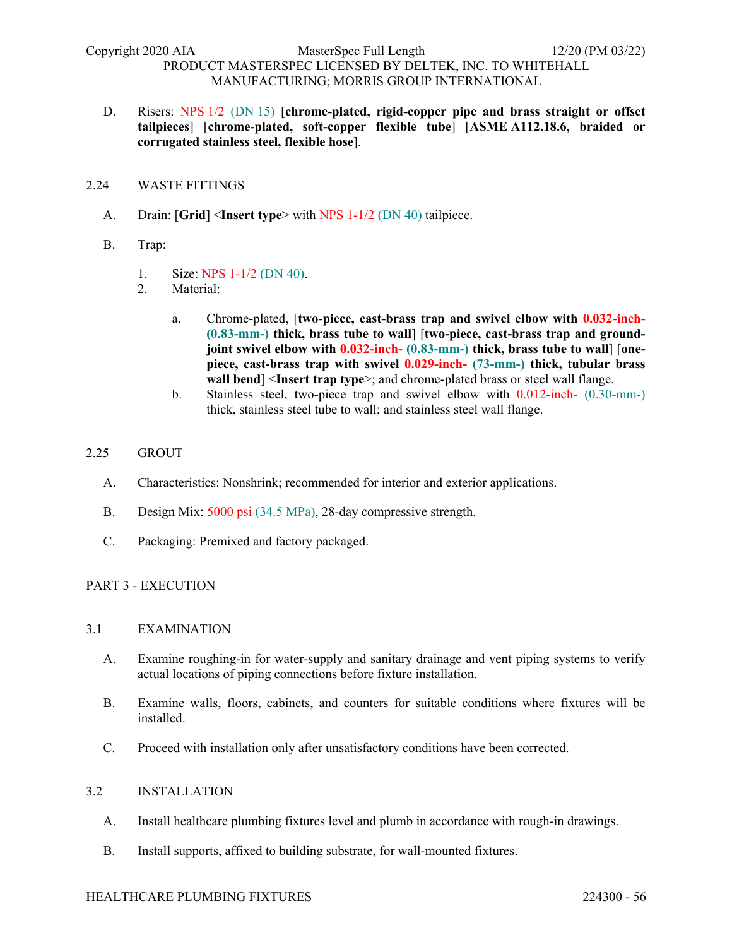D. Risers: NPS 1/2 (DN 15) [**chrome-plated, rigid-copper pipe and brass straight or offset tailpieces**] [**chrome-plated, soft-copper flexible tube**] [**ASME A112.18.6, braided or corrugated stainless steel, flexible hose**].

### 2.24 WASTE FITTINGS

- A. Drain: [**Grid**] <**Insert type**> with NPS 1-1/2 (DN 40) tailpiece.
- B. Trap:
	- 1. Size: NPS 1-1/2 (DN 40).
	- 2. Material:
		- a. Chrome-plated, [**two-piece, cast-brass trap and swivel elbow with 0.032-inch- (0.83-mm-) thick, brass tube to wall**] [**two-piece, cast-brass trap and groundjoint swivel elbow with 0.032-inch- (0.83-mm-) thick, brass tube to wall**] [**onepiece, cast-brass trap with swivel 0.029-inch- (73-mm-) thick, tubular brass wall bend**] <**Insert trap type**>; and chrome-plated brass or steel wall flange.
		- b. Stainless steel, two-piece trap and swivel elbow with 0.012-inch- (0.30-mm-) thick, stainless steel tube to wall; and stainless steel wall flange.

### 2.25 GROUT

- A. Characteristics: Nonshrink; recommended for interior and exterior applications.
- B. Design Mix: 5000 psi (34.5 MPa), 28-day compressive strength.
- C. Packaging: Premixed and factory packaged.

### PART 3 - EXECUTION

#### 3.1 EXAMINATION

- A. Examine roughing-in for water-supply and sanitary drainage and vent piping systems to verify actual locations of piping connections before fixture installation.
- B. Examine walls, floors, cabinets, and counters for suitable conditions where fixtures will be installed.
- C. Proceed with installation only after unsatisfactory conditions have been corrected.

### 3.2 INSTALLATION

- A. Install healthcare plumbing fixtures level and plumb in accordance with rough-in drawings.
- B. Install supports, affixed to building substrate, for wall-mounted fixtures.

#### HEALTHCARE PLUMBING FIXTURES 224300 - 56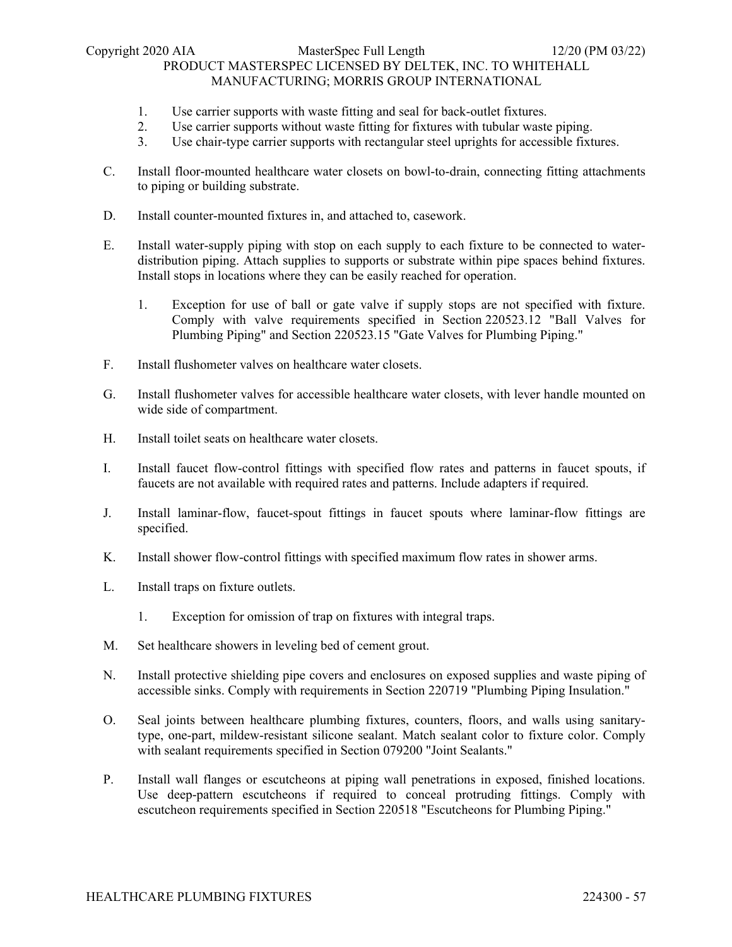### Copyright 2020 AIA MasterSpec Full Length 12/20 (PM 03/22) PRODUCT MASTERSPEC LICENSED BY DELTEK, INC. TO WHITEHALL MANUFACTURING; MORRIS GROUP INTERNATIONAL

- 1. Use carrier supports with waste fitting and seal for back-outlet fixtures.
- 2. Use carrier supports without waste fitting for fixtures with tubular waste piping.
- 3. Use chair-type carrier supports with rectangular steel uprights for accessible fixtures.
- C. Install floor-mounted healthcare water closets on bowl-to-drain, connecting fitting attachments to piping or building substrate.
- D. Install counter-mounted fixtures in, and attached to, casework.
- E. Install water-supply piping with stop on each supply to each fixture to be connected to waterdistribution piping. Attach supplies to supports or substrate within pipe spaces behind fixtures. Install stops in locations where they can be easily reached for operation.
	- 1. Exception for use of ball or gate valve if supply stops are not specified with fixture. Comply with valve requirements specified in Section 220523.12 "Ball Valves for Plumbing Piping" and Section 220523.15 "Gate Valves for Plumbing Piping."
- F. Install flushometer valves on healthcare water closets.
- G. Install flushometer valves for accessible healthcare water closets, with lever handle mounted on wide side of compartment.
- H. Install toilet seats on healthcare water closets.
- I. Install faucet flow-control fittings with specified flow rates and patterns in faucet spouts, if faucets are not available with required rates and patterns. Include adapters if required.
- J. Install laminar-flow, faucet-spout fittings in faucet spouts where laminar-flow fittings are specified.
- K. Install shower flow-control fittings with specified maximum flow rates in shower arms.
- L. Install traps on fixture outlets.
	- 1. Exception for omission of trap on fixtures with integral traps.
- M. Set healthcare showers in leveling bed of cement grout.
- N. Install protective shielding pipe covers and enclosures on exposed supplies and waste piping of accessible sinks. Comply with requirements in Section 220719 "Plumbing Piping Insulation."
- O. Seal joints between healthcare plumbing fixtures, counters, floors, and walls using sanitarytype, one-part, mildew-resistant silicone sealant. Match sealant color to fixture color. Comply with sealant requirements specified in Section 079200 "Joint Sealants."
- P. Install wall flanges or escutcheons at piping wall penetrations in exposed, finished locations. Use deep-pattern escutcheons if required to conceal protruding fittings. Comply with escutcheon requirements specified in Section 220518 "Escutcheons for Plumbing Piping."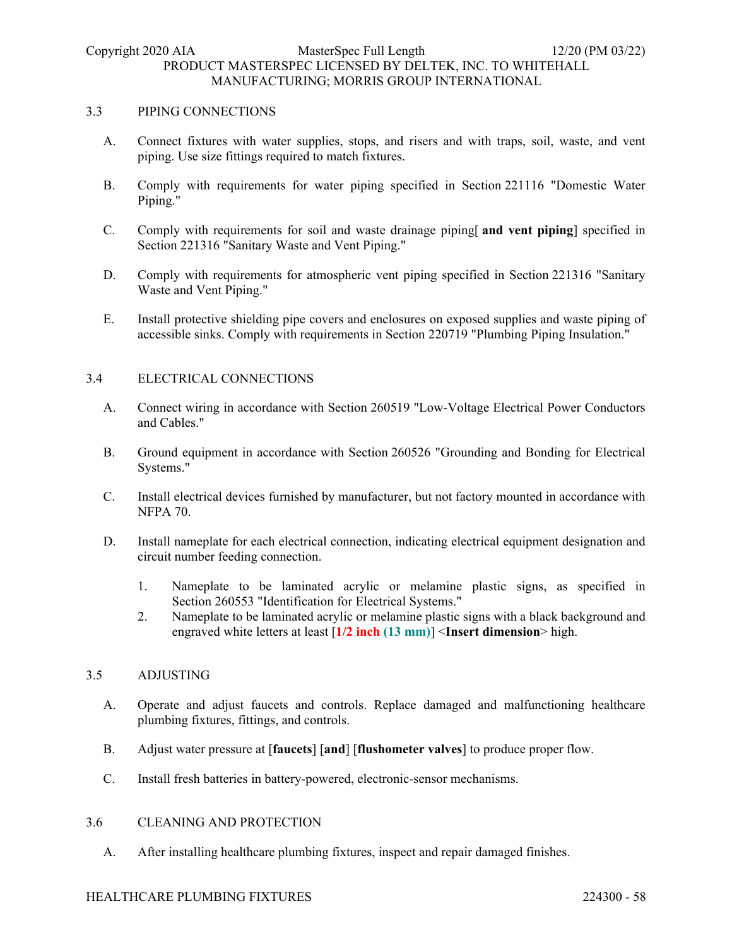#### 3.3 PIPING CONNECTIONS

- A. Connect fixtures with water supplies, stops, and risers and with traps, soil, waste, and vent piping. Use size fittings required to match fixtures.
- B. Comply with requirements for water piping specified in Section 221116 "Domestic Water Piping."
- C. Comply with requirements for soil and waste drainage piping[ **and vent piping**] specified in Section 221316 "Sanitary Waste and Vent Piping."
- D. Comply with requirements for atmospheric vent piping specified in Section 221316 "Sanitary Waste and Vent Piping."
- E. Install protective shielding pipe covers and enclosures on exposed supplies and waste piping of accessible sinks. Comply with requirements in Section 220719 "Plumbing Piping Insulation."

### 3.4 ELECTRICAL CONNECTIONS

- A. Connect wiring in accordance with Section 260519 "Low-Voltage Electrical Power Conductors and Cables."
- B. Ground equipment in accordance with Section 260526 "Grounding and Bonding for Electrical Systems."
- C. Install electrical devices furnished by manufacturer, but not factory mounted in accordance with NFPA 70.
- D. Install nameplate for each electrical connection, indicating electrical equipment designation and circuit number feeding connection.
	- 1. Nameplate to be laminated acrylic or melamine plastic signs, as specified in Section 260553 "Identification for Electrical Systems."
	- 2. Nameplate to be laminated acrylic or melamine plastic signs with a black background and engraved white letters at least [**1/2 inch (13 mm)**] <**Insert dimension**> high.

### 3.5 ADJUSTING

- A. Operate and adjust faucets and controls. Replace damaged and malfunctioning healthcare plumbing fixtures, fittings, and controls.
- B. Adjust water pressure at [**faucets**] [**and**] [**flushometer valves**] to produce proper flow.
- C. Install fresh batteries in battery-powered, electronic-sensor mechanisms.

### 3.6 CLEANING AND PROTECTION

A. After installing healthcare plumbing fixtures, inspect and repair damaged finishes.

### HEALTHCARE PLUMBING FIXTURES 224300 - 58